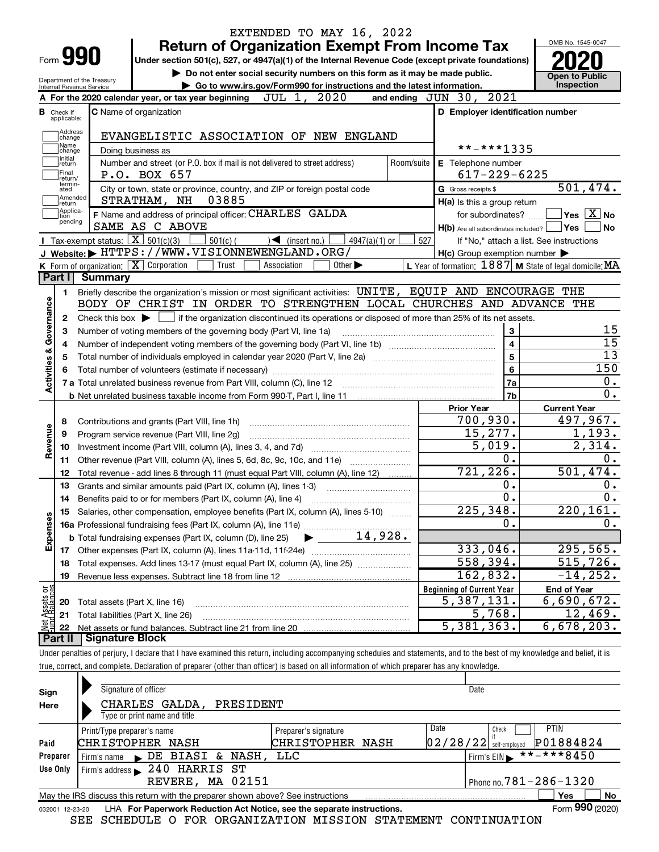|                           |                                       |                                                                        | EXTENDED TO MAY 16, 2022                                                                                                                                                   |                                                           |                        |  |  |  |  |
|---------------------------|---------------------------------------|------------------------------------------------------------------------|----------------------------------------------------------------------------------------------------------------------------------------------------------------------------|-----------------------------------------------------------|------------------------|--|--|--|--|
|                           |                                       |                                                                        | <b>Return of Organization Exempt From Income Tax</b>                                                                                                                       |                                                           | OMB No. 1545-0047      |  |  |  |  |
|                           |                                       | Form 990                                                               | Under section 501(c), 527, or 4947(a)(1) of the Internal Revenue Code (except private foundations)                                                                         |                                                           |                        |  |  |  |  |
|                           |                                       | Department of the Treasury                                             | Do not enter social security numbers on this form as it may be made public.                                                                                                |                                                           | <b>Open to Public</b>  |  |  |  |  |
|                           |                                       | Internal Revenue Service                                               | Go to www.irs.gov/Form990 for instructions and the latest information.                                                                                                     |                                                           | Inspection             |  |  |  |  |
|                           |                                       |                                                                        | 2020<br>JUL 1,<br>A For the 2020 calendar year, or tax year beginning                                                                                                      | 2021<br>and ending $JUN$ $30$ ,                           |                        |  |  |  |  |
|                           | <b>B</b> Check if<br>applicable:      |                                                                        | <b>C</b> Name of organization                                                                                                                                              | D Employer identification number                          |                        |  |  |  |  |
|                           | Address<br>change                     |                                                                        | EVANGELISTIC ASSOCIATION OF NEW ENGLAND                                                                                                                                    |                                                           |                        |  |  |  |  |
|                           | Name<br>change                        |                                                                        | Doing business as                                                                                                                                                          | **-***1335                                                |                        |  |  |  |  |
|                           | Initial<br>return<br>Final<br>return/ |                                                                        | Number and street (or P.O. box if mail is not delivered to street address)<br>P.O. BOX 657                                                                                 | E Telephone number<br>Room/suite<br>$617 - 229 - 6225$    |                        |  |  |  |  |
|                           | termin-<br>ated                       |                                                                        | City or town, state or province, country, and ZIP or foreign postal code                                                                                                   | G Gross receipts \$                                       | 501,474.               |  |  |  |  |
|                           | Amended<br>return                     |                                                                        | STRATHAM, NH<br>03885                                                                                                                                                      | $H(a)$ is this a group return                             |                        |  |  |  |  |
|                           | Applica-<br>tion                      |                                                                        | F Name and address of principal officer: CHARLES GALDA                                                                                                                     | for subordinates?                                         | $ Yes X $ No           |  |  |  |  |
|                           | pending                               |                                                                        | SAME AS C ABOVE                                                                                                                                                            | $H(b)$ Are all subordinates included? $\Box$ Yes          | <b>No</b>              |  |  |  |  |
|                           |                                       | Tax-exempt status: $\boxed{\mathbf{X}}$ 501(c)(3)                      | $501(c)$ (<br>$\mathcal{L}$ (insert no.)<br>$4947(a)(1)$ or                                                                                                                | 527<br>If "No," attach a list. See instructions           |                        |  |  |  |  |
|                           |                                       |                                                                        | J Website: FHTTPS://WWW.VISIONNEWENGLAND.ORG/                                                                                                                              | $H(c)$ Group exemption number $\blacktriangleright$       |                        |  |  |  |  |
|                           |                                       | K Form of organization: X Corporation                                  | Trust<br>Association<br>Other $\blacktriangleright$                                                                                                                        | L Year of formation: 1887   M State of legal domicile: MA |                        |  |  |  |  |
|                           | Part I                                | <b>Summary</b>                                                         |                                                                                                                                                                            |                                                           |                        |  |  |  |  |
|                           | 1                                     |                                                                        | Briefly describe the organization's mission or most significant activities: UNITE, EQUIP AND ENCOURAGE THE                                                                 |                                                           |                        |  |  |  |  |
|                           |                                       |                                                                        | BODY OF CHRIST IN ORDER TO STRENGTHEN LOCAL CHURCHES AND ADVANCE THE                                                                                                       |                                                           |                        |  |  |  |  |
| Governance                | 2                                     | Check this box $\blacktriangleright$                                   | $\rfloor$ if the organization discontinued its operations or disposed of more than 25% of its net assets.                                                                  |                                                           |                        |  |  |  |  |
|                           | 3                                     | 3<br>Number of voting members of the governing body (Part VI, line 1a) |                                                                                                                                                                            |                                                           |                        |  |  |  |  |
|                           | 4                                     |                                                                        | $\overline{\mathbf{4}}$                                                                                                                                                    | 15                                                        |                        |  |  |  |  |
|                           | 5                                     |                                                                        | 5                                                                                                                                                                          | 13                                                        |                        |  |  |  |  |
|                           | 6                                     |                                                                        | 6                                                                                                                                                                          | 150                                                       |                        |  |  |  |  |
| <b>Activities &amp;</b>   |                                       |                                                                        |                                                                                                                                                                            | 7a                                                        | 0.                     |  |  |  |  |
|                           |                                       |                                                                        |                                                                                                                                                                            | 7b                                                        | 0.                     |  |  |  |  |
|                           |                                       |                                                                        |                                                                                                                                                                            | <b>Prior Year</b>                                         | <b>Current Year</b>    |  |  |  |  |
|                           | 8                                     |                                                                        | Contributions and grants (Part VIII, line 1h)                                                                                                                              | 700,930.                                                  | 497,967.               |  |  |  |  |
| Revenue                   | 9                                     |                                                                        | Program service revenue (Part VIII, line 2g)                                                                                                                               | 15,277.                                                   | 1,193.                 |  |  |  |  |
|                           | 10                                    |                                                                        |                                                                                                                                                                            | 5,019.                                                    | $\overline{2}$ , 314.  |  |  |  |  |
|                           | 11                                    |                                                                        | Other revenue (Part VIII, column (A), lines 5, 6d, 8c, 9c, 10c, and 11e)                                                                                                   | 0.                                                        | 0.                     |  |  |  |  |
|                           | 12                                    |                                                                        | Total revenue - add lines 8 through 11 (must equal Part VIII, column (A), line 12)                                                                                         | 721, 226.                                                 | 501,474.               |  |  |  |  |
|                           | 13                                    |                                                                        | Grants and similar amounts paid (Part IX, column (A), lines 1-3)                                                                                                           | 0.                                                        | $0$ .                  |  |  |  |  |
|                           | 14                                    |                                                                        |                                                                                                                                                                            | 0.                                                        | 0.                     |  |  |  |  |
|                           | 15                                    |                                                                        | Salaries, other compensation, employee benefits (Part IX, column (A), lines 5-10)                                                                                          | 225, 348.                                                 | $\overline{220,161}$ . |  |  |  |  |
| Expenses                  |                                       |                                                                        |                                                                                                                                                                            | 0.                                                        | 0.                     |  |  |  |  |
|                           |                                       |                                                                        | 14,928.<br><b>b</b> Total fundraising expenses (Part IX, column (D), line 25)                                                                                              |                                                           |                        |  |  |  |  |
|                           |                                       |                                                                        |                                                                                                                                                                            | 333,046.                                                  | 295,565.               |  |  |  |  |
|                           | 18                                    |                                                                        | Total expenses. Add lines 13-17 (must equal Part IX, column (A), line 25) <i>manumum</i>                                                                                   | 558,394.                                                  | 515,726.               |  |  |  |  |
|                           | 19                                    |                                                                        |                                                                                                                                                                            | 162,832.                                                  | $-14, 252.$            |  |  |  |  |
| t Assets or<br>d Balances |                                       |                                                                        |                                                                                                                                                                            | <b>Beginning of Current Year</b>                          | <b>End of Year</b>     |  |  |  |  |
|                           | 20                                    | Total assets (Part X, line 16)                                         |                                                                                                                                                                            | 5,387,131.                                                | 6,690,672.             |  |  |  |  |
|                           | 21                                    |                                                                        | Total liabilities (Part X, line 26)                                                                                                                                        | 5,768.                                                    | 12,469.                |  |  |  |  |
| $\mathbb{R}^{\mathbb{Z}}$ | 22                                    |                                                                        |                                                                                                                                                                            | 5,381,363.                                                | 6,678,203.             |  |  |  |  |
|                           | Part II                               | Signature Block                                                        |                                                                                                                                                                            |                                                           |                        |  |  |  |  |
|                           |                                       |                                                                        | Under penalties of perjury, I declare that I have examined this return, including accompanying schedules and statements, and to the best of my knowledge and belief, it is |                                                           |                        |  |  |  |  |
|                           |                                       |                                                                        | true, correct, and complete. Declaration of preparer (other than officer) is based on all information of which preparer has any knowledge.                                 |                                                           |                        |  |  |  |  |
|                           |                                       |                                                                        |                                                                                                                                                                            |                                                           |                        |  |  |  |  |

| Sign     | Signature of officer                                                                                         |                      |      | Date                                  |  |  |  |  |  |  |
|----------|--------------------------------------------------------------------------------------------------------------|----------------------|------|---------------------------------------|--|--|--|--|--|--|
| Here     | CHARLES GALDA,<br>PRESIDENT                                                                                  |                      |      |                                       |  |  |  |  |  |  |
|          | Type or print name and title                                                                                 |                      |      |                                       |  |  |  |  |  |  |
|          | Print/Type preparer's name                                                                                   | Preparer's signature | Date | <b>PTIN</b><br>Check                  |  |  |  |  |  |  |
| Paid     | CHRISTOPHER NASH                                                                                             | CHRISTOPHER NASH     |      | P01884824<br>$02/28/22$ self-employed |  |  |  |  |  |  |
| Preparer | DE BIASI &<br>NASH,<br>Firm's name                                                                           | LLC                  |      | $******8450$<br>Firm's $EIN$          |  |  |  |  |  |  |
| Use Only | 240 HARRIS ST<br>Firm's address                                                                              |                      |      |                                       |  |  |  |  |  |  |
|          | REVERE, MA 02151                                                                                             |                      |      | Phone no. $781 - 286 - 1320$          |  |  |  |  |  |  |
|          | No<br>Yes<br>May the IRS discuss this return with the preparer shown above? See instructions                 |                      |      |                                       |  |  |  |  |  |  |
|          | Form 990 (2020)<br>LHA For Paperwork Reduction Act Notice, see the separate instructions.<br>032001 12-23-20 |                      |      |                                       |  |  |  |  |  |  |

SEE SCHEDULE O FOR ORGANIZATION MISSION STATEMENT CONTINUATION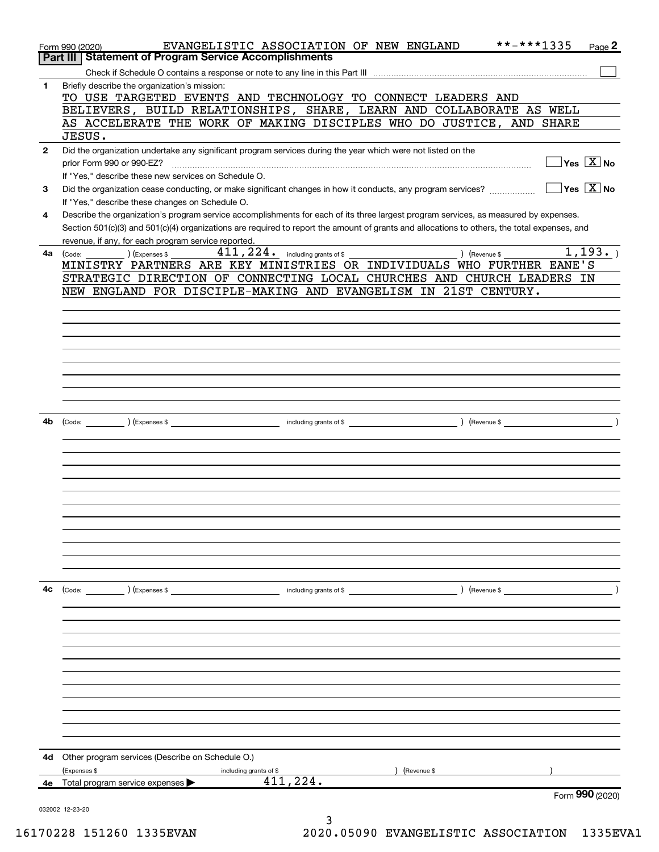|              | EVANGELISTIC ASSOCIATION OF NEW ENGLAND<br>Form 990 (2020)                                                                                   | **-***1335                                      | $Page$ 2                               |
|--------------|----------------------------------------------------------------------------------------------------------------------------------------------|-------------------------------------------------|----------------------------------------|
|              | Part III   Statement of Program Service Accomplishments                                                                                      |                                                 |                                        |
|              |                                                                                                                                              |                                                 |                                        |
| 1            | Briefly describe the organization's mission:                                                                                                 |                                                 |                                        |
|              | TO USE TARGETED EVENTS AND TECHNOLOGY TO CONNECT LEADERS AND                                                                                 |                                                 |                                        |
|              | BELIEVERS, BUILD RELATIONSHIPS, SHARE, LEARN AND COLLABORATE AS WELL                                                                         |                                                 |                                        |
|              | AS ACCELERATE THE WORK OF MAKING DISCIPLES WHO DO JUSTICE, AND SHARE                                                                         |                                                 |                                        |
|              | JESUS.                                                                                                                                       |                                                 |                                        |
| $\mathbf{2}$ | Did the organization undertake any significant program services during the year which were not listed on the                                 |                                                 |                                        |
|              | prior Form 990 or 990-EZ?                                                                                                                    |                                                 | $\sqrt{}$ Yes $\sqrt{}$ X $\sqrt{}$ No |
|              | If "Yes," describe these new services on Schedule O.                                                                                         |                                                 |                                        |
| 3            | Did the organization cease conducting, or make significant changes in how it conducts, any program services?                                 | $\boxed{\phantom{1}}$ Yes $\boxed{\text{X}}$ No |                                        |
|              | If "Yes," describe these changes on Schedule O.                                                                                              |                                                 |                                        |
| 4            | Describe the organization's program service accomplishments for each of its three largest program services, as measured by expenses.         |                                                 |                                        |
|              | Section 501(c)(3) and 501(c)(4) organizations are required to report the amount of grants and allocations to others, the total expenses, and |                                                 |                                        |
|              |                                                                                                                                              |                                                 |                                        |
| 4a           | revenue, if any, for each program service reported.<br>$(Ex)$ (Expenses \$                                                                   |                                                 | 1, 193.                                |
|              | (Code:<br>MINISTRY PARTNERS ARE KEY MINISTRIES OR INDIVIDUALS WHO FURTHER EANE'S                                                             | (Revenue \$                                     |                                        |
|              | STRATEGIC DIRECTION OF CONNECTING LOCAL CHURCHES AND CHURCH LEADERS IN                                                                       |                                                 |                                        |
|              | NEW ENGLAND FOR DISCIPLE-MAKING AND EVANGELISM IN 21ST CENTURY.                                                                              |                                                 |                                        |
|              |                                                                                                                                              |                                                 |                                        |
|              |                                                                                                                                              |                                                 |                                        |
|              |                                                                                                                                              |                                                 |                                        |
|              |                                                                                                                                              |                                                 |                                        |
|              |                                                                                                                                              |                                                 |                                        |
|              |                                                                                                                                              |                                                 |                                        |
|              |                                                                                                                                              |                                                 |                                        |
|              |                                                                                                                                              |                                                 |                                        |
|              |                                                                                                                                              |                                                 |                                        |
|              |                                                                                                                                              |                                                 |                                        |
| 4b           |                                                                                                                                              |                                                 |                                        |
|              |                                                                                                                                              |                                                 |                                        |
|              |                                                                                                                                              |                                                 |                                        |
|              |                                                                                                                                              |                                                 |                                        |
|              |                                                                                                                                              |                                                 |                                        |
|              |                                                                                                                                              |                                                 |                                        |
|              |                                                                                                                                              |                                                 |                                        |
|              |                                                                                                                                              |                                                 |                                        |
|              |                                                                                                                                              |                                                 |                                        |
|              |                                                                                                                                              |                                                 |                                        |
|              |                                                                                                                                              |                                                 |                                        |
|              |                                                                                                                                              |                                                 |                                        |
|              |                                                                                                                                              |                                                 |                                        |
| 4с           | (Code: ) (Expenses \$<br>) (Revenue \$<br>including grants of \$                                                                             |                                                 |                                        |
|              |                                                                                                                                              |                                                 |                                        |
|              |                                                                                                                                              |                                                 |                                        |
|              |                                                                                                                                              |                                                 |                                        |
|              |                                                                                                                                              |                                                 |                                        |
|              |                                                                                                                                              |                                                 |                                        |
|              |                                                                                                                                              |                                                 |                                        |
|              |                                                                                                                                              |                                                 |                                        |
|              |                                                                                                                                              |                                                 |                                        |
|              |                                                                                                                                              |                                                 |                                        |
|              |                                                                                                                                              |                                                 |                                        |
|              |                                                                                                                                              |                                                 |                                        |
|              |                                                                                                                                              |                                                 |                                        |
| 4d           | Other program services (Describe on Schedule O.)                                                                                             |                                                 |                                        |
|              | (Expenses \$<br>(Revenue \$<br>including grants of \$                                                                                        |                                                 |                                        |
| 4e -         | 411,224.<br>Total program service expenses $\blacktriangleright$                                                                             |                                                 |                                        |
|              |                                                                                                                                              |                                                 | Form 990 (2020)                        |
|              | 032002 12-23-20                                                                                                                              |                                                 |                                        |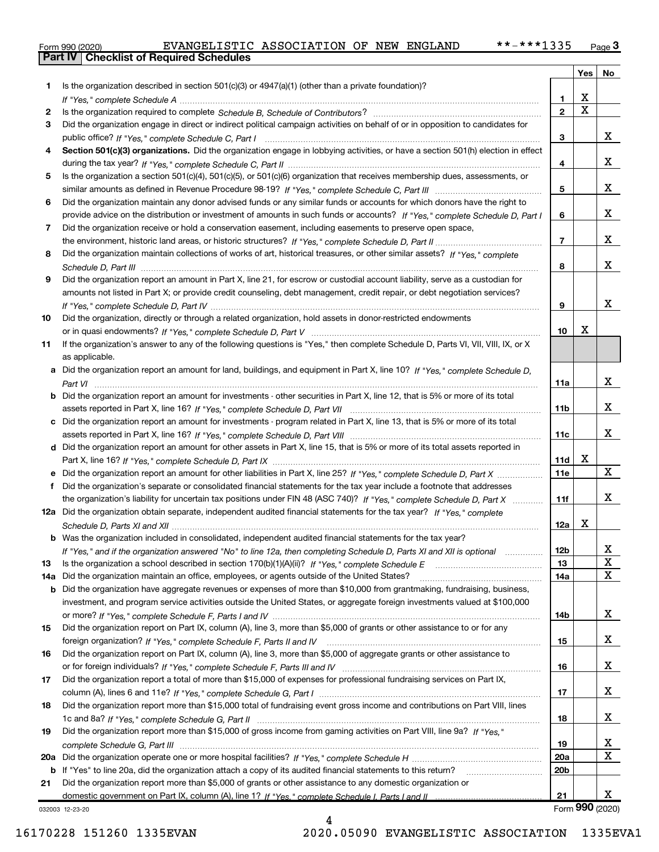|  | Form 990 (2020) |
|--|-----------------|

|     |                                                                                                                                                                                                                                |                 | Yes | No              |
|-----|--------------------------------------------------------------------------------------------------------------------------------------------------------------------------------------------------------------------------------|-----------------|-----|-----------------|
| 1   | Is the organization described in section $501(c)(3)$ or $4947(a)(1)$ (other than a private foundation)?                                                                                                                        |                 |     |                 |
|     |                                                                                                                                                                                                                                | 1.              | X   |                 |
| 2   | Is the organization required to complete Schedule B, Schedule of Contributors? [11] [12] the organization required to complete Schedule B, Schedule of Contributors? [12] [12] [12] the organization required to complete Sche | $\overline{2}$  | X   |                 |
| 3   | Did the organization engage in direct or indirect political campaign activities on behalf of or in opposition to candidates for                                                                                                |                 |     |                 |
|     |                                                                                                                                                                                                                                | 3               |     | x               |
| 4   | Section 501(c)(3) organizations. Did the organization engage in lobbying activities, or have a section 501(h) election in effect                                                                                               |                 |     |                 |
|     |                                                                                                                                                                                                                                | 4               |     | X               |
| 5   | Is the organization a section 501(c)(4), 501(c)(5), or 501(c)(6) organization that receives membership dues, assessments, or                                                                                                   |                 |     |                 |
|     |                                                                                                                                                                                                                                | 5               |     | X               |
| 6   | Did the organization maintain any donor advised funds or any similar funds or accounts for which donors have the right to                                                                                                      |                 |     |                 |
|     | provide advice on the distribution or investment of amounts in such funds or accounts? If "Yes," complete Schedule D, Part I                                                                                                   | 6               |     | x               |
| 7   | Did the organization receive or hold a conservation easement, including easements to preserve open space,                                                                                                                      |                 |     |                 |
|     |                                                                                                                                                                                                                                | $\overline{7}$  |     | x               |
| 8   | Did the organization maintain collections of works of art, historical treasures, or other similar assets? If "Yes." complete                                                                                                   |                 |     |                 |
|     |                                                                                                                                                                                                                                | 8               |     | x               |
| 9   | Did the organization report an amount in Part X, line 21, for escrow or custodial account liability, serve as a custodian for                                                                                                  |                 |     |                 |
|     | amounts not listed in Part X; or provide credit counseling, debt management, credit repair, or debt negotiation services?                                                                                                      |                 |     |                 |
|     |                                                                                                                                                                                                                                | 9               |     | x               |
| 10  | Did the organization, directly or through a related organization, hold assets in donor-restricted endowments                                                                                                                   |                 |     |                 |
|     |                                                                                                                                                                                                                                | 10              | x   |                 |
| 11  | If the organization's answer to any of the following questions is "Yes," then complete Schedule D, Parts VI, VIII, VIII, IX, or X                                                                                              |                 |     |                 |
|     | as applicable.                                                                                                                                                                                                                 |                 |     |                 |
|     | a Did the organization report an amount for land, buildings, and equipment in Part X, line 10? If "Yes," complete Schedule D.                                                                                                  |                 |     | x               |
|     |                                                                                                                                                                                                                                | 11a             |     |                 |
|     | <b>b</b> Did the organization report an amount for investments - other securities in Part X, line 12, that is 5% or more of its total                                                                                          | 11b             |     | x               |
|     | c Did the organization report an amount for investments - program related in Part X, line 13, that is 5% or more of its total                                                                                                  |                 |     |                 |
|     |                                                                                                                                                                                                                                | 11c             |     | x               |
|     | d Did the organization report an amount for other assets in Part X, line 15, that is 5% or more of its total assets reported in                                                                                                |                 |     |                 |
|     |                                                                                                                                                                                                                                | 11d             | х   |                 |
|     |                                                                                                                                                                                                                                | 11e             |     | X               |
| f   | Did the organization's separate or consolidated financial statements for the tax year include a footnote that addresses                                                                                                        |                 |     |                 |
|     | the organization's liability for uncertain tax positions under FIN 48 (ASC 740)? If "Yes," complete Schedule D, Part X                                                                                                         | 11f             |     | x               |
|     | 12a Did the organization obtain separate, independent audited financial statements for the tax year? If "Yes," complete                                                                                                        |                 |     |                 |
|     |                                                                                                                                                                                                                                | 12a             | х   |                 |
|     | <b>b</b> Was the organization included in consolidated, independent audited financial statements for the tax year?                                                                                                             |                 |     |                 |
|     | If "Yes," and if the organization answered "No" to line 12a, then completing Schedule D, Parts XI and XII is optional                                                                                                          | 12 <sub>b</sub> |     | 47              |
| 13  |                                                                                                                                                                                                                                | 13              |     | X               |
| 14a | Did the organization maintain an office, employees, or agents outside of the United States?                                                                                                                                    | 14a             |     | X               |
|     | <b>b</b> Did the organization have aggregate revenues or expenses of more than \$10,000 from grantmaking, fundraising, business,                                                                                               |                 |     |                 |
|     | investment, and program service activities outside the United States, or aggregate foreign investments valued at \$100,000                                                                                                     |                 |     |                 |
|     |                                                                                                                                                                                                                                | 14b             |     | x               |
| 15  | Did the organization report on Part IX, column (A), line 3, more than \$5,000 of grants or other assistance to or for any                                                                                                      |                 |     |                 |
|     |                                                                                                                                                                                                                                | 15              |     | x               |
| 16  | Did the organization report on Part IX, column (A), line 3, more than \$5,000 of aggregate grants or other assistance to                                                                                                       |                 |     |                 |
|     |                                                                                                                                                                                                                                | 16              |     | x               |
| 17  | Did the organization report a total of more than \$15,000 of expenses for professional fundraising services on Part IX,                                                                                                        |                 |     |                 |
|     |                                                                                                                                                                                                                                | 17              |     | x               |
| 18  | Did the organization report more than \$15,000 total of fundraising event gross income and contributions on Part VIII, lines                                                                                                   |                 |     |                 |
|     |                                                                                                                                                                                                                                | 18              |     | x               |
| 19  | Did the organization report more than \$15,000 of gross income from gaming activities on Part VIII, line 9a? If "Yes."                                                                                                         |                 |     |                 |
|     |                                                                                                                                                                                                                                | 19              |     | x               |
|     |                                                                                                                                                                                                                                | 20a             |     | X               |
|     | <b>b</b> If "Yes" to line 20a, did the organization attach a copy of its audited financial statements to this return?                                                                                                          | 20 <sub>b</sub> |     |                 |
| 21  | Did the organization report more than \$5,000 of grants or other assistance to any domestic organization or                                                                                                                    | 21              |     | x               |
|     |                                                                                                                                                                                                                                |                 |     | Form 990 (2020) |
|     | 032003 12-23-20                                                                                                                                                                                                                |                 |     |                 |

4

032003 12-23-20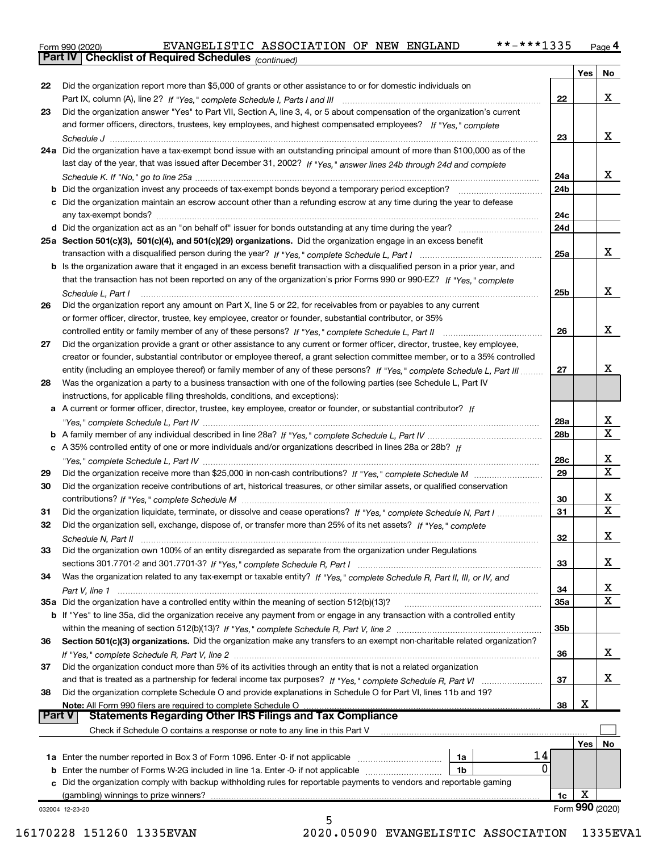Part IV Checklist of Required Schedules  $_{(continued)}$ 

| <b>Part V</b> | <b>Statements Regarding Other IRS Filings and Tax Compliance</b><br>Check if Schedule O contains a response or note to any line in this Part V<br>14<br>1a Enter the number reported in Box 3 of Form 1096. Enter -0- if not applicable<br>1a<br>0<br><b>b</b> Enter the number of Forms W-2G included in line 1a. Enter -0- if not applicable<br>1b<br>c Did the organization comply with backup withholding rules for reportable payments to vendors and reportable gaming<br>(gambling) winnings to prize winners? | 1c                     | Yes<br>X | No           |  |  |  |  |
|---------------|-----------------------------------------------------------------------------------------------------------------------------------------------------------------------------------------------------------------------------------------------------------------------------------------------------------------------------------------------------------------------------------------------------------------------------------------------------------------------------------------------------------------------|------------------------|----------|--------------|--|--|--|--|
|               |                                                                                                                                                                                                                                                                                                                                                                                                                                                                                                                       |                        |          |              |  |  |  |  |
|               |                                                                                                                                                                                                                                                                                                                                                                                                                                                                                                                       |                        |          |              |  |  |  |  |
|               |                                                                                                                                                                                                                                                                                                                                                                                                                                                                                                                       |                        |          |              |  |  |  |  |
|               |                                                                                                                                                                                                                                                                                                                                                                                                                                                                                                                       |                        |          |              |  |  |  |  |
|               |                                                                                                                                                                                                                                                                                                                                                                                                                                                                                                                       |                        |          |              |  |  |  |  |
|               |                                                                                                                                                                                                                                                                                                                                                                                                                                                                                                                       |                        |          |              |  |  |  |  |
|               |                                                                                                                                                                                                                                                                                                                                                                                                                                                                                                                       |                        |          |              |  |  |  |  |
|               | Note: All Form 990 filers are required to complete Schedule O                                                                                                                                                                                                                                                                                                                                                                                                                                                         | 38                     | X        |              |  |  |  |  |
| 38            | Did the organization complete Schedule O and provide explanations in Schedule O for Part VI, lines 11b and 19?                                                                                                                                                                                                                                                                                                                                                                                                        |                        |          |              |  |  |  |  |
|               |                                                                                                                                                                                                                                                                                                                                                                                                                                                                                                                       | 37                     |          | х            |  |  |  |  |
| 37            | Did the organization conduct more than 5% of its activities through an entity that is not a related organization                                                                                                                                                                                                                                                                                                                                                                                                      |                        |          |              |  |  |  |  |
|               |                                                                                                                                                                                                                                                                                                                                                                                                                                                                                                                       | 36                     |          | x            |  |  |  |  |
| 36            | Section 501(c)(3) organizations. Did the organization make any transfers to an exempt non-charitable related organization?                                                                                                                                                                                                                                                                                                                                                                                            |                        |          |              |  |  |  |  |
|               |                                                                                                                                                                                                                                                                                                                                                                                                                                                                                                                       | 35b                    |          |              |  |  |  |  |
|               | b If "Yes" to line 35a, did the organization receive any payment from or engage in any transaction with a controlled entity                                                                                                                                                                                                                                                                                                                                                                                           |                        |          |              |  |  |  |  |
|               | 35a Did the organization have a controlled entity within the meaning of section 512(b)(13)?                                                                                                                                                                                                                                                                                                                                                                                                                           | 35a                    |          | X            |  |  |  |  |
|               |                                                                                                                                                                                                                                                                                                                                                                                                                                                                                                                       | 34                     |          | x            |  |  |  |  |
| 34            | Was the organization related to any tax-exempt or taxable entity? If "Yes," complete Schedule R, Part II, III, or IV, and                                                                                                                                                                                                                                                                                                                                                                                             |                        |          |              |  |  |  |  |
|               |                                                                                                                                                                                                                                                                                                                                                                                                                                                                                                                       | 33                     |          | х            |  |  |  |  |
| 33            | Did the organization own 100% of an entity disregarded as separate from the organization under Regulations                                                                                                                                                                                                                                                                                                                                                                                                            |                        |          |              |  |  |  |  |
|               |                                                                                                                                                                                                                                                                                                                                                                                                                                                                                                                       | 32                     |          | х            |  |  |  |  |
| 32            | Did the organization sell, exchange, dispose of, or transfer more than 25% of its net assets? If "Yes," complete                                                                                                                                                                                                                                                                                                                                                                                                      |                        |          |              |  |  |  |  |
| 31            | Did the organization liquidate, terminate, or dissolve and cease operations? If "Yes," complete Schedule N, Part I                                                                                                                                                                                                                                                                                                                                                                                                    | 31                     |          | $\mathbf x$  |  |  |  |  |
|               |                                                                                                                                                                                                                                                                                                                                                                                                                                                                                                                       | 30                     |          | x            |  |  |  |  |
| 30            | Did the organization receive contributions of art, historical treasures, or other similar assets, or qualified conservation                                                                                                                                                                                                                                                                                                                                                                                           |                        |          |              |  |  |  |  |
| 29            |                                                                                                                                                                                                                                                                                                                                                                                                                                                                                                                       | 29                     |          | $\mathbf X$  |  |  |  |  |
|               |                                                                                                                                                                                                                                                                                                                                                                                                                                                                                                                       | 28c                    |          | х            |  |  |  |  |
|               | c A 35% controlled entity of one or more individuals and/or organizations described in lines 28a or 28b? If                                                                                                                                                                                                                                                                                                                                                                                                           |                        |          |              |  |  |  |  |
|               |                                                                                                                                                                                                                                                                                                                                                                                                                                                                                                                       | 28 <sub>b</sub>        |          | $\mathbf{x}$ |  |  |  |  |
|               | "Yes," complete Schedule L, Part IV (1111) (2000) (2001) (2012) (2013) (2014) (2013) (2014) (2014) (2014) (201                                                                                                                                                                                                                                                                                                                                                                                                        | 28a                    |          | x            |  |  |  |  |
|               | instructions, for applicable filing thresholds, conditions, and exceptions):<br>a A current or former officer, director, trustee, key employee, creator or founder, or substantial contributor? If                                                                                                                                                                                                                                                                                                                    |                        |          |              |  |  |  |  |
| 28            |                                                                                                                                                                                                                                                                                                                                                                                                                                                                                                                       |                        |          |              |  |  |  |  |
|               | Was the organization a party to a business transaction with one of the following parties (see Schedule L, Part IV                                                                                                                                                                                                                                                                                                                                                                                                     |                        |          |              |  |  |  |  |
|               | entity (including an employee thereof) or family member of any of these persons? If "Yes," complete Schedule L, Part III                                                                                                                                                                                                                                                                                                                                                                                              | 27                     |          | х            |  |  |  |  |
|               | creator or founder, substantial contributor or employee thereof, a grant selection committee member, or to a 35% controlled                                                                                                                                                                                                                                                                                                                                                                                           |                        |          |              |  |  |  |  |
| 27            | Did the organization provide a grant or other assistance to any current or former officer, director, trustee, key employee,                                                                                                                                                                                                                                                                                                                                                                                           |                        |          |              |  |  |  |  |
|               | controlled entity or family member of any of these persons? If "Yes," complete Schedule L, Part II                                                                                                                                                                                                                                                                                                                                                                                                                    | 26                     |          | х            |  |  |  |  |
|               | or former officer, director, trustee, key employee, creator or founder, substantial contributor, or 35%                                                                                                                                                                                                                                                                                                                                                                                                               |                        |          |              |  |  |  |  |
| 26            | Did the organization report any amount on Part X, line 5 or 22, for receivables from or payables to any current                                                                                                                                                                                                                                                                                                                                                                                                       |                        |          |              |  |  |  |  |
|               | Schedule L, Part I                                                                                                                                                                                                                                                                                                                                                                                                                                                                                                    | 25 <sub>b</sub>        |          | X            |  |  |  |  |
|               | that the transaction has not been reported on any of the organization's prior Forms 990 or 990-EZ? If "Yes." complete                                                                                                                                                                                                                                                                                                                                                                                                 |                        |          |              |  |  |  |  |
|               | b Is the organization aware that it engaged in an excess benefit transaction with a disqualified person in a prior year, and                                                                                                                                                                                                                                                                                                                                                                                          |                        |          |              |  |  |  |  |
|               | 25a Section 501(c)(3), 501(c)(4), and 501(c)(29) organizations. Did the organization engage in an excess benefit                                                                                                                                                                                                                                                                                                                                                                                                      | 25a                    |          | х            |  |  |  |  |
|               |                                                                                                                                                                                                                                                                                                                                                                                                                                                                                                                       |                        |          |              |  |  |  |  |
|               |                                                                                                                                                                                                                                                                                                                                                                                                                                                                                                                       | 24d                    |          |              |  |  |  |  |
|               | c Did the organization maintain an escrow account other than a refunding escrow at any time during the year to defease                                                                                                                                                                                                                                                                                                                                                                                                | 24c                    |          |              |  |  |  |  |
|               |                                                                                                                                                                                                                                                                                                                                                                                                                                                                                                                       |                        |          |              |  |  |  |  |
|               |                                                                                                                                                                                                                                                                                                                                                                                                                                                                                                                       | 24a<br>24 <sub>b</sub> |          |              |  |  |  |  |
|               | last day of the year, that was issued after December 31, 2002? If "Yes," answer lines 24b through 24d and complete                                                                                                                                                                                                                                                                                                                                                                                                    |                        |          | х            |  |  |  |  |
|               | 24a Did the organization have a tax-exempt bond issue with an outstanding principal amount of more than \$100,000 as of the                                                                                                                                                                                                                                                                                                                                                                                           |                        |          |              |  |  |  |  |
|               |                                                                                                                                                                                                                                                                                                                                                                                                                                                                                                                       |                        |          |              |  |  |  |  |
|               | and former officers, directors, trustees, key employees, and highest compensated employees? If "Yes," complete                                                                                                                                                                                                                                                                                                                                                                                                        | 23                     |          | x            |  |  |  |  |
| 23            | Did the organization answer "Yes" to Part VII, Section A, line 3, 4, or 5 about compensation of the organization's current                                                                                                                                                                                                                                                                                                                                                                                            |                        |          |              |  |  |  |  |
|               |                                                                                                                                                                                                                                                                                                                                                                                                                                                                                                                       | 22                     |          | X            |  |  |  |  |
| 22            | Did the organization report more than \$5,000 of grants or other assistance to or for domestic individuals on                                                                                                                                                                                                                                                                                                                                                                                                         |                        |          |              |  |  |  |  |
|               |                                                                                                                                                                                                                                                                                                                                                                                                                                                                                                                       |                        | Yes      | No           |  |  |  |  |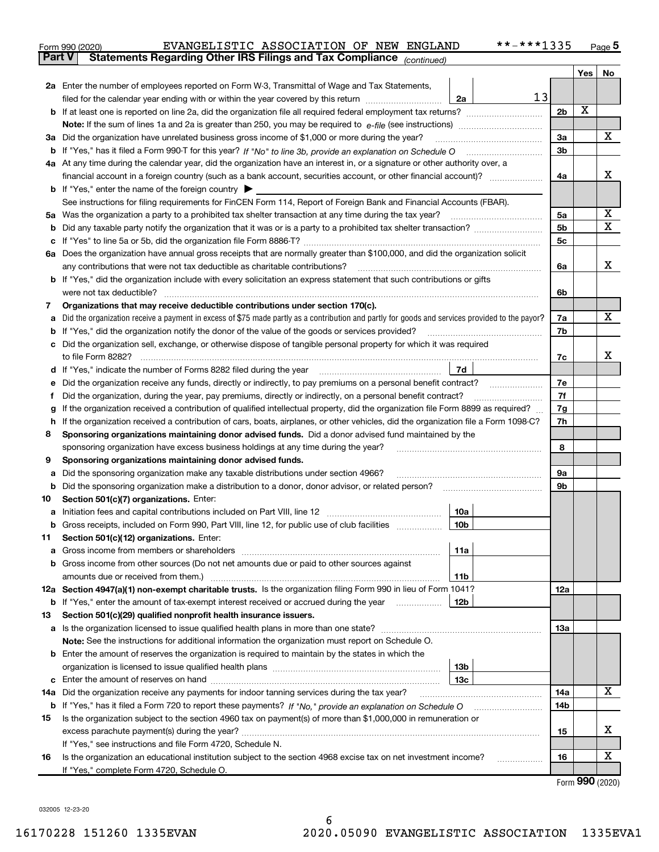| Form 990 (2020) | EVANGELISTIC ASSOCIATION OF NEW ENGLAND                                                  |  |  | **-***1335 | Page |
|-----------------|------------------------------------------------------------------------------------------|--|--|------------|------|
|                 | <b>Part V</b> Statements Regarding Other IRS Filings and Tax Compliance $_{(continued)}$ |  |  |            |      |

|     |                                                                                                                                                 |                        |    |                      | Yes | No |  |  |  |  |
|-----|-------------------------------------------------------------------------------------------------------------------------------------------------|------------------------|----|----------------------|-----|----|--|--|--|--|
|     | 2a Enter the number of employees reported on Form W-3, Transmittal of Wage and Tax Statements,                                                  |                        |    |                      |     |    |  |  |  |  |
|     | filed for the calendar year ending with or within the year covered by this return <i>manumumumum</i>                                            | 2a                     | 13 |                      |     |    |  |  |  |  |
|     | <b>b</b> If at least one is reported on line 2a, did the organization file all required federal employment tax returns?                         |                        |    | 2 <sub>b</sub>       | X   |    |  |  |  |  |
|     | <b>Note:</b> If the sum of lines 1a and 2a is greater than 250, you may be required to $e$ -file (see instructions)                             |                        |    |                      |     |    |  |  |  |  |
|     | 3a Did the organization have unrelated business gross income of \$1,000 or more during the year?                                                |                        |    |                      |     |    |  |  |  |  |
|     |                                                                                                                                                 |                        |    |                      |     |    |  |  |  |  |
|     | 4a At any time during the calendar year, did the organization have an interest in, or a signature or other authority over, a                    |                        |    |                      |     |    |  |  |  |  |
|     |                                                                                                                                                 |                        |    | 4a                   |     | х  |  |  |  |  |
|     | <b>b</b> If "Yes," enter the name of the foreign country                                                                                        |                        |    |                      |     |    |  |  |  |  |
|     | See instructions for filing requirements for FinCEN Form 114, Report of Foreign Bank and Financial Accounts (FBAR).                             |                        |    |                      |     | х  |  |  |  |  |
| 5а  |                                                                                                                                                 |                        |    | 5a<br>5 <sub>b</sub> |     | X  |  |  |  |  |
|     |                                                                                                                                                 |                        |    | 5c                   |     |    |  |  |  |  |
|     | 6a Does the organization have annual gross receipts that are normally greater than \$100,000, and did the organization solicit                  |                        |    |                      |     |    |  |  |  |  |
|     | any contributions that were not tax deductible as charitable contributions?                                                                     |                        |    | 6a                   |     | х  |  |  |  |  |
|     | b If "Yes," did the organization include with every solicitation an express statement that such contributions or gifts                          |                        |    |                      |     |    |  |  |  |  |
|     | were not tax deductible?                                                                                                                        |                        |    | 6b                   |     |    |  |  |  |  |
| 7   | Organizations that may receive deductible contributions under section 170(c).                                                                   |                        |    |                      |     |    |  |  |  |  |
|     | Did the organization receive a payment in excess of \$75 made partly as a contribution and partly for goods and services provided to the payor? |                        |    | 7a                   |     | х  |  |  |  |  |
|     | If "Yes," did the organization notify the donor of the value of the goods or services provided?                                                 |                        |    | 7b                   |     |    |  |  |  |  |
|     | Did the organization sell, exchange, or otherwise dispose of tangible personal property for which it was required                               |                        |    |                      |     |    |  |  |  |  |
|     |                                                                                                                                                 |                        |    | 7c                   |     | х  |  |  |  |  |
|     |                                                                                                                                                 | 7d                     |    |                      |     |    |  |  |  |  |
|     | Did the organization receive any funds, directly or indirectly, to pay premiums on a personal benefit contract?                                 |                        |    |                      |     |    |  |  |  |  |
|     | Did the organization, during the year, pay premiums, directly or indirectly, on a personal benefit contract?                                    |                        |    |                      |     |    |  |  |  |  |
| g   | If the organization received a contribution of qualified intellectual property, did the organization file Form 8899 as required?                |                        |    | 7g                   |     |    |  |  |  |  |
| h   | If the organization received a contribution of cars, boats, airplanes, or other vehicles, did the organization file a Form 1098-C?              |                        |    |                      |     |    |  |  |  |  |
| 8   | Sponsoring organizations maintaining donor advised funds. Did a donor advised fund maintained by the                                            |                        |    |                      |     |    |  |  |  |  |
|     | sponsoring organization have excess business holdings at any time during the year?                                                              |                        |    |                      |     |    |  |  |  |  |
| 9   | Sponsoring organizations maintaining donor advised funds.                                                                                       |                        |    |                      |     |    |  |  |  |  |
| а   | Did the sponsoring organization make any taxable distributions under section 4966?                                                              |                        |    | <b>9a</b>            |     |    |  |  |  |  |
| b   | Did the sponsoring organization make a distribution to a donor, donor advisor, or related person?                                               |                        |    | 9b                   |     |    |  |  |  |  |
| 10  | Section 501(c)(7) organizations. Enter:                                                                                                         |                        |    |                      |     |    |  |  |  |  |
| а   | <b>b</b> Gross receipts, included on Form 990, Part VIII, line 12, for public use of club facilities                                            | 10a<br>10 <sub>b</sub> |    |                      |     |    |  |  |  |  |
| 11. | Section 501(c)(12) organizations. Enter:                                                                                                        |                        |    |                      |     |    |  |  |  |  |
|     | Gross income from members or shareholders                                                                                                       | 11a                    |    |                      |     |    |  |  |  |  |
|     | <b>b</b> Gross income from other sources (Do not net amounts due or paid to other sources against                                               |                        |    |                      |     |    |  |  |  |  |
|     | amounts due or received from them.)                                                                                                             | 11b                    |    |                      |     |    |  |  |  |  |
|     | 12a Section 4947(a)(1) non-exempt charitable trusts. Is the organization filing Form 990 in lieu of Form 1041?                                  |                        |    | 12a                  |     |    |  |  |  |  |
|     | <b>b</b> If "Yes," enter the amount of tax-exempt interest received or accrued during the year                                                  | 12b                    |    |                      |     |    |  |  |  |  |
| 13  | Section 501(c)(29) qualified nonprofit health insurance issuers.                                                                                |                        |    |                      |     |    |  |  |  |  |
|     | a Is the organization licensed to issue qualified health plans in more than one state?                                                          |                        |    | 13a                  |     |    |  |  |  |  |
|     | Note: See the instructions for additional information the organization must report on Schedule O.                                               |                        |    |                      |     |    |  |  |  |  |
|     | <b>b</b> Enter the amount of reserves the organization is required to maintain by the states in which the                                       |                        |    |                      |     |    |  |  |  |  |
|     |                                                                                                                                                 | 13 <sub>b</sub>        |    |                      |     |    |  |  |  |  |
|     |                                                                                                                                                 | 13 <sub>c</sub>        |    |                      |     |    |  |  |  |  |
|     | 14a Did the organization receive any payments for indoor tanning services during the tax year?                                                  |                        |    | 14a                  |     | x  |  |  |  |  |
|     | <b>b</b> If "Yes," has it filed a Form 720 to report these payments? If "No," provide an explanation on Schedule O                              |                        |    | 14b                  |     |    |  |  |  |  |
| 15  | Is the organization subject to the section 4960 tax on payment(s) of more than \$1,000,000 in remuneration or                                   |                        |    |                      |     |    |  |  |  |  |
|     |                                                                                                                                                 |                        |    | 15                   |     | х  |  |  |  |  |
|     | If "Yes," see instructions and file Form 4720, Schedule N.                                                                                      |                        |    |                      |     | х  |  |  |  |  |
| 16  | Is the organization an educational institution subject to the section 4968 excise tax on net investment income?                                 |                        |    | 16                   |     |    |  |  |  |  |
|     | If "Yes," complete Form 4720, Schedule O.                                                                                                       |                        |    |                      |     |    |  |  |  |  |

Form 990 (2020)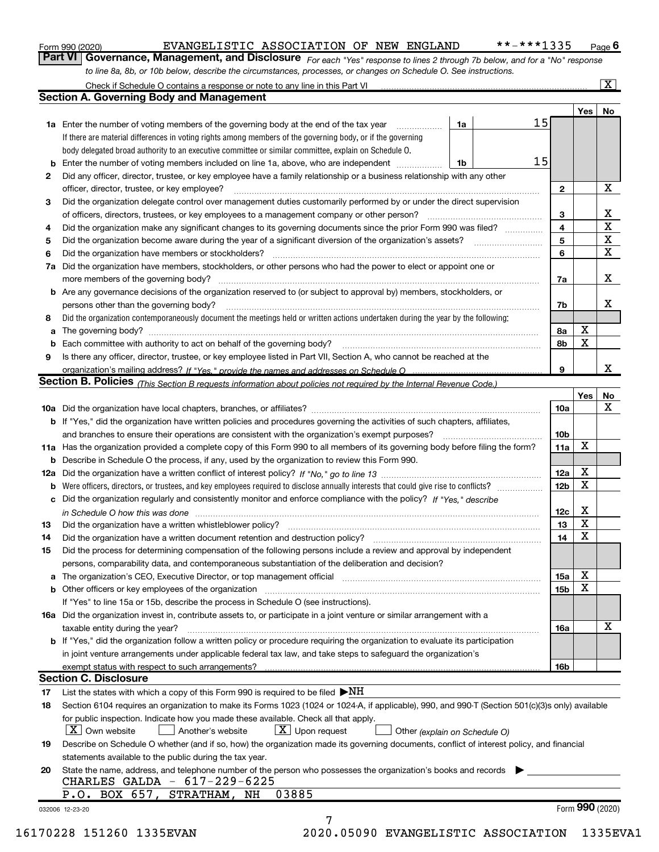| Form 990 (2020) |  |
|-----------------|--|
|-----------------|--|

Part VI | Governance, Management, and Disclosure  $F_{Or}$  each "Yes" response to lines 2 through 7b below, and for a "No" response to line 8a, 8b, or 10b below, describe the circumstances, processes, or changes on Schedule O. See instructions.

|                 |                                                                                                                                                                                                                                |    |    |                         | Yes             | No          |
|-----------------|--------------------------------------------------------------------------------------------------------------------------------------------------------------------------------------------------------------------------------|----|----|-------------------------|-----------------|-------------|
|                 | <b>1a</b> Enter the number of voting members of the governing body at the end of the tax year <i>manumum</i>                                                                                                                   | 1a | 15 |                         |                 |             |
|                 | If there are material differences in voting rights among members of the governing body, or if the governing                                                                                                                    |    |    |                         |                 |             |
|                 | body delegated broad authority to an executive committee or similar committee, explain on Schedule O.                                                                                                                          |    |    |                         |                 |             |
|                 | Enter the number of voting members included on line 1a, above, who are independent                                                                                                                                             | 1b | 15 |                         |                 |             |
| 2               | Did any officer, director, trustee, or key employee have a family relationship or a business relationship with any other                                                                                                       |    |    |                         |                 |             |
|                 | officer, director, trustee, or key employee?                                                                                                                                                                                   |    |    | $\overline{2}$          |                 | X           |
| 3               | Did the organization delegate control over management duties customarily performed by or under the direct supervision                                                                                                          |    |    |                         |                 |             |
|                 |                                                                                                                                                                                                                                |    |    | 3                       |                 | х           |
| 4               | Did the organization make any significant changes to its governing documents since the prior Form 990 was filed?                                                                                                               |    |    | $\overline{\mathbf{4}}$ |                 | $\mathbf X$ |
| 5               |                                                                                                                                                                                                                                |    |    | 5                       |                 | X           |
| 6               | Did the organization have members or stockholders?                                                                                                                                                                             |    |    | 6                       |                 | $\mathbf X$ |
|                 | 7a Did the organization have members, stockholders, or other persons who had the power to elect or appoint one or                                                                                                              |    |    |                         |                 |             |
|                 |                                                                                                                                                                                                                                |    |    | 7a                      |                 | Х           |
|                 | <b>b</b> Are any governance decisions of the organization reserved to (or subject to approval by) members, stockholders, or                                                                                                    |    |    |                         |                 |             |
|                 | persons other than the governing body?                                                                                                                                                                                         |    |    | 7b                      |                 | х           |
| 8               | Did the organization contemporaneously document the meetings held or written actions undertaken during the year by the following:                                                                                              |    |    |                         |                 |             |
| а               |                                                                                                                                                                                                                                |    |    | 8a                      | X               |             |
|                 |                                                                                                                                                                                                                                |    |    | 8b                      | X               |             |
| 9               | Is there any officer, director, trustee, or key employee listed in Part VII, Section A, who cannot be reached at the                                                                                                           |    |    |                         |                 |             |
|                 |                                                                                                                                                                                                                                |    |    | 9                       |                 | x           |
|                 | Section B. Policies (This Section B requests information about policies not required by the Internal Revenue Code.)                                                                                                            |    |    |                         |                 |             |
|                 |                                                                                                                                                                                                                                |    |    |                         | Yes             | No          |
|                 |                                                                                                                                                                                                                                |    |    | 10a                     |                 | X           |
|                 | <b>b</b> If "Yes," did the organization have written policies and procedures governing the activities of such chapters, affiliates,                                                                                            |    |    |                         |                 |             |
|                 |                                                                                                                                                                                                                                |    |    | 10 <sub>b</sub>         |                 |             |
|                 | 11a Has the organization provided a complete copy of this Form 990 to all members of its governing body before filing the form?                                                                                                |    |    | 11a                     | X               |             |
|                 | <b>b</b> Describe in Schedule O the process, if any, used by the organization to review this Form 990.                                                                                                                         |    |    |                         |                 |             |
|                 |                                                                                                                                                                                                                                |    |    |                         | Х               |             |
|                 |                                                                                                                                                                                                                                |    |    | 12a                     | X               |             |
| b               |                                                                                                                                                                                                                                |    |    | 12 <sub>b</sub>         |                 |             |
|                 | c Did the organization regularly and consistently monitor and enforce compliance with the policy? If "Yes," describe                                                                                                           |    |    |                         | Х               |             |
|                 | in Schedule O how this was done manufactured and contained a state of the state of the state of the state of the state of the state of the state of the state of the state of the state of the state of the state of the state |    |    | 12c                     | X               |             |
| 13              |                                                                                                                                                                                                                                |    |    | 13                      | X               |             |
| 14              | Did the organization have a written document retention and destruction policy? manufactured and the organization have a written document retention and destruction policy?                                                     |    |    | 14                      |                 |             |
| 15              | Did the process for determining compensation of the following persons include a review and approval by independent                                                                                                             |    |    |                         |                 |             |
|                 | persons, comparability data, and contemporaneous substantiation of the deliberation and decision?                                                                                                                              |    |    |                         |                 |             |
|                 |                                                                                                                                                                                                                                |    |    | 15a                     | X               |             |
|                 | <b>b</b> Other officers or key employees of the organization                                                                                                                                                                   |    |    | 15 <sub>b</sub>         | X               |             |
|                 | If "Yes" to line 15a or 15b, describe the process in Schedule O (see instructions).                                                                                                                                            |    |    |                         |                 |             |
|                 | 16a Did the organization invest in, contribute assets to, or participate in a joint venture or similar arrangement with a                                                                                                      |    |    |                         |                 |             |
|                 | taxable entity during the year?                                                                                                                                                                                                |    |    | 16a                     |                 | x           |
|                 | b If "Yes," did the organization follow a written policy or procedure requiring the organization to evaluate its participation                                                                                                 |    |    |                         |                 |             |
|                 | in joint venture arrangements under applicable federal tax law, and take steps to safeguard the organization's                                                                                                                 |    |    |                         |                 |             |
|                 | exempt status with respect to such arrangements?                                                                                                                                                                               |    |    | 16 <sub>b</sub>         |                 |             |
|                 | <b>Section C. Disclosure</b>                                                                                                                                                                                                   |    |    |                         |                 |             |
| 17              | List the states with which a copy of this Form 990 is required to be filed $\blacktriangleright\!\!NH$                                                                                                                         |    |    |                         |                 |             |
| 18              | Section 6104 requires an organization to make its Forms 1023 (1024 or 1024-A, if applicable), 990, and 990-T (Section 501(c)(3)s only) available                                                                               |    |    |                         |                 |             |
|                 | for public inspection. Indicate how you made these available. Check all that apply.                                                                                                                                            |    |    |                         |                 |             |
|                 | $ X $ Own website<br>$X$ Upon request<br>Another's website<br>Other (explain on Schedule O)                                                                                                                                    |    |    |                         |                 |             |
| 19              | Describe on Schedule O whether (and if so, how) the organization made its governing documents, conflict of interest policy, and financial                                                                                      |    |    |                         |                 |             |
|                 | statements available to the public during the tax year.                                                                                                                                                                        |    |    |                         |                 |             |
| 20              | State the name, address, and telephone number of the person who possesses the organization's books and records                                                                                                                 |    |    |                         |                 |             |
|                 | CHARLES GALDA - 617-229-6225                                                                                                                                                                                                   |    |    |                         |                 |             |
|                 | P.O. BOX 657,<br>03885<br>STRATHAM,<br>NH                                                                                                                                                                                      |    |    |                         |                 |             |
| 032006 12-23-20 |                                                                                                                                                                                                                                |    |    |                         | Form 990 (2020) |             |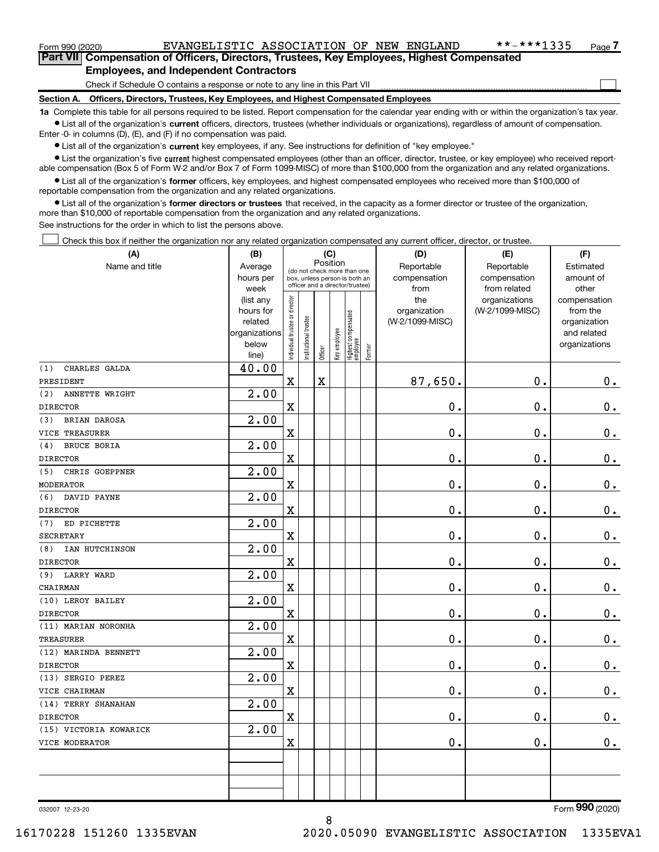$\Box$ 

| Part VII Compensation of Officers, Directors, Trustees, Key Employees, Highest Compensated |
|--------------------------------------------------------------------------------------------|
| <b>Employees, and Independent Contractors</b>                                              |

Check if Schedule O contains a response or note to any line in this Part VII

Section A. Officers, Directors, Trustees, Key Employees, and Highest Compensated Employees

1a Complete this table for all persons required to be listed. Report compensation for the calendar year ending with or within the organization's tax year. Ist all of the organization's current officers, directors, trustees (whether individuals or organizations), regardless of amount of compensation.

Enter -0- in columns (D), (E), and (F) if no compensation was paid.

**•** List all of the organization's current key employees, if any. See instructions for definition of "key employee."

● List the organization's five current highest compensated employees (other than an officer, director, trustee, or key employee) who received reportable compensation (Box 5 of Form W-2 and/or Box 7 of Form 1099-MISC) of more than \$100,000 from the organization and any related organizations.

List all of the organization's former officers, key employees, and highest compensated employees who received more than \$100,000 of reportable compensation from the organization and any related organizations.

• List all of the organization's former directors or trustees that received, in the capacity as a former director or trustee of the organization, more than \$10,000 of reportable compensation from the organization and any related organizations.

See instructions for the order in which to list the persons above.

Check this box if neither the organization nor any related organization compensated any current officer, director, or trustee.  $\perp$ 

| (A)                        | (B)                      |                                |                       | (C)                                                              |              |                                 |        | (D)             | (E)             | (F)                         |
|----------------------------|--------------------------|--------------------------------|-----------------------|------------------------------------------------------------------|--------------|---------------------------------|--------|-----------------|-----------------|-----------------------------|
| Name and title             | Average                  |                                |                       | Position<br>(do not check more than one                          |              |                                 |        | Reportable      | Reportable      | Estimated                   |
|                            | hours per                |                                |                       | box, unless person is both an<br>officer and a director/trustee) |              |                                 |        | compensation    | compensation    | amount of                   |
|                            | week                     |                                |                       |                                                                  |              |                                 |        | from            | from related    | other                       |
|                            | (list any                |                                |                       |                                                                  |              |                                 |        | the             | organizations   | compensation                |
|                            | hours for                |                                |                       |                                                                  |              |                                 |        | organization    | (W-2/1099-MISC) | from the                    |
|                            | related<br>organizations |                                |                       |                                                                  |              |                                 |        | (W-2/1099-MISC) |                 | organization<br>and related |
|                            | below                    |                                |                       |                                                                  |              |                                 |        |                 |                 | organizations               |
|                            | line)                    | Individual trustee or director | Institutional trustee | Officer                                                          | Key employee | Highest compensated<br>employee | Former |                 |                 |                             |
| CHARLES GALDA<br>(1)       | 40.00                    |                                |                       |                                                                  |              |                                 |        |                 |                 |                             |
| PRESIDENT                  |                          | $\rm X$                        |                       | $\overline{\mathbf{X}}$                                          |              |                                 |        | 87,650.         | 0.              | $0_{.}$                     |
| (2)<br>ANNETTE WRIGHT      | 2.00                     |                                |                       |                                                                  |              |                                 |        |                 |                 |                             |
| <b>DIRECTOR</b>            |                          | X                              |                       |                                                                  |              |                                 |        | 0.              | 0.              | $\mathbf 0$ .               |
| <b>BRIAN DAROSA</b><br>(3) | 2.00                     |                                |                       |                                                                  |              |                                 |        |                 |                 |                             |
| VICE TREASURER             |                          | $\rm X$                        |                       |                                                                  |              |                                 |        | 0.              | $\mathbf 0$ .   | $\mathbf 0$ .               |
| <b>BRUCE BORIA</b><br>(4)  | 2.00                     |                                |                       |                                                                  |              |                                 |        |                 |                 |                             |
| <b>DIRECTOR</b>            |                          | X                              |                       |                                                                  |              |                                 |        | 0.              | $\mathbf 0$ .   | $\mathbf 0$ .               |
| CHRIS GOEPPNER<br>(5)      | 2.00                     |                                |                       |                                                                  |              |                                 |        |                 |                 |                             |
| MODERATOR                  |                          | $\overline{\mathbf{X}}$        |                       |                                                                  |              |                                 |        | 0.              | $\mathbf 0$ .   | $0_{.}$                     |
| (6)<br>DAVID PAYNE         | 2.00                     |                                |                       |                                                                  |              |                                 |        |                 |                 |                             |
| <b>DIRECTOR</b>            |                          | X                              |                       |                                                                  |              |                                 |        | 0.              | $\mathbf 0$ .   | $0$ .                       |
| ED PICHETTE<br>(7)         | 2.00                     |                                |                       |                                                                  |              |                                 |        |                 |                 |                             |
| <b>SECRETARY</b>           |                          | $\mathbf x$                    |                       |                                                                  |              |                                 |        | $\mathbf 0$ .   | $\mathbf 0$ .   | $0_{.}$                     |
| IAN HUTCHINSON<br>(8)      | 2.00                     |                                |                       |                                                                  |              |                                 |        |                 |                 |                             |
| <b>DIRECTOR</b>            |                          | X                              |                       |                                                                  |              |                                 |        | 0.              | 0.              | $0_{.}$                     |
| <b>LARRY WARD</b><br>(9)   | 2.00                     |                                |                       |                                                                  |              |                                 |        |                 |                 |                             |
| CHAIRMAN                   |                          | $\mathbf x$                    |                       |                                                                  |              |                                 |        | 0.              | 0.              | $0_{.}$                     |
| (10) LEROY BAILEY          | $\overline{2.00}$        |                                |                       |                                                                  |              |                                 |        |                 |                 |                             |
| <b>DIRECTOR</b>            |                          | X                              |                       |                                                                  |              |                                 |        | 0.              | $\mathbf 0$ .   | $\mathbf 0$ .               |
| (11) MARIAN NORONHA        | $\overline{2.00}$        |                                |                       |                                                                  |              |                                 |        |                 |                 |                             |
| <b>TREASURER</b>           |                          | $\mathbf X$                    |                       |                                                                  |              |                                 |        | 0.              | $\mathbf 0$ .   | $0_{.}$                     |
| (12) MARINDA BENNETT       | $\overline{2.00}$        |                                |                       |                                                                  |              |                                 |        |                 |                 |                             |
| <b>DIRECTOR</b>            |                          | $\overline{\textbf{X}}$        |                       |                                                                  |              |                                 |        | 0.              | 0.              | $0_{.}$                     |
| (13) SERGIO PEREZ          | $\overline{2.00}$        |                                |                       |                                                                  |              |                                 |        |                 |                 |                             |
| VICE CHAIRMAN              |                          | $\rm X$                        |                       |                                                                  |              |                                 |        | 0.              | $\mathbf 0$ .   | $\mathbf 0$ .               |
| (14) TERRY SHANAHAN        | 2.00                     |                                |                       |                                                                  |              |                                 |        |                 |                 |                             |
| <b>DIRECTOR</b>            |                          | X                              |                       |                                                                  |              |                                 |        | 0.              | 0.              | $\mathbf 0$ .               |
| (15) VICTORIA KOWARICK     | 2.00                     |                                |                       |                                                                  |              |                                 |        |                 |                 |                             |
| VICE MODERATOR             |                          | $\mathbf X$                    |                       |                                                                  |              |                                 |        | 0.              | 0.              | $\mathbf 0$ .               |
|                            |                          |                                |                       |                                                                  |              |                                 |        |                 |                 |                             |
|                            |                          |                                |                       |                                                                  |              |                                 |        |                 |                 |                             |
|                            |                          |                                |                       |                                                                  |              |                                 |        |                 |                 |                             |
|                            |                          |                                |                       |                                                                  |              |                                 |        |                 |                 |                             |

8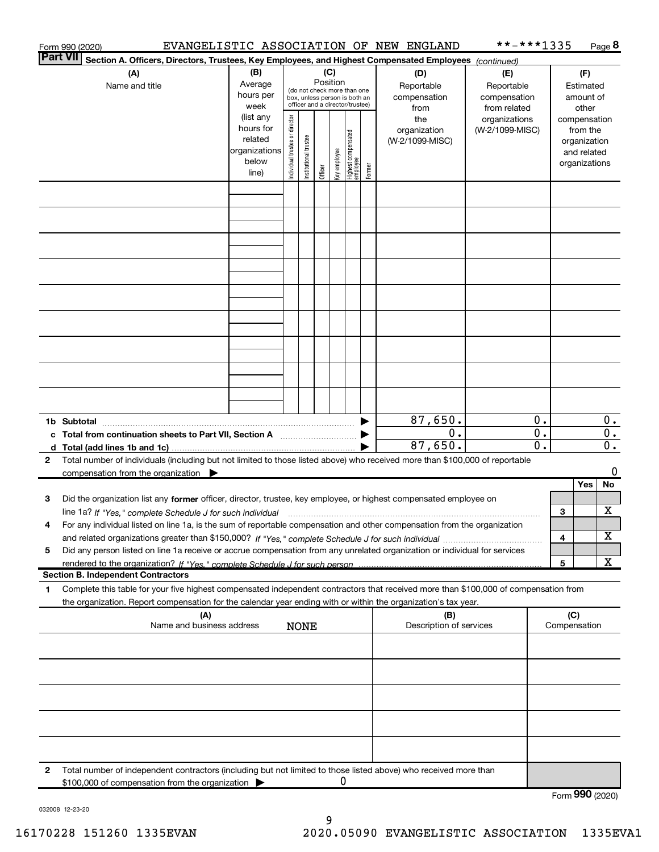|   | EVANGELISTIC ASSOCIATION OF NEW ENGLAND<br>Form 990 (2020)                                                                                                                                                                                                          |                                                                      |                                                                                                                    |                      |         |              |                                           |                                                   |                                        | **-***1335                       |                        |   |                                                                          | Page $8$ |
|---|---------------------------------------------------------------------------------------------------------------------------------------------------------------------------------------------------------------------------------------------------------------------|----------------------------------------------------------------------|--------------------------------------------------------------------------------------------------------------------|----------------------|---------|--------------|-------------------------------------------|---------------------------------------------------|----------------------------------------|----------------------------------|------------------------|---|--------------------------------------------------------------------------|----------|
|   | <b>Part VII</b><br>Section A. Officers, Directors, Trustees, Key Employees, and Highest Compensated Employees (continued)                                                                                                                                           |                                                                      |                                                                                                                    |                      |         |              |                                           |                                                   |                                        |                                  |                        |   |                                                                          |          |
|   | (A)<br>Name and title                                                                                                                                                                                                                                               | (B)<br>Average<br>hours per<br>week                                  | (C)<br>Position<br>(do not check more than one<br>box, unless person is both an<br>officer and a director/trustee) |                      |         |              | (D)<br>Reportable<br>compensation<br>from | (E)<br>Reportable<br>compensation<br>from related |                                        | Estimated<br>amount of           |                        |   |                                                                          |          |
|   |                                                                                                                                                                                                                                                                     | (list any<br>hours for<br>related<br>organizations<br>below<br>line) | Individual trustee or director                                                                                     | nstitutional trustee | Officer | Key employee | Highest compensated<br>employee           | Former                                            | the<br>organization<br>(W-2/1099-MISC) | organizations<br>(W-2/1099-MISC) |                        |   | compensation<br>from the<br>organization<br>and related<br>organizations |          |
|   |                                                                                                                                                                                                                                                                     |                                                                      |                                                                                                                    |                      |         |              |                                           |                                                   |                                        |                                  |                        |   |                                                                          |          |
|   |                                                                                                                                                                                                                                                                     |                                                                      |                                                                                                                    |                      |         |              |                                           |                                                   |                                        |                                  |                        |   |                                                                          |          |
|   |                                                                                                                                                                                                                                                                     |                                                                      |                                                                                                                    |                      |         |              |                                           |                                                   |                                        |                                  |                        |   |                                                                          |          |
|   |                                                                                                                                                                                                                                                                     |                                                                      |                                                                                                                    |                      |         |              |                                           |                                                   |                                        |                                  |                        |   |                                                                          |          |
|   |                                                                                                                                                                                                                                                                     |                                                                      |                                                                                                                    |                      |         |              |                                           |                                                   |                                        |                                  |                        |   |                                                                          |          |
|   |                                                                                                                                                                                                                                                                     |                                                                      |                                                                                                                    |                      |         |              |                                           |                                                   |                                        |                                  |                        |   |                                                                          |          |
|   | 1b Subtotal                                                                                                                                                                                                                                                         |                                                                      |                                                                                                                    |                      |         |              |                                           |                                                   | 87,650.                                |                                  | $0$ .                  |   |                                                                          | 0.       |
|   | c Total from continuation sheets to Part VII, Section A [111] [12] Total from continuation sheets to Part VII, Section A                                                                                                                                            |                                                                      |                                                                                                                    |                      |         |              |                                           |                                                   | 0.<br>87,650.                          |                                  | $\overline{0}$ .<br>0. |   |                                                                          | 0.<br>О. |
| 2 | Total number of individuals (including but not limited to those listed above) who received more than \$100,000 of reportable                                                                                                                                        |                                                                      |                                                                                                                    |                      |         |              |                                           |                                                   |                                        |                                  |                        |   |                                                                          | 0        |
|   | compensation from the organization $\blacktriangleright$                                                                                                                                                                                                            |                                                                      |                                                                                                                    |                      |         |              |                                           |                                                   |                                        |                                  |                        |   | Yes                                                                      | No       |
| 3 | Did the organization list any former officer, director, trustee, key employee, or highest compensated employee on                                                                                                                                                   |                                                                      |                                                                                                                    |                      |         |              |                                           |                                                   |                                        |                                  |                        |   |                                                                          |          |
|   | line 1a? If "Yes," complete Schedule J for such individual manufactured contained and the Ves," complete Schedule J for such individual<br>For any individual listed on line 1a, is the sum of reportable compensation and other compensation from the organization |                                                                      |                                                                                                                    |                      |         |              |                                           |                                                   |                                        |                                  |                        | 3 |                                                                          | X        |
|   |                                                                                                                                                                                                                                                                     |                                                                      |                                                                                                                    |                      |         |              |                                           |                                                   |                                        |                                  |                        | 4 |                                                                          | х        |
| 5 | Did any person listed on line 1a receive or accrue compensation from any unrelated organization or individual for services                                                                                                                                          |                                                                      |                                                                                                                    |                      |         |              |                                           |                                                   |                                        |                                  |                        |   |                                                                          |          |
|   | rendered to the organization? If "Yes." complete Schedule J for such person.<br><b>Section B. Independent Contractors</b>                                                                                                                                           |                                                                      |                                                                                                                    |                      |         |              |                                           |                                                   |                                        |                                  |                        | 5 |                                                                          | x        |
| 1 | Complete this table for your five highest compensated independent contractors that received more than \$100,000 of compensation from                                                                                                                                |                                                                      |                                                                                                                    |                      |         |              |                                           |                                                   |                                        |                                  |                        |   |                                                                          |          |
|   | the organization. Report compensation for the calendar year ending with or within the organization's tax year.<br>(A)<br>Name and business address                                                                                                                  |                                                                      |                                                                                                                    | <b>NONE</b>          |         |              |                                           |                                                   | (B)<br>Description of services         |                                  |                        |   | (C)<br>Compensation                                                      |          |
|   |                                                                                                                                                                                                                                                                     |                                                                      |                                                                                                                    |                      |         |              |                                           |                                                   |                                        |                                  |                        |   |                                                                          |          |
|   |                                                                                                                                                                                                                                                                     |                                                                      |                                                                                                                    |                      |         |              |                                           |                                                   |                                        |                                  |                        |   |                                                                          |          |
|   |                                                                                                                                                                                                                                                                     |                                                                      |                                                                                                                    |                      |         |              |                                           |                                                   |                                        |                                  |                        |   |                                                                          |          |
|   |                                                                                                                                                                                                                                                                     |                                                                      |                                                                                                                    |                      |         |              |                                           |                                                   |                                        |                                  |                        |   |                                                                          |          |
| 2 | Total number of independent contractors (including but not limited to those listed above) who received more than<br>\$100,000 of compensation from the organization                                                                                                 |                                                                      |                                                                                                                    |                      |         | 0            |                                           |                                                   |                                        |                                  |                        |   |                                                                          |          |
|   |                                                                                                                                                                                                                                                                     |                                                                      |                                                                                                                    |                      |         |              |                                           |                                                   |                                        |                                  |                        |   | $000 \times 000$                                                         |          |

Form 990 (2020)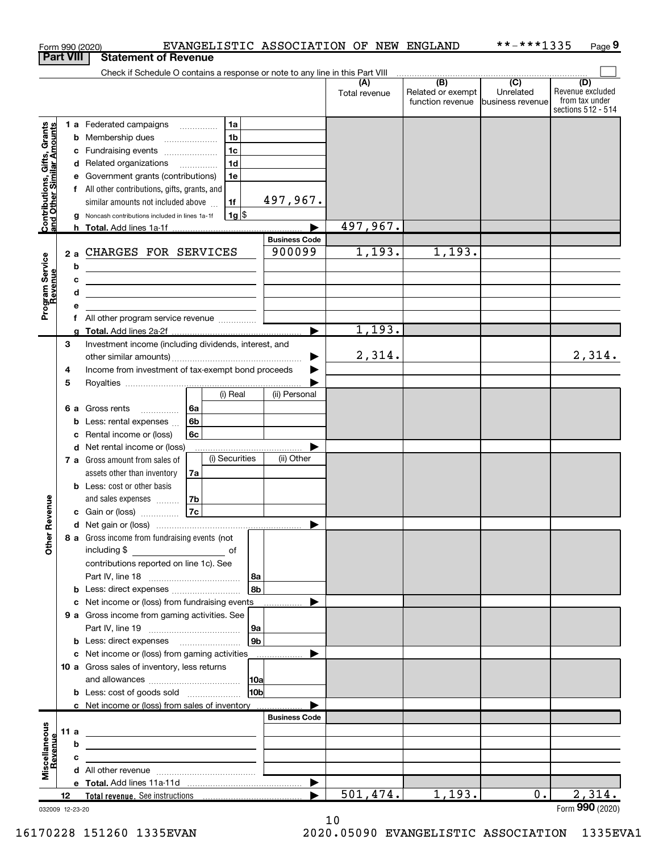| <b>Part VIII</b><br><b>Statement of Revenue</b><br>Check if Schedule O contains a response or note to any line in this Part VIII<br>$\overline{)}$ (B) $\overline{)}$ (C)<br>(D)<br>Unrelated<br>Related or exempt<br>Total revenue<br>function revenue<br>business revenue<br>sections 512 - 514<br>Contributions, Gifts, Grants<br>and Other Similar Amounts<br>1 a Federated campaigns<br>1a<br>1 <sub>b</sub><br>Membership dues<br>b<br>$\ldots \ldots \ldots \ldots \ldots$<br>1c<br>Fundraising events<br>с<br>1 <sub>d</sub><br>Related organizations<br>d<br>Government grants (contributions)<br>1e<br>All other contributions, gifts, grants, and<br>f<br>497, 967.<br>similar amounts not included above<br>1f<br>$1g$ \$<br>Noncash contributions included in lines 1a-1f<br>497,967.<br>h Total. Add lines 1a-1f.<br><b>Business Code</b><br>1,193.<br>1,193.<br>900099<br>CHARGES FOR SERVICES<br>2a<br>Program Service<br>b<br><u> 1989 - Johann Barbara, martxa alemaniar amerikan a</u><br>c<br><u>and the contract of the contract of the contract of the contract of the contract of the contract of the contract of the contract of the contract of the contract of the contract of the contract of the contract of the contr</u><br>d<br><u> 1989 - Johann Barbara, martin amerikan basar dan berasal dalam basar dalam basar dalam basar dalam basar dala</u><br>е<br>f<br>1,193.<br>Total. Add lines 2a-2f<br>3<br>Investment income (including dividends, interest, and<br>2,314.<br>2,314.<br>Income from investment of tax-exempt bond proceeds<br>4<br>5<br>(i) Real<br>(ii) Personal<br>Gross rents<br>l 6a<br>6а<br>6 <sub>b</sub><br>Less: rental expenses<br>b<br>6c<br>Rental income or (loss)<br>с<br>Net rental income or (loss)<br>d<br>(i) Securities<br>(ii) Other<br>7 a Gross amount from sales of<br>assets other than inventory<br>7a<br><b>b</b> Less: cost or other basis<br>evenue<br>and sales expenses<br>7b<br>7c<br>c Gain or (loss)<br>Other <sub>R</sub><br>8 a Gross income from fundraising events (not<br>including \$<br>$\overline{\phantom{a}}$ of<br>contributions reported on line 1c). See<br>  8a  <br> 8 <sub>b</sub>  <br>Net income or (loss) from fundraising events<br>с<br>.<br>9 a Gross income from gaming activities. See<br> 9a <br>9 <sub>b</sub><br><b>b</b> Less: direct expenses <b>manually</b><br>c Net income or (loss) from gaming activities<br>.<br>10 a Gross sales of inventory, less returns<br> 10a <br>10b<br><b>b</b> Less: cost of goods sold<br>c Net income or (loss) from sales of inventory<br><b>Business Code</b><br>Miscellaneous<br>Revenue<br>11 a<br><u> 1989 - Johann Stein, mars an deus an deus Angelsen († 1908)</u><br>b<br>the control of the control of the control of the control of the control of the control of<br>с<br>the control of the control of the control of the control of the control of the control of<br>2,314.<br>501,474.<br>1,193.<br>$0$ .<br>12<br>032009 12-23-20 |  |  | EVANGELISTIC ASSOCIATION OF NEW ENGLAND<br>Form 990 (2020) |  | **-***1335 | Page 9                             |
|--------------------------------------------------------------------------------------------------------------------------------------------------------------------------------------------------------------------------------------------------------------------------------------------------------------------------------------------------------------------------------------------------------------------------------------------------------------------------------------------------------------------------------------------------------------------------------------------------------------------------------------------------------------------------------------------------------------------------------------------------------------------------------------------------------------------------------------------------------------------------------------------------------------------------------------------------------------------------------------------------------------------------------------------------------------------------------------------------------------------------------------------------------------------------------------------------------------------------------------------------------------------------------------------------------------------------------------------------------------------------------------------------------------------------------------------------------------------------------------------------------------------------------------------------------------------------------------------------------------------------------------------------------------------------------------------------------------------------------------------------------------------------------------------------------------------------------------------------------------------------------------------------------------------------------------------------------------------------------------------------------------------------------------------------------------------------------------------------------------------------------------------------------------------------------------------------------------------------------------------------------------------------------------------------------------------------------------------------------------------------------------------------------------------------------------------------------------------------------------------------------------------------------------------------------------------------------------------------------------------------------------------------------------------------------------------------------------------------------------------------------------------------------------------------------------------------------------------------------------------------------------------------------------------------------------------------------------------------------------------------|--|--|------------------------------------------------------------|--|------------|------------------------------------|
|                                                                                                                                                                                                                                                                                                                                                                                                                                                                                                                                                                                                                                                                                                                                                                                                                                                                                                                                                                                                                                                                                                                                                                                                                                                                                                                                                                                                                                                                                                                                                                                                                                                                                                                                                                                                                                                                                                                                                                                                                                                                                                                                                                                                                                                                                                                                                                                                                                                                                                                                                                                                                                                                                                                                                                                                                                                                                                                                                                                                  |  |  |                                                            |  |            |                                    |
|                                                                                                                                                                                                                                                                                                                                                                                                                                                                                                                                                                                                                                                                                                                                                                                                                                                                                                                                                                                                                                                                                                                                                                                                                                                                                                                                                                                                                                                                                                                                                                                                                                                                                                                                                                                                                                                                                                                                                                                                                                                                                                                                                                                                                                                                                                                                                                                                                                                                                                                                                                                                                                                                                                                                                                                                                                                                                                                                                                                                  |  |  |                                                            |  |            |                                    |
|                                                                                                                                                                                                                                                                                                                                                                                                                                                                                                                                                                                                                                                                                                                                                                                                                                                                                                                                                                                                                                                                                                                                                                                                                                                                                                                                                                                                                                                                                                                                                                                                                                                                                                                                                                                                                                                                                                                                                                                                                                                                                                                                                                                                                                                                                                                                                                                                                                                                                                                                                                                                                                                                                                                                                                                                                                                                                                                                                                                                  |  |  |                                                            |  |            | Revenue excluded<br>from tax under |
|                                                                                                                                                                                                                                                                                                                                                                                                                                                                                                                                                                                                                                                                                                                                                                                                                                                                                                                                                                                                                                                                                                                                                                                                                                                                                                                                                                                                                                                                                                                                                                                                                                                                                                                                                                                                                                                                                                                                                                                                                                                                                                                                                                                                                                                                                                                                                                                                                                                                                                                                                                                                                                                                                                                                                                                                                                                                                                                                                                                                  |  |  |                                                            |  |            |                                    |
|                                                                                                                                                                                                                                                                                                                                                                                                                                                                                                                                                                                                                                                                                                                                                                                                                                                                                                                                                                                                                                                                                                                                                                                                                                                                                                                                                                                                                                                                                                                                                                                                                                                                                                                                                                                                                                                                                                                                                                                                                                                                                                                                                                                                                                                                                                                                                                                                                                                                                                                                                                                                                                                                                                                                                                                                                                                                                                                                                                                                  |  |  |                                                            |  |            |                                    |
|                                                                                                                                                                                                                                                                                                                                                                                                                                                                                                                                                                                                                                                                                                                                                                                                                                                                                                                                                                                                                                                                                                                                                                                                                                                                                                                                                                                                                                                                                                                                                                                                                                                                                                                                                                                                                                                                                                                                                                                                                                                                                                                                                                                                                                                                                                                                                                                                                                                                                                                                                                                                                                                                                                                                                                                                                                                                                                                                                                                                  |  |  |                                                            |  |            |                                    |
|                                                                                                                                                                                                                                                                                                                                                                                                                                                                                                                                                                                                                                                                                                                                                                                                                                                                                                                                                                                                                                                                                                                                                                                                                                                                                                                                                                                                                                                                                                                                                                                                                                                                                                                                                                                                                                                                                                                                                                                                                                                                                                                                                                                                                                                                                                                                                                                                                                                                                                                                                                                                                                                                                                                                                                                                                                                                                                                                                                                                  |  |  |                                                            |  |            |                                    |
|                                                                                                                                                                                                                                                                                                                                                                                                                                                                                                                                                                                                                                                                                                                                                                                                                                                                                                                                                                                                                                                                                                                                                                                                                                                                                                                                                                                                                                                                                                                                                                                                                                                                                                                                                                                                                                                                                                                                                                                                                                                                                                                                                                                                                                                                                                                                                                                                                                                                                                                                                                                                                                                                                                                                                                                                                                                                                                                                                                                                  |  |  |                                                            |  |            |                                    |
|                                                                                                                                                                                                                                                                                                                                                                                                                                                                                                                                                                                                                                                                                                                                                                                                                                                                                                                                                                                                                                                                                                                                                                                                                                                                                                                                                                                                                                                                                                                                                                                                                                                                                                                                                                                                                                                                                                                                                                                                                                                                                                                                                                                                                                                                                                                                                                                                                                                                                                                                                                                                                                                                                                                                                                                                                                                                                                                                                                                                  |  |  |                                                            |  |            |                                    |
|                                                                                                                                                                                                                                                                                                                                                                                                                                                                                                                                                                                                                                                                                                                                                                                                                                                                                                                                                                                                                                                                                                                                                                                                                                                                                                                                                                                                                                                                                                                                                                                                                                                                                                                                                                                                                                                                                                                                                                                                                                                                                                                                                                                                                                                                                                                                                                                                                                                                                                                                                                                                                                                                                                                                                                                                                                                                                                                                                                                                  |  |  |                                                            |  |            |                                    |
|                                                                                                                                                                                                                                                                                                                                                                                                                                                                                                                                                                                                                                                                                                                                                                                                                                                                                                                                                                                                                                                                                                                                                                                                                                                                                                                                                                                                                                                                                                                                                                                                                                                                                                                                                                                                                                                                                                                                                                                                                                                                                                                                                                                                                                                                                                                                                                                                                                                                                                                                                                                                                                                                                                                                                                                                                                                                                                                                                                                                  |  |  |                                                            |  |            |                                    |
|                                                                                                                                                                                                                                                                                                                                                                                                                                                                                                                                                                                                                                                                                                                                                                                                                                                                                                                                                                                                                                                                                                                                                                                                                                                                                                                                                                                                                                                                                                                                                                                                                                                                                                                                                                                                                                                                                                                                                                                                                                                                                                                                                                                                                                                                                                                                                                                                                                                                                                                                                                                                                                                                                                                                                                                                                                                                                                                                                                                                  |  |  |                                                            |  |            |                                    |
|                                                                                                                                                                                                                                                                                                                                                                                                                                                                                                                                                                                                                                                                                                                                                                                                                                                                                                                                                                                                                                                                                                                                                                                                                                                                                                                                                                                                                                                                                                                                                                                                                                                                                                                                                                                                                                                                                                                                                                                                                                                                                                                                                                                                                                                                                                                                                                                                                                                                                                                                                                                                                                                                                                                                                                                                                                                                                                                                                                                                  |  |  |                                                            |  |            |                                    |
|                                                                                                                                                                                                                                                                                                                                                                                                                                                                                                                                                                                                                                                                                                                                                                                                                                                                                                                                                                                                                                                                                                                                                                                                                                                                                                                                                                                                                                                                                                                                                                                                                                                                                                                                                                                                                                                                                                                                                                                                                                                                                                                                                                                                                                                                                                                                                                                                                                                                                                                                                                                                                                                                                                                                                                                                                                                                                                                                                                                                  |  |  |                                                            |  |            |                                    |
|                                                                                                                                                                                                                                                                                                                                                                                                                                                                                                                                                                                                                                                                                                                                                                                                                                                                                                                                                                                                                                                                                                                                                                                                                                                                                                                                                                                                                                                                                                                                                                                                                                                                                                                                                                                                                                                                                                                                                                                                                                                                                                                                                                                                                                                                                                                                                                                                                                                                                                                                                                                                                                                                                                                                                                                                                                                                                                                                                                                                  |  |  |                                                            |  |            |                                    |
|                                                                                                                                                                                                                                                                                                                                                                                                                                                                                                                                                                                                                                                                                                                                                                                                                                                                                                                                                                                                                                                                                                                                                                                                                                                                                                                                                                                                                                                                                                                                                                                                                                                                                                                                                                                                                                                                                                                                                                                                                                                                                                                                                                                                                                                                                                                                                                                                                                                                                                                                                                                                                                                                                                                                                                                                                                                                                                                                                                                                  |  |  |                                                            |  |            |                                    |
|                                                                                                                                                                                                                                                                                                                                                                                                                                                                                                                                                                                                                                                                                                                                                                                                                                                                                                                                                                                                                                                                                                                                                                                                                                                                                                                                                                                                                                                                                                                                                                                                                                                                                                                                                                                                                                                                                                                                                                                                                                                                                                                                                                                                                                                                                                                                                                                                                                                                                                                                                                                                                                                                                                                                                                                                                                                                                                                                                                                                  |  |  |                                                            |  |            |                                    |
|                                                                                                                                                                                                                                                                                                                                                                                                                                                                                                                                                                                                                                                                                                                                                                                                                                                                                                                                                                                                                                                                                                                                                                                                                                                                                                                                                                                                                                                                                                                                                                                                                                                                                                                                                                                                                                                                                                                                                                                                                                                                                                                                                                                                                                                                                                                                                                                                                                                                                                                                                                                                                                                                                                                                                                                                                                                                                                                                                                                                  |  |  |                                                            |  |            |                                    |
|                                                                                                                                                                                                                                                                                                                                                                                                                                                                                                                                                                                                                                                                                                                                                                                                                                                                                                                                                                                                                                                                                                                                                                                                                                                                                                                                                                                                                                                                                                                                                                                                                                                                                                                                                                                                                                                                                                                                                                                                                                                                                                                                                                                                                                                                                                                                                                                                                                                                                                                                                                                                                                                                                                                                                                                                                                                                                                                                                                                                  |  |  |                                                            |  |            |                                    |
|                                                                                                                                                                                                                                                                                                                                                                                                                                                                                                                                                                                                                                                                                                                                                                                                                                                                                                                                                                                                                                                                                                                                                                                                                                                                                                                                                                                                                                                                                                                                                                                                                                                                                                                                                                                                                                                                                                                                                                                                                                                                                                                                                                                                                                                                                                                                                                                                                                                                                                                                                                                                                                                                                                                                                                                                                                                                                                                                                                                                  |  |  |                                                            |  |            |                                    |
|                                                                                                                                                                                                                                                                                                                                                                                                                                                                                                                                                                                                                                                                                                                                                                                                                                                                                                                                                                                                                                                                                                                                                                                                                                                                                                                                                                                                                                                                                                                                                                                                                                                                                                                                                                                                                                                                                                                                                                                                                                                                                                                                                                                                                                                                                                                                                                                                                                                                                                                                                                                                                                                                                                                                                                                                                                                                                                                                                                                                  |  |  |                                                            |  |            |                                    |
|                                                                                                                                                                                                                                                                                                                                                                                                                                                                                                                                                                                                                                                                                                                                                                                                                                                                                                                                                                                                                                                                                                                                                                                                                                                                                                                                                                                                                                                                                                                                                                                                                                                                                                                                                                                                                                                                                                                                                                                                                                                                                                                                                                                                                                                                                                                                                                                                                                                                                                                                                                                                                                                                                                                                                                                                                                                                                                                                                                                                  |  |  |                                                            |  |            |                                    |
|                                                                                                                                                                                                                                                                                                                                                                                                                                                                                                                                                                                                                                                                                                                                                                                                                                                                                                                                                                                                                                                                                                                                                                                                                                                                                                                                                                                                                                                                                                                                                                                                                                                                                                                                                                                                                                                                                                                                                                                                                                                                                                                                                                                                                                                                                                                                                                                                                                                                                                                                                                                                                                                                                                                                                                                                                                                                                                                                                                                                  |  |  |                                                            |  |            |                                    |
|                                                                                                                                                                                                                                                                                                                                                                                                                                                                                                                                                                                                                                                                                                                                                                                                                                                                                                                                                                                                                                                                                                                                                                                                                                                                                                                                                                                                                                                                                                                                                                                                                                                                                                                                                                                                                                                                                                                                                                                                                                                                                                                                                                                                                                                                                                                                                                                                                                                                                                                                                                                                                                                                                                                                                                                                                                                                                                                                                                                                  |  |  |                                                            |  |            |                                    |
|                                                                                                                                                                                                                                                                                                                                                                                                                                                                                                                                                                                                                                                                                                                                                                                                                                                                                                                                                                                                                                                                                                                                                                                                                                                                                                                                                                                                                                                                                                                                                                                                                                                                                                                                                                                                                                                                                                                                                                                                                                                                                                                                                                                                                                                                                                                                                                                                                                                                                                                                                                                                                                                                                                                                                                                                                                                                                                                                                                                                  |  |  |                                                            |  |            |                                    |
|                                                                                                                                                                                                                                                                                                                                                                                                                                                                                                                                                                                                                                                                                                                                                                                                                                                                                                                                                                                                                                                                                                                                                                                                                                                                                                                                                                                                                                                                                                                                                                                                                                                                                                                                                                                                                                                                                                                                                                                                                                                                                                                                                                                                                                                                                                                                                                                                                                                                                                                                                                                                                                                                                                                                                                                                                                                                                                                                                                                                  |  |  |                                                            |  |            |                                    |
|                                                                                                                                                                                                                                                                                                                                                                                                                                                                                                                                                                                                                                                                                                                                                                                                                                                                                                                                                                                                                                                                                                                                                                                                                                                                                                                                                                                                                                                                                                                                                                                                                                                                                                                                                                                                                                                                                                                                                                                                                                                                                                                                                                                                                                                                                                                                                                                                                                                                                                                                                                                                                                                                                                                                                                                                                                                                                                                                                                                                  |  |  |                                                            |  |            |                                    |
|                                                                                                                                                                                                                                                                                                                                                                                                                                                                                                                                                                                                                                                                                                                                                                                                                                                                                                                                                                                                                                                                                                                                                                                                                                                                                                                                                                                                                                                                                                                                                                                                                                                                                                                                                                                                                                                                                                                                                                                                                                                                                                                                                                                                                                                                                                                                                                                                                                                                                                                                                                                                                                                                                                                                                                                                                                                                                                                                                                                                  |  |  |                                                            |  |            |                                    |
|                                                                                                                                                                                                                                                                                                                                                                                                                                                                                                                                                                                                                                                                                                                                                                                                                                                                                                                                                                                                                                                                                                                                                                                                                                                                                                                                                                                                                                                                                                                                                                                                                                                                                                                                                                                                                                                                                                                                                                                                                                                                                                                                                                                                                                                                                                                                                                                                                                                                                                                                                                                                                                                                                                                                                                                                                                                                                                                                                                                                  |  |  |                                                            |  |            |                                    |
|                                                                                                                                                                                                                                                                                                                                                                                                                                                                                                                                                                                                                                                                                                                                                                                                                                                                                                                                                                                                                                                                                                                                                                                                                                                                                                                                                                                                                                                                                                                                                                                                                                                                                                                                                                                                                                                                                                                                                                                                                                                                                                                                                                                                                                                                                                                                                                                                                                                                                                                                                                                                                                                                                                                                                                                                                                                                                                                                                                                                  |  |  |                                                            |  |            |                                    |
|                                                                                                                                                                                                                                                                                                                                                                                                                                                                                                                                                                                                                                                                                                                                                                                                                                                                                                                                                                                                                                                                                                                                                                                                                                                                                                                                                                                                                                                                                                                                                                                                                                                                                                                                                                                                                                                                                                                                                                                                                                                                                                                                                                                                                                                                                                                                                                                                                                                                                                                                                                                                                                                                                                                                                                                                                                                                                                                                                                                                  |  |  |                                                            |  |            |                                    |
|                                                                                                                                                                                                                                                                                                                                                                                                                                                                                                                                                                                                                                                                                                                                                                                                                                                                                                                                                                                                                                                                                                                                                                                                                                                                                                                                                                                                                                                                                                                                                                                                                                                                                                                                                                                                                                                                                                                                                                                                                                                                                                                                                                                                                                                                                                                                                                                                                                                                                                                                                                                                                                                                                                                                                                                                                                                                                                                                                                                                  |  |  |                                                            |  |            |                                    |
|                                                                                                                                                                                                                                                                                                                                                                                                                                                                                                                                                                                                                                                                                                                                                                                                                                                                                                                                                                                                                                                                                                                                                                                                                                                                                                                                                                                                                                                                                                                                                                                                                                                                                                                                                                                                                                                                                                                                                                                                                                                                                                                                                                                                                                                                                                                                                                                                                                                                                                                                                                                                                                                                                                                                                                                                                                                                                                                                                                                                  |  |  |                                                            |  |            |                                    |
|                                                                                                                                                                                                                                                                                                                                                                                                                                                                                                                                                                                                                                                                                                                                                                                                                                                                                                                                                                                                                                                                                                                                                                                                                                                                                                                                                                                                                                                                                                                                                                                                                                                                                                                                                                                                                                                                                                                                                                                                                                                                                                                                                                                                                                                                                                                                                                                                                                                                                                                                                                                                                                                                                                                                                                                                                                                                                                                                                                                                  |  |  |                                                            |  |            |                                    |
|                                                                                                                                                                                                                                                                                                                                                                                                                                                                                                                                                                                                                                                                                                                                                                                                                                                                                                                                                                                                                                                                                                                                                                                                                                                                                                                                                                                                                                                                                                                                                                                                                                                                                                                                                                                                                                                                                                                                                                                                                                                                                                                                                                                                                                                                                                                                                                                                                                                                                                                                                                                                                                                                                                                                                                                                                                                                                                                                                                                                  |  |  |                                                            |  |            |                                    |
|                                                                                                                                                                                                                                                                                                                                                                                                                                                                                                                                                                                                                                                                                                                                                                                                                                                                                                                                                                                                                                                                                                                                                                                                                                                                                                                                                                                                                                                                                                                                                                                                                                                                                                                                                                                                                                                                                                                                                                                                                                                                                                                                                                                                                                                                                                                                                                                                                                                                                                                                                                                                                                                                                                                                                                                                                                                                                                                                                                                                  |  |  |                                                            |  |            |                                    |
|                                                                                                                                                                                                                                                                                                                                                                                                                                                                                                                                                                                                                                                                                                                                                                                                                                                                                                                                                                                                                                                                                                                                                                                                                                                                                                                                                                                                                                                                                                                                                                                                                                                                                                                                                                                                                                                                                                                                                                                                                                                                                                                                                                                                                                                                                                                                                                                                                                                                                                                                                                                                                                                                                                                                                                                                                                                                                                                                                                                                  |  |  |                                                            |  |            |                                    |
|                                                                                                                                                                                                                                                                                                                                                                                                                                                                                                                                                                                                                                                                                                                                                                                                                                                                                                                                                                                                                                                                                                                                                                                                                                                                                                                                                                                                                                                                                                                                                                                                                                                                                                                                                                                                                                                                                                                                                                                                                                                                                                                                                                                                                                                                                                                                                                                                                                                                                                                                                                                                                                                                                                                                                                                                                                                                                                                                                                                                  |  |  |                                                            |  |            |                                    |
|                                                                                                                                                                                                                                                                                                                                                                                                                                                                                                                                                                                                                                                                                                                                                                                                                                                                                                                                                                                                                                                                                                                                                                                                                                                                                                                                                                                                                                                                                                                                                                                                                                                                                                                                                                                                                                                                                                                                                                                                                                                                                                                                                                                                                                                                                                                                                                                                                                                                                                                                                                                                                                                                                                                                                                                                                                                                                                                                                                                                  |  |  |                                                            |  |            |                                    |
|                                                                                                                                                                                                                                                                                                                                                                                                                                                                                                                                                                                                                                                                                                                                                                                                                                                                                                                                                                                                                                                                                                                                                                                                                                                                                                                                                                                                                                                                                                                                                                                                                                                                                                                                                                                                                                                                                                                                                                                                                                                                                                                                                                                                                                                                                                                                                                                                                                                                                                                                                                                                                                                                                                                                                                                                                                                                                                                                                                                                  |  |  |                                                            |  |            |                                    |
|                                                                                                                                                                                                                                                                                                                                                                                                                                                                                                                                                                                                                                                                                                                                                                                                                                                                                                                                                                                                                                                                                                                                                                                                                                                                                                                                                                                                                                                                                                                                                                                                                                                                                                                                                                                                                                                                                                                                                                                                                                                                                                                                                                                                                                                                                                                                                                                                                                                                                                                                                                                                                                                                                                                                                                                                                                                                                                                                                                                                  |  |  |                                                            |  |            |                                    |
|                                                                                                                                                                                                                                                                                                                                                                                                                                                                                                                                                                                                                                                                                                                                                                                                                                                                                                                                                                                                                                                                                                                                                                                                                                                                                                                                                                                                                                                                                                                                                                                                                                                                                                                                                                                                                                                                                                                                                                                                                                                                                                                                                                                                                                                                                                                                                                                                                                                                                                                                                                                                                                                                                                                                                                                                                                                                                                                                                                                                  |  |  |                                                            |  |            |                                    |
|                                                                                                                                                                                                                                                                                                                                                                                                                                                                                                                                                                                                                                                                                                                                                                                                                                                                                                                                                                                                                                                                                                                                                                                                                                                                                                                                                                                                                                                                                                                                                                                                                                                                                                                                                                                                                                                                                                                                                                                                                                                                                                                                                                                                                                                                                                                                                                                                                                                                                                                                                                                                                                                                                                                                                                                                                                                                                                                                                                                                  |  |  |                                                            |  |            |                                    |
|                                                                                                                                                                                                                                                                                                                                                                                                                                                                                                                                                                                                                                                                                                                                                                                                                                                                                                                                                                                                                                                                                                                                                                                                                                                                                                                                                                                                                                                                                                                                                                                                                                                                                                                                                                                                                                                                                                                                                                                                                                                                                                                                                                                                                                                                                                                                                                                                                                                                                                                                                                                                                                                                                                                                                                                                                                                                                                                                                                                                  |  |  |                                                            |  |            |                                    |
|                                                                                                                                                                                                                                                                                                                                                                                                                                                                                                                                                                                                                                                                                                                                                                                                                                                                                                                                                                                                                                                                                                                                                                                                                                                                                                                                                                                                                                                                                                                                                                                                                                                                                                                                                                                                                                                                                                                                                                                                                                                                                                                                                                                                                                                                                                                                                                                                                                                                                                                                                                                                                                                                                                                                                                                                                                                                                                                                                                                                  |  |  |                                                            |  |            |                                    |
|                                                                                                                                                                                                                                                                                                                                                                                                                                                                                                                                                                                                                                                                                                                                                                                                                                                                                                                                                                                                                                                                                                                                                                                                                                                                                                                                                                                                                                                                                                                                                                                                                                                                                                                                                                                                                                                                                                                                                                                                                                                                                                                                                                                                                                                                                                                                                                                                                                                                                                                                                                                                                                                                                                                                                                                                                                                                                                                                                                                                  |  |  |                                                            |  |            |                                    |
|                                                                                                                                                                                                                                                                                                                                                                                                                                                                                                                                                                                                                                                                                                                                                                                                                                                                                                                                                                                                                                                                                                                                                                                                                                                                                                                                                                                                                                                                                                                                                                                                                                                                                                                                                                                                                                                                                                                                                                                                                                                                                                                                                                                                                                                                                                                                                                                                                                                                                                                                                                                                                                                                                                                                                                                                                                                                                                                                                                                                  |  |  |                                                            |  |            |                                    |
|                                                                                                                                                                                                                                                                                                                                                                                                                                                                                                                                                                                                                                                                                                                                                                                                                                                                                                                                                                                                                                                                                                                                                                                                                                                                                                                                                                                                                                                                                                                                                                                                                                                                                                                                                                                                                                                                                                                                                                                                                                                                                                                                                                                                                                                                                                                                                                                                                                                                                                                                                                                                                                                                                                                                                                                                                                                                                                                                                                                                  |  |  |                                                            |  |            |                                    |
|                                                                                                                                                                                                                                                                                                                                                                                                                                                                                                                                                                                                                                                                                                                                                                                                                                                                                                                                                                                                                                                                                                                                                                                                                                                                                                                                                                                                                                                                                                                                                                                                                                                                                                                                                                                                                                                                                                                                                                                                                                                                                                                                                                                                                                                                                                                                                                                                                                                                                                                                                                                                                                                                                                                                                                                                                                                                                                                                                                                                  |  |  |                                                            |  |            |                                    |
|                                                                                                                                                                                                                                                                                                                                                                                                                                                                                                                                                                                                                                                                                                                                                                                                                                                                                                                                                                                                                                                                                                                                                                                                                                                                                                                                                                                                                                                                                                                                                                                                                                                                                                                                                                                                                                                                                                                                                                                                                                                                                                                                                                                                                                                                                                                                                                                                                                                                                                                                                                                                                                                                                                                                                                                                                                                                                                                                                                                                  |  |  |                                                            |  |            |                                    |
|                                                                                                                                                                                                                                                                                                                                                                                                                                                                                                                                                                                                                                                                                                                                                                                                                                                                                                                                                                                                                                                                                                                                                                                                                                                                                                                                                                                                                                                                                                                                                                                                                                                                                                                                                                                                                                                                                                                                                                                                                                                                                                                                                                                                                                                                                                                                                                                                                                                                                                                                                                                                                                                                                                                                                                                                                                                                                                                                                                                                  |  |  |                                                            |  |            |                                    |
|                                                                                                                                                                                                                                                                                                                                                                                                                                                                                                                                                                                                                                                                                                                                                                                                                                                                                                                                                                                                                                                                                                                                                                                                                                                                                                                                                                                                                                                                                                                                                                                                                                                                                                                                                                                                                                                                                                                                                                                                                                                                                                                                                                                                                                                                                                                                                                                                                                                                                                                                                                                                                                                                                                                                                                                                                                                                                                                                                                                                  |  |  |                                                            |  |            |                                    |
|                                                                                                                                                                                                                                                                                                                                                                                                                                                                                                                                                                                                                                                                                                                                                                                                                                                                                                                                                                                                                                                                                                                                                                                                                                                                                                                                                                                                                                                                                                                                                                                                                                                                                                                                                                                                                                                                                                                                                                                                                                                                                                                                                                                                                                                                                                                                                                                                                                                                                                                                                                                                                                                                                                                                                                                                                                                                                                                                                                                                  |  |  |                                                            |  |            |                                    |
|                                                                                                                                                                                                                                                                                                                                                                                                                                                                                                                                                                                                                                                                                                                                                                                                                                                                                                                                                                                                                                                                                                                                                                                                                                                                                                                                                                                                                                                                                                                                                                                                                                                                                                                                                                                                                                                                                                                                                                                                                                                                                                                                                                                                                                                                                                                                                                                                                                                                                                                                                                                                                                                                                                                                                                                                                                                                                                                                                                                                  |  |  |                                                            |  |            |                                    |
|                                                                                                                                                                                                                                                                                                                                                                                                                                                                                                                                                                                                                                                                                                                                                                                                                                                                                                                                                                                                                                                                                                                                                                                                                                                                                                                                                                                                                                                                                                                                                                                                                                                                                                                                                                                                                                                                                                                                                                                                                                                                                                                                                                                                                                                                                                                                                                                                                                                                                                                                                                                                                                                                                                                                                                                                                                                                                                                                                                                                  |  |  |                                                            |  |            |                                    |
|                                                                                                                                                                                                                                                                                                                                                                                                                                                                                                                                                                                                                                                                                                                                                                                                                                                                                                                                                                                                                                                                                                                                                                                                                                                                                                                                                                                                                                                                                                                                                                                                                                                                                                                                                                                                                                                                                                                                                                                                                                                                                                                                                                                                                                                                                                                                                                                                                                                                                                                                                                                                                                                                                                                                                                                                                                                                                                                                                                                                  |  |  |                                                            |  |            | Form 990 (2020)                    |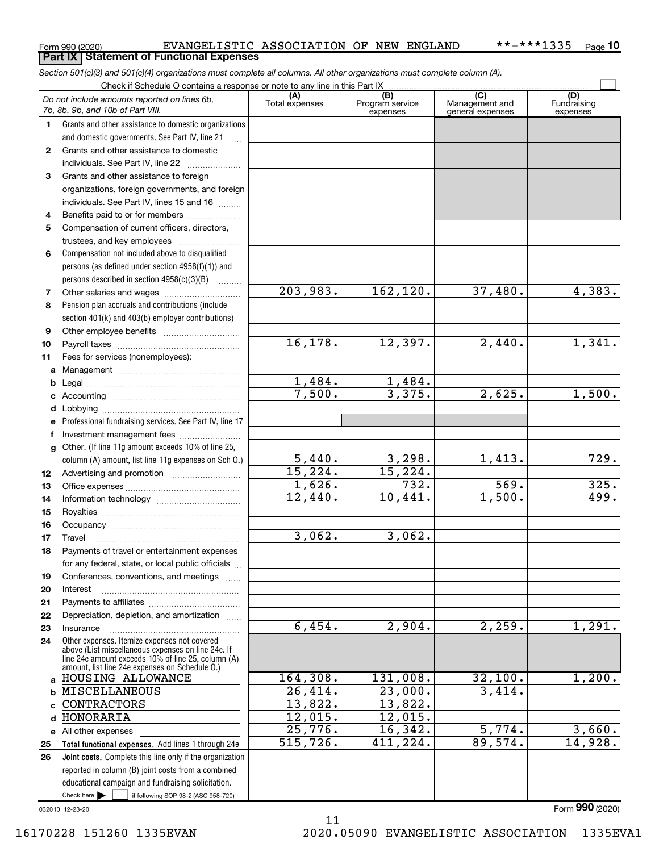|  | Form 990 (2020) |
|--|-----------------|
|  |                 |

Form 990 (2020) **EVANGELISTIC ASSOCIATION OF NEW ENGLAND** \*\*-\*\*\*1335 Page **Part IX Statement of Functional Expenses** 

|              | Section 501(c)(3) and 501(c)(4) organizations must complete all columns. All other organizations must complete column (A).                                                                                 |                         |                             |                                    |                                |
|--------------|------------------------------------------------------------------------------------------------------------------------------------------------------------------------------------------------------------|-------------------------|-----------------------------|------------------------------------|--------------------------------|
|              | Check if Schedule O contains a response or note to any line in this Part IX                                                                                                                                | (A)                     | (B)                         | $\overline{C}$                     |                                |
|              | Do not include amounts reported on lines 6b,<br>7b, 8b, 9b, and 10b of Part VIII.                                                                                                                          | Total expenses          | Program service<br>expenses | Management and<br>general expenses | (D)<br>Fundraising<br>expenses |
| $\mathbf{1}$ | Grants and other assistance to domestic organizations                                                                                                                                                      |                         |                             |                                    |                                |
|              | and domestic governments. See Part IV, line 21                                                                                                                                                             |                         |                             |                                    |                                |
| $\mathbf{2}$ | Grants and other assistance to domestic                                                                                                                                                                    |                         |                             |                                    |                                |
|              | individuals. See Part IV, line 22                                                                                                                                                                          |                         |                             |                                    |                                |
| 3            | Grants and other assistance to foreign                                                                                                                                                                     |                         |                             |                                    |                                |
|              | organizations, foreign governments, and foreign                                                                                                                                                            |                         |                             |                                    |                                |
|              | individuals. See Part IV, lines 15 and 16                                                                                                                                                                  |                         |                             |                                    |                                |
| 4            | Benefits paid to or for members                                                                                                                                                                            |                         |                             |                                    |                                |
| 5            | Compensation of current officers, directors,                                                                                                                                                               |                         |                             |                                    |                                |
|              | trustees, and key employees                                                                                                                                                                                |                         |                             |                                    |                                |
| 6            | Compensation not included above to disqualified                                                                                                                                                            |                         |                             |                                    |                                |
|              | persons (as defined under section 4958(f)(1)) and                                                                                                                                                          |                         |                             |                                    |                                |
|              | persons described in section 4958(c)(3)(B)                                                                                                                                                                 | 203,983.                |                             |                                    |                                |
| 7            |                                                                                                                                                                                                            |                         | 162,120.                    | 37,480.                            | 4,383.                         |
| 8            | Pension plan accruals and contributions (include                                                                                                                                                           |                         |                             |                                    |                                |
|              | section 401(k) and 403(b) employer contributions)                                                                                                                                                          |                         |                             |                                    |                                |
| 9            |                                                                                                                                                                                                            | 16, 178.                | 12,397.                     | 2,440.                             | 1,341.                         |
| 10           |                                                                                                                                                                                                            |                         |                             |                                    |                                |
| 11           | Fees for services (nonemployees):                                                                                                                                                                          |                         |                             |                                    |                                |
| a            |                                                                                                                                                                                                            |                         |                             |                                    |                                |
| b            |                                                                                                                                                                                                            | $\frac{1,484}{7,500}$ . | $\frac{1,484}{3,375}$ .     | 2,625.                             | 1,500.                         |
| c            |                                                                                                                                                                                                            |                         |                             |                                    |                                |
| d            |                                                                                                                                                                                                            |                         |                             |                                    |                                |
| е            | Professional fundraising services. See Part IV, line 17                                                                                                                                                    |                         |                             |                                    |                                |
| f            | Investment management fees<br>Other. (If line 11g amount exceeds 10% of line 25,                                                                                                                           |                         |                             |                                    |                                |
| g            |                                                                                                                                                                                                            |                         |                             | 1,413.                             | 729.                           |
|              | column (A) amount, list line 11g expenses on Sch O.)                                                                                                                                                       | $\frac{5,440}{15,224}$  | $\frac{3,298}{15,224}$ .    |                                    |                                |
| 12           |                                                                                                                                                                                                            | 1,626.                  | 732.                        | 569.                               | 325.                           |
| 13<br>14     |                                                                                                                                                                                                            | $\overline{12,440}$ .   | 10,441.                     | 1,500.                             | 499.                           |
| 15           |                                                                                                                                                                                                            |                         |                             |                                    |                                |
| 16           |                                                                                                                                                                                                            |                         |                             |                                    |                                |
| 17           |                                                                                                                                                                                                            | 3,062.                  | 3,062.                      |                                    |                                |
| 18           | Payments of travel or entertainment expenses                                                                                                                                                               |                         |                             |                                    |                                |
|              | for any federal, state, or local public officials                                                                                                                                                          |                         |                             |                                    |                                |
| 19           | Conferences, conventions, and meetings                                                                                                                                                                     |                         |                             |                                    |                                |
| 20           | Interest                                                                                                                                                                                                   |                         |                             |                                    |                                |
| 21           |                                                                                                                                                                                                            |                         |                             |                                    |                                |
| 22           | Depreciation, depletion, and amortization                                                                                                                                                                  |                         |                             |                                    |                                |
| 23           | Insurance                                                                                                                                                                                                  | 6,454.                  | 2,904.                      | 2,259.                             | 1,291.                         |
| 24           | Other expenses. Itemize expenses not covered<br>above (List miscellaneous expenses on line 24e. If<br>line 24e amount exceeds 10% of line 25, column (A)<br>amount, list line 24e expenses on Schedule O.) |                         |                             |                                    |                                |
|              | a HOUSING ALLOWANCE                                                                                                                                                                                        | 164,308.                | 131,008.                    | 32,100.                            | 1,200.                         |
| b            | <b>MISCELLANEOUS</b>                                                                                                                                                                                       | 26,414.                 | 23,000.                     | 3,414.                             |                                |
|              | <b>CONTRACTORS</b>                                                                                                                                                                                         | 13,822.                 | 13,822.                     |                                    |                                |
| d            | HONORARIA                                                                                                                                                                                                  | 12,015.                 | 12,015.                     |                                    |                                |
|              | e All other expenses                                                                                                                                                                                       | 25,776.                 | 16,342.                     | 5,774.                             | 3,660.                         |
| 25           | Total functional expenses. Add lines 1 through 24e                                                                                                                                                         | 515,726.                | 411,224.                    | 89,574.                            | 14,928.                        |
| 26           | Joint costs. Complete this line only if the organization                                                                                                                                                   |                         |                             |                                    |                                |
|              | reported in column (B) joint costs from a combined                                                                                                                                                         |                         |                             |                                    |                                |
|              | educational campaign and fundraising solicitation.                                                                                                                                                         |                         |                             |                                    |                                |
|              | Check here $\blacktriangleright$<br>if following SOP 98-2 (ASC 958-720)                                                                                                                                    |                         |                             |                                    |                                |

032010 12-23-20

Form 990 (2020)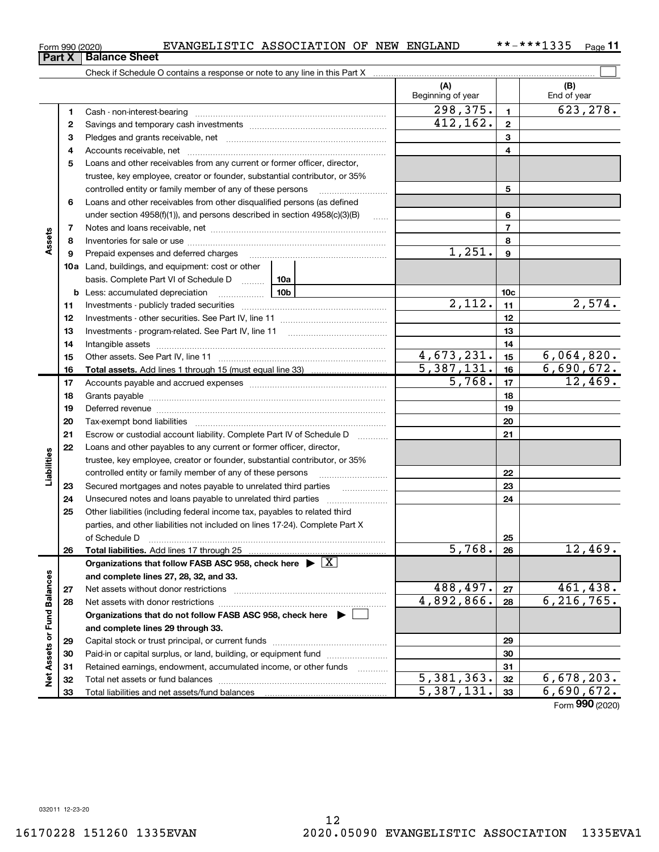**Assets or Fund Balances** 

 $\frac{1}{2}$ 

and complete lines 29 through 33.

Total liabilities and net assets/fund balances

Capital stock or trust principal, or current funds ~~~~~~~~~~~~~~~ Paid-in or capital surplus, or land, building, or equipment fund ~~~~~~~~

Total net assets or fund balances ~~~~~~~~~~~~~~~~~~~~~~

Retained earnings, endowment, accumulated income, or other funds

7 8  $\alpha$ 10a Land, buildings, and equipment: cost or other 11 12 13 14 15 16 17 18 19 20 21 22 23 24 25 26 27 28 6 7 8  $\alpha$ 10c 11 12 13 14 15 16 17 18 19 20 21 22 23 24 25 26 **b** Less: accumulated depreciation \_\_\_\_\_\_\_\_\_\_\_\_\_\_ | 10b basis. Complete Part VI of Schedule D www. 10a Total assets. Add lines 1 through 15 (must equal line 33) Total liabilities. Add lines 17 through 25 Organizations that follow FASB ASC 958, check here  $\;\blacktriangleright\; \boxed{{\rm X}}$ and complete lines 27, 28, 32, and 33. 27 28 Organizations that do not follow FASB ASC 958, check here  $\quadblacktriangleright\ \Box$ Loans and other receivables from other disqualified persons (as defined under section  $4958(f)(1)$ , and persons described in section  $4958(c)(3)(B)$ Notes and loans receivable, net ~~~~~~~~~~~~~~~~~~~~~~~ Inventories for sale or use ~~~~~~~~~~~~~~~~~~~~~~~~~~ Prepaid expenses and deferred charges ~~~~~~~~~~~~~~~~~~ Investments - publicly traded securities ~~~~~~~~~~~~~~~~~~~ Investments - other securities. See Part IV, line 11 ~~~~~~~~~~~~~~ Investments - program-related. See Part IV, line 11 [2010] [2010] [2010] [2010] [2010] [2010] [2010] [2010] [2 Intangible assets ~~~~~~~~~~~~~~~~~~~~~~~~~~~~~~ Other assets. See Part IV, line 11 ~~~~~~~~~~~~~~~~~~~~~~ Accounts payable and accrued expenses ~~~~~~~~~~~~~~~~~~ Grants payable ~~~~~~~~~~~~~~~~~~~~~~~~~~~~~~~ Deferred revenue **communications** contains a construction of the construction of the construction of the construction of the construction of the construction of the construction of the construction of the construction of t Tax-exempt bond liabilities ~~~~~~~~~~~~~~~~~~~~~~~~~ Escrow or custodial account liability. Complete Part IV of Schedule D [ \\timm\] Loans and other payables to any current or former officer, director, trustee, key employee, creator or founder, substantial contributor, or 35% controlled entity or family member of any of these persons ~~~~~~~~~ Secured mortgages and notes payable to unrelated third parties Unsecured notes and loans payable to unrelated third parties ............ Other liabilities (including federal income tax, payables to related third parties, and other liabilities not included on lines 17-24). Complete Part X of Schedule D ~~~~~~~~~~~~~~~~~~~~~~~~~~~~~~~ Net assets without donor restrictions ~~~~~~~~~~~~~~~~~~~~ Net assets with donor restrictions ~~~~~~~~~~~~~~~~~~~~~~ 1,251.  $2,112.$   $11$   $2,574.$  $4,673,231.$   $15$  6,064,820.  $\begin{array}{|c|c|c|c|c|}\n5,387,131. & \text{16} & \text{6},690,672. \\
\hline\n & 5,768. & \text{17} & \text{12},469. \\
\end{array}$ 5,768. 12,469.  $5,768. |26| 12,469.$  $488.497. |z_7|$   $461.438.$  $4,892,866.$  28 6,216,765.

~~~~

**Part X Balance Sheet** 

Page 11

 $298,375.$  1 623,278.

5

6

Assets

Liabilities

|   |                                    | (A)<br>Beginning of year |    | (B)<br>End of year |  |  |  |  |  |
|---|------------------------------------|--------------------------|----|--------------------|--|--|--|--|--|
|   | 1 Cash - non-interest-bearing      | 298, 375.                |    |                    |  |  |  |  |  |
|   |                                    | 412, 162.                | ≘  |                    |  |  |  |  |  |
| 3 | Pledges and grants receivable, net |                          | ×. |                    |  |  |  |  |  |
|   | 4 Accounts receivable, net         |                          |    |                    |  |  |  |  |  |

5 Loans and other receivables from any current or former officer, director,

trustee, key employee, creator or founder, substantial contributor, or 35% controlled entity or family member of any of these persons ............................

### 32 33 Form 990 (2020)  $5,381,363. |32| 6,678,203.$  $5,387,131.$   $31$  6,690,672.

29 30 31

## Form 990 (2020) **EVANGELISTIC ASSOCIATION OF NEW ENGLAND** \*\*-\*\*\*1335 Page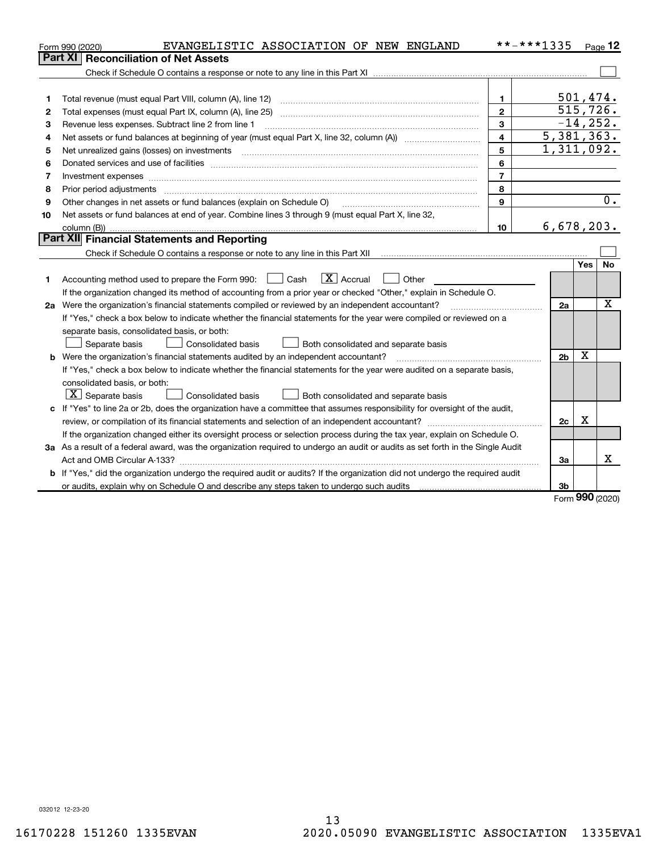|    | EVANGELISTIC ASSOCIATION OF NEW ENGLAND<br>Form 990 (2020)                                                                      | **-***1335     |                |             | $Page$ 12        |
|----|---------------------------------------------------------------------------------------------------------------------------------|----------------|----------------|-------------|------------------|
|    | <b>Reconciliation of Net Assets</b><br><b>Part XI</b>                                                                           |                |                |             |                  |
|    |                                                                                                                                 |                |                |             |                  |
|    |                                                                                                                                 |                |                |             |                  |
| 1  | Total revenue (must equal Part VIII, column (A), line 12)                                                                       | 1              |                | 501,474.    |                  |
| 2  |                                                                                                                                 | $\mathbf{2}$   |                | 515, 726.   |                  |
| 3  | Revenue less expenses. Subtract line 2 from line 1                                                                              | 3              |                | $-14, 252.$ |                  |
| 4  |                                                                                                                                 | 4              | 5,381,363.     |             |                  |
| 5  | Net unrealized gains (losses) on investments                                                                                    | 5              | 1,311,092.     |             |                  |
| 6  |                                                                                                                                 | 6              |                |             |                  |
| 7  | Investment expenses www.communication.com/www.communication.com/www.communication.com/www.com                                   | $\overline{7}$ |                |             |                  |
| 8  | Prior period adjustments                                                                                                        | 8              |                |             |                  |
| 9  | Other changes in net assets or fund balances (explain on Schedule O)                                                            | 9              |                |             | $\overline{0}$ . |
| 10 | Net assets or fund balances at end of year. Combine lines 3 through 9 (must equal Part X, line 32,                              |                |                |             |                  |
|    |                                                                                                                                 | 10             | 6,678,203.     |             |                  |
|    | <b>Part XII Financial Statements and Reporting</b>                                                                              |                |                |             |                  |
|    |                                                                                                                                 |                |                |             |                  |
|    |                                                                                                                                 |                |                | Yes         | No               |
| 1  | $\boxed{\mathbf{X}}$ Accrual<br>Accounting method used to prepare the Form 990: <u>[</u> Cash<br>Other                          |                |                |             |                  |
|    | If the organization changed its method of accounting from a prior year or checked "Other," explain in Schedule O.               |                |                |             |                  |
|    | 2a Were the organization's financial statements compiled or reviewed by an independent accountant?                              |                | 2a             |             | X                |
|    | If "Yes," check a box below to indicate whether the financial statements for the year were compiled or reviewed on a            |                |                |             |                  |
|    | separate basis, consolidated basis, or both:                                                                                    |                |                |             |                  |
|    | Separate basis<br>Consolidated basis<br>Both consolidated and separate basis                                                    |                |                |             |                  |
|    | <b>b</b> Were the organization's financial statements audited by an independent accountant?                                     |                | 2 <sub>b</sub> | X           |                  |
|    | If "Yes," check a box below to indicate whether the financial statements for the year were audited on a separate basis,         |                |                |             |                  |
|    | consolidated basis, or both:                                                                                                    |                |                |             |                  |
|    | $X$ Separate basis<br>Consolidated basis<br>Both consolidated and separate basis                                                |                |                |             |                  |
|    | c If "Yes" to line 2a or 2b, does the organization have a committee that assumes responsibility for oversight of the audit,     |                |                |             |                  |
|    |                                                                                                                                 |                | 2c             | x           |                  |
|    | If the organization changed either its oversight process or selection process during the tax year, explain on Schedule O.       |                |                |             |                  |
|    | 3a As a result of a federal award, was the organization required to undergo an audit or audits as set forth in the Single Audit |                |                |             |                  |
|    |                                                                                                                                 |                | За             |             | x                |
|    | b If "Yes," did the organization undergo the required audit or audits? If the organization did not undergo the required audit   |                |                |             |                  |
|    | or audits, explain why on Schedule O and describe any steps taken to undergo such audits                                        |                | 3b             |             |                  |

Form 990 (2020)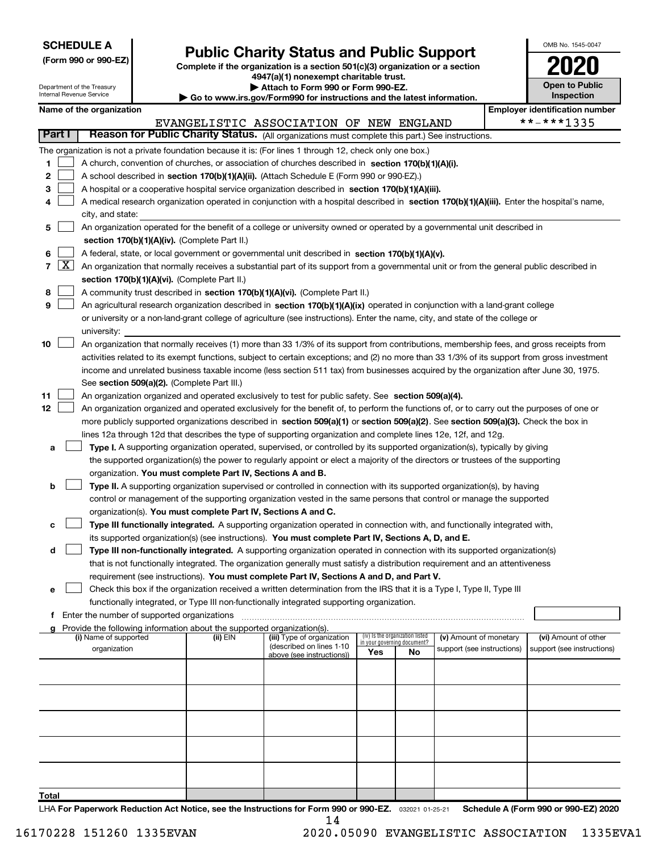| <b>SCHEDULE A</b> |  |
|-------------------|--|
|-------------------|--|

## Public Charity Status and Public Support

(Form 990 or 990-EZ) Complete if the organization is a section 501(c)(3) organization or a section 4947(a)(1) nonexempt charitable trust.

| Attach to Form 990 or Form 990-EZ.

| OMB No. 1545-0047                   |
|-------------------------------------|
| 12                                  |
| <b>Open to Public</b><br>Inspection |

٦

|                |                    | Department of the Treasury<br>Internal Revenue Service |                                               |                                                                                      | Attach to Form 990 or Form 990-EZ.<br>Go to www.irs.gov/Form990 for instructions and the latest information.                                 |     |                                   |                            |            | <b>Open to Public</b><br><b>Inspection</b> |
|----------------|--------------------|--------------------------------------------------------|-----------------------------------------------|--------------------------------------------------------------------------------------|----------------------------------------------------------------------------------------------------------------------------------------------|-----|-----------------------------------|----------------------------|------------|--------------------------------------------|
|                |                    | Name of the organization                               |                                               |                                                                                      |                                                                                                                                              |     |                                   |                            |            | <b>Employer identification number</b>      |
|                |                    |                                                        |                                               |                                                                                      | EVANGELISTIC ASSOCIATION OF NEW ENGLAND                                                                                                      |     |                                   |                            | **-***1335 |                                            |
| <b>Part I</b>  |                    |                                                        |                                               |                                                                                      | Reason for Public Charity Status. (All organizations must complete this part.) See instructions.                                             |     |                                   |                            |            |                                            |
|                |                    |                                                        |                                               |                                                                                      | The organization is not a private foundation because it is: (For lines 1 through 12, check only one box.)                                    |     |                                   |                            |            |                                            |
| 1              |                    |                                                        |                                               |                                                                                      | A church, convention of churches, or association of churches described in section 170(b)(1)(A)(i).                                           |     |                                   |                            |            |                                            |
| 2              |                    |                                                        |                                               |                                                                                      | A school described in section 170(b)(1)(A)(ii). (Attach Schedule E (Form 990 or 990-EZ).)                                                    |     |                                   |                            |            |                                            |
| 3              |                    |                                                        |                                               |                                                                                      | A hospital or a cooperative hospital service organization described in section 170(b)(1)(A)(iii).                                            |     |                                   |                            |            |                                            |
| 4              |                    |                                                        |                                               |                                                                                      | A medical research organization operated in conjunction with a hospital described in section 170(b)(1)(A)(iii). Enter the hospital's name,   |     |                                   |                            |            |                                            |
|                |                    | city, and state:                                       |                                               |                                                                                      |                                                                                                                                              |     |                                   |                            |            |                                            |
| 5              |                    |                                                        |                                               |                                                                                      | An organization operated for the benefit of a college or university owned or operated by a governmental unit described in                    |     |                                   |                            |            |                                            |
|                |                    |                                                        |                                               | section 170(b)(1)(A)(iv). (Complete Part II.)                                        |                                                                                                                                              |     |                                   |                            |            |                                            |
| 6              |                    |                                                        |                                               |                                                                                      | A federal, state, or local government or governmental unit described in section 170(b)(1)(A)(v).                                             |     |                                   |                            |            |                                            |
| $\overline{7}$ | $\boxed{\text{X}}$ |                                                        |                                               |                                                                                      | An organization that normally receives a substantial part of its support from a governmental unit or from the general public described in    |     |                                   |                            |            |                                            |
|                |                    |                                                        |                                               | section 170(b)(1)(A)(vi). (Complete Part II.)                                        |                                                                                                                                              |     |                                   |                            |            |                                            |
| 8              |                    |                                                        |                                               |                                                                                      | A community trust described in section 170(b)(1)(A)(vi). (Complete Part II.)                                                                 |     |                                   |                            |            |                                            |
| 9              |                    |                                                        |                                               |                                                                                      | An agricultural research organization described in section 170(b)(1)(A)(ix) operated in conjunction with a land-grant college                |     |                                   |                            |            |                                            |
|                |                    |                                                        |                                               |                                                                                      | or university or a non-land-grant college of agriculture (see instructions). Enter the name, city, and state of the college or               |     |                                   |                            |            |                                            |
|                |                    | university:                                            |                                               |                                                                                      |                                                                                                                                              |     |                                   |                            |            |                                            |
| 10             |                    |                                                        |                                               |                                                                                      | An organization that normally receives (1) more than 33 1/3% of its support from contributions, membership fees, and gross receipts from     |     |                                   |                            |            |                                            |
|                |                    |                                                        |                                               |                                                                                      | activities related to its exempt functions, subject to certain exceptions; and (2) no more than 33 1/3% of its support from gross investment |     |                                   |                            |            |                                            |
|                |                    |                                                        |                                               |                                                                                      | income and unrelated business taxable income (less section 511 tax) from businesses acquired by the organization after June 30, 1975.        |     |                                   |                            |            |                                            |
|                |                    |                                                        |                                               | See section 509(a)(2). (Complete Part III.)                                          |                                                                                                                                              |     |                                   |                            |            |                                            |
| 11             |                    |                                                        |                                               |                                                                                      | An organization organized and operated exclusively to test for public safety. See section 509(a)(4).                                         |     |                                   |                            |            |                                            |
| 12             |                    |                                                        |                                               |                                                                                      | An organization organized and operated exclusively for the benefit of, to perform the functions of, or to carry out the purposes of one or   |     |                                   |                            |            |                                            |
|                |                    |                                                        |                                               |                                                                                      | more publicly supported organizations described in section 509(a)(1) or section 509(a)(2). See section 509(a)(3). Check the box in           |     |                                   |                            |            |                                            |
|                |                    |                                                        |                                               |                                                                                      | lines 12a through 12d that describes the type of supporting organization and complete lines 12e, 12f, and 12g.                               |     |                                   |                            |            |                                            |
| а              |                    |                                                        |                                               |                                                                                      | Type I. A supporting organization operated, supervised, or controlled by its supported organization(s), typically by giving                  |     |                                   |                            |            |                                            |
|                |                    |                                                        |                                               |                                                                                      | the supported organization(s) the power to regularly appoint or elect a majority of the directors or trustees of the supporting              |     |                                   |                            |            |                                            |
|                |                    |                                                        |                                               | organization. You must complete Part IV, Sections A and B.                           |                                                                                                                                              |     |                                   |                            |            |                                            |
| b              |                    |                                                        |                                               |                                                                                      | Type II. A supporting organization supervised or controlled in connection with its supported organization(s), by having                      |     |                                   |                            |            |                                            |
|                |                    |                                                        |                                               |                                                                                      | control or management of the supporting organization vested in the same persons that control or manage the supported                         |     |                                   |                            |            |                                            |
|                |                    |                                                        |                                               | organization(s). You must complete Part IV, Sections A and C.                        |                                                                                                                                              |     |                                   |                            |            |                                            |
| с              |                    |                                                        |                                               |                                                                                      | Type III functionally integrated. A supporting organization operated in connection with, and functionally integrated with,                   |     |                                   |                            |            |                                            |
|                |                    |                                                        |                                               |                                                                                      | its supported organization(s) (see instructions). You must complete Part IV, Sections A, D, and E.                                           |     |                                   |                            |            |                                            |
| d              |                    |                                                        |                                               |                                                                                      | Type III non-functionally integrated. A supporting organization operated in connection with its supported organization(s)                    |     |                                   |                            |            |                                            |
|                |                    |                                                        |                                               |                                                                                      | that is not functionally integrated. The organization generally must satisfy a distribution requirement and an attentiveness                 |     |                                   |                            |            |                                            |
|                |                    |                                                        |                                               |                                                                                      | requirement (see instructions). You must complete Part IV, Sections A and D, and Part V.                                                     |     |                                   |                            |            |                                            |
| е              |                    |                                                        |                                               |                                                                                      | Check this box if the organization received a written determination from the IRS that it is a Type I, Type II, Type III                      |     |                                   |                            |            |                                            |
|                |                    |                                                        |                                               |                                                                                      | functionally integrated, or Type III non-functionally integrated supporting organization.                                                    |     |                                   |                            |            |                                            |
|                |                    |                                                        | f Enter the number of supported organizations |                                                                                      |                                                                                                                                              |     |                                   |                            |            |                                            |
|                |                    | (i) Name of supported                                  |                                               | g Provide the following information about the supported organization(s).<br>(ii) EIN | (iii) Type of organization                                                                                                                   |     | (iv) Is the organization listed   | (v) Amount of monetary     |            | (vi) Amount of other                       |
|                |                    | organization                                           |                                               |                                                                                      | (described on lines 1-10                                                                                                                     | Yes | in your governing document?<br>No | support (see instructions) |            | support (see instructions)                 |
|                |                    |                                                        |                                               |                                                                                      | above (see instructions))                                                                                                                    |     |                                   |                            |            |                                            |
|                |                    |                                                        |                                               |                                                                                      |                                                                                                                                              |     |                                   |                            |            |                                            |
|                |                    |                                                        |                                               |                                                                                      |                                                                                                                                              |     |                                   |                            |            |                                            |
|                |                    |                                                        |                                               |                                                                                      |                                                                                                                                              |     |                                   |                            |            |                                            |
|                |                    |                                                        |                                               |                                                                                      |                                                                                                                                              |     |                                   |                            |            |                                            |
|                |                    |                                                        |                                               |                                                                                      |                                                                                                                                              |     |                                   |                            |            |                                            |
|                |                    |                                                        |                                               |                                                                                      |                                                                                                                                              |     |                                   |                            |            |                                            |
|                |                    |                                                        |                                               |                                                                                      |                                                                                                                                              |     |                                   |                            |            |                                            |
|                |                    |                                                        |                                               |                                                                                      |                                                                                                                                              |     |                                   |                            |            |                                            |
|                |                    |                                                        |                                               |                                                                                      |                                                                                                                                              |     |                                   |                            |            |                                            |
| Total          |                    |                                                        |                                               |                                                                                      |                                                                                                                                              |     |                                   |                            |            |                                            |

LHA For Paperwork Reduction Act Notice, see the Instructions for Form 990 or 990-EZ. 032021 01-25-21 Schedule A (Form 990 or 990-EZ) 2020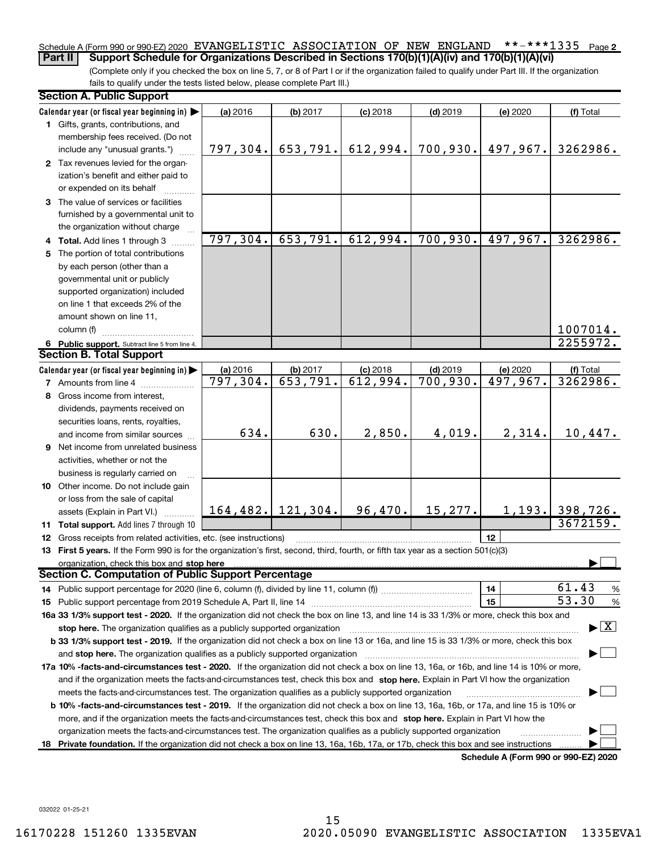### \*\*-\*\*\*1335 Page 2 Schedule A (Form 990 or 990-EZ) 2020 EVANGELISTIC ASSOCIATION OF NEW ENGLAND \*\*-\*\*\*1335 Page Part II | Support Schedule for Organizations Described in Sections 170(b)(1)(A)(iv) and 170(b)(1)(A)(vi)

(Complete only if you checked the box on line 5, 7, or 8 of Part I or if the organization failed to qualify under Part III. If the organization fails to qualify under the tests listed below, please complete Part III.)

|   | <b>Section A. Public Support</b>                                                                                                           |          |                       |            |            |                                      |                                          |
|---|--------------------------------------------------------------------------------------------------------------------------------------------|----------|-----------------------|------------|------------|--------------------------------------|------------------------------------------|
|   | Calendar year (or fiscal year beginning in) $\blacktriangleright$                                                                          | (a) 2016 | (b) 2017              | $(c)$ 2018 | $(d)$ 2019 | (e) 2020                             | (f) Total                                |
|   | 1 Gifts, grants, contributions, and<br>membership fees received. (Do not                                                                   |          |                       |            |            |                                      |                                          |
|   | include any "unusual grants.")                                                                                                             | 797,304. | 653,791.              | 612,994.   | 700,930.   | 497,967.                             | 3262986.                                 |
|   | 2 Tax revenues levied for the organ-<br>ization's benefit and either paid to<br>or expended on its behalf                                  |          |                       |            |            |                                      |                                          |
|   | 3 The value of services or facilities<br>furnished by a governmental unit to                                                               |          |                       |            |            |                                      |                                          |
|   | the organization without charge                                                                                                            |          |                       |            |            |                                      |                                          |
|   | 4 Total. Add lines 1 through 3                                                                                                             | 797,304. | 653,791.              | 612,994.   | 700,930.   | 497,967.                             | 3262986.                                 |
| 5 | The portion of total contributions                                                                                                         |          |                       |            |            |                                      |                                          |
|   | by each person (other than a                                                                                                               |          |                       |            |            |                                      |                                          |
|   | governmental unit or publicly                                                                                                              |          |                       |            |            |                                      |                                          |
|   | supported organization) included                                                                                                           |          |                       |            |            |                                      |                                          |
|   | on line 1 that exceeds 2% of the                                                                                                           |          |                       |            |            |                                      |                                          |
|   | amount shown on line 11,                                                                                                                   |          |                       |            |            |                                      |                                          |
|   | column (f)                                                                                                                                 |          |                       |            |            |                                      | 1007014.                                 |
|   | 6 Public support. Subtract line 5 from line 4.                                                                                             |          |                       |            |            |                                      | 2255972.                                 |
|   | <b>Section B. Total Support</b>                                                                                                            |          |                       |            |            |                                      |                                          |
|   | Calendar year (or fiscal year beginning in)                                                                                                | (a) 2016 | (b) 2017              | $(c)$ 2018 | $(d)$ 2019 | (e) 2020                             | (f) Total<br>3262986.                    |
|   | <b>7</b> Amounts from line 4                                                                                                               | 797,304. | 653,791.              | 612,994.   | 700,930.   | 497,967.                             |                                          |
| 8 | Gross income from interest,                                                                                                                |          |                       |            |            |                                      |                                          |
|   | dividends, payments received on                                                                                                            |          |                       |            |            |                                      |                                          |
|   | securities loans, rents, royalties,                                                                                                        |          |                       |            |            |                                      |                                          |
|   | and income from similar sources                                                                                                            | 634.     | 630.                  | 2,850.     | 4,019.     | 2,314.                               | 10,447.                                  |
| 9 | Net income from unrelated business                                                                                                         |          |                       |            |            |                                      |                                          |
|   | activities, whether or not the                                                                                                             |          |                       |            |            |                                      |                                          |
|   | business is regularly carried on                                                                                                           |          |                       |            |            |                                      |                                          |
|   | 10 Other income. Do not include gain                                                                                                       |          |                       |            |            |                                      |                                          |
|   | or loss from the sale of capital                                                                                                           |          |                       |            |            |                                      |                                          |
|   | assets (Explain in Part VI.)                                                                                                               |          | 164, 482.   121, 304. | 96,470.    | 15,277.    | 1, 193.                              | 398,726.                                 |
|   | 11 Total support. Add lines 7 through 10                                                                                                   |          |                       |            |            |                                      | 3672159.                                 |
|   | <b>12</b> Gross receipts from related activities, etc. (see instructions)                                                                  |          |                       |            |            | 12                                   |                                          |
|   | 13 First 5 years. If the Form 990 is for the organization's first, second, third, fourth, or fifth tax year as a section 501(c)(3)         |          |                       |            |            |                                      |                                          |
|   | organization, check this box and stop here                                                                                                 |          |                       |            |            |                                      |                                          |
|   | <b>Section C. Computation of Public Support Percentage</b>                                                                                 |          |                       |            |            |                                      |                                          |
|   | 14 Public support percentage for 2020 (line 6, column (f), divided by line 11, column (f) <i>mummumumum</i>                                |          |                       |            |            | 14                                   | 61.43<br>%                               |
|   |                                                                                                                                            |          |                       |            |            | 15                                   | 53.30<br>$\%$                            |
|   | 16a 33 1/3% support test - 2020. If the organization did not check the box on line 13, and line 14 is 33 1/3% or more, check this box and  |          |                       |            |            |                                      |                                          |
|   | stop here. The organization qualifies as a publicly supported organization                                                                 |          |                       |            |            |                                      | $\blacktriangleright$ $\boxed{\text{X}}$ |
|   | b 33 1/3% support test - 2019. If the organization did not check a box on line 13 or 16a, and line 15 is 33 1/3% or more, check this box   |          |                       |            |            |                                      |                                          |
|   | and stop here. The organization qualifies as a publicly supported organization                                                             |          |                       |            |            |                                      |                                          |
|   | 17a 10% -facts-and-circumstances test - 2020. If the organization did not check a box on line 13, 16a, or 16b, and line 14 is 10% or more, |          |                       |            |            |                                      |                                          |
|   | and if the organization meets the facts-and-circumstances test, check this box and stop here. Explain in Part VI how the organization      |          |                       |            |            |                                      |                                          |
|   | meets the facts-and-circumstances test. The organization qualifies as a publicly supported organization                                    |          |                       |            |            |                                      |                                          |
|   | b 10% -facts-and-circumstances test - 2019. If the organization did not check a box on line 13, 16a, 16b, or 17a, and line 15 is 10% or    |          |                       |            |            |                                      |                                          |
|   | more, and if the organization meets the facts-and-circumstances test, check this box and stop here. Explain in Part VI how the             |          |                       |            |            |                                      |                                          |
|   | organization meets the facts and circumstances test. The organization qualifies as a publicly supported organization                       |          |                       |            |            |                                      |                                          |
|   | 18 Private foundation. If the organization did not check a box on line 13, 16a, 16b, 17a, or 17b, check this box and see instructions      |          |                       |            |            |                                      |                                          |
|   |                                                                                                                                            |          |                       |            |            | Schedule A (Form 990 or 990-EZ) 2020 |                                          |

032022 01-25-21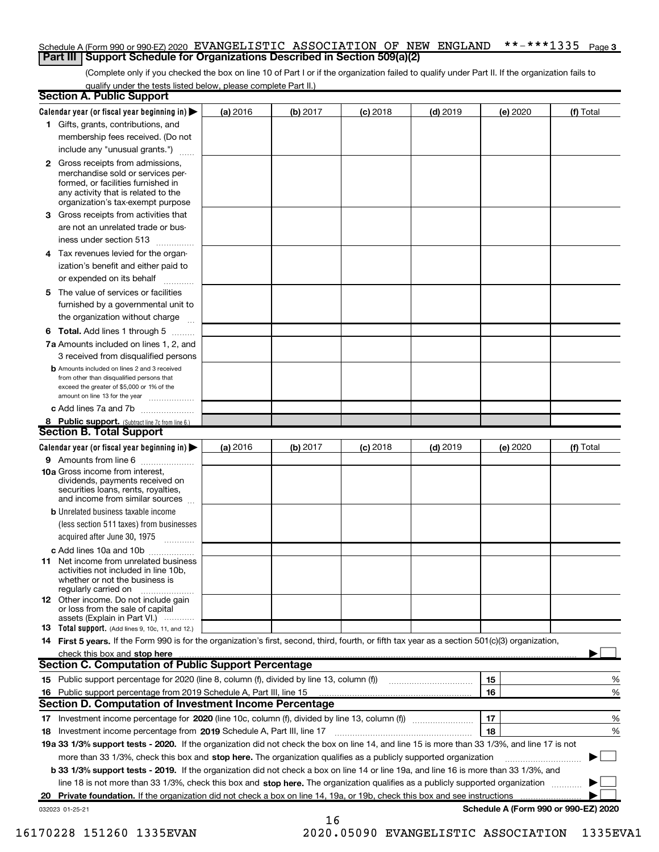### \*\*-\*\*\*1335 Page 3 Schedule A (Form 990 or 990-EZ) 2020 EVANGELISTIC ASSOCIATION OF NEW ENGLAND \*\*-\*\*\*1335 Page **Part III | Support Schedule for Organizations Described in Section 509(a)(2)**

(Complete only if you checked the box on line 10 of Part I or if the organization failed to qualify under Part II. If the organization fails to qualify under the tests listed below, please complete Part II.)

|   | <b>Section A. Public Support</b>                                                                                                                                                                |          |          |            |            |                                      |           |
|---|-------------------------------------------------------------------------------------------------------------------------------------------------------------------------------------------------|----------|----------|------------|------------|--------------------------------------|-----------|
|   | Calendar year (or fiscal year beginning in) $\blacktriangleright$                                                                                                                               | (a) 2016 | (b) 2017 | $(c)$ 2018 | $(d)$ 2019 | (e) 2020                             | (f) Total |
|   | 1 Gifts, grants, contributions, and                                                                                                                                                             |          |          |            |            |                                      |           |
|   | membership fees received. (Do not                                                                                                                                                               |          |          |            |            |                                      |           |
|   | include any "unusual grants.")                                                                                                                                                                  |          |          |            |            |                                      |           |
|   | <b>2</b> Gross receipts from admissions,<br>merchandise sold or services per-<br>formed, or facilities furnished in<br>any activity that is related to the<br>organization's tax-exempt purpose |          |          |            |            |                                      |           |
| З | Gross receipts from activities that                                                                                                                                                             |          |          |            |            |                                      |           |
|   | are not an unrelated trade or bus-                                                                                                                                                              |          |          |            |            |                                      |           |
|   | iness under section 513                                                                                                                                                                         |          |          |            |            |                                      |           |
|   | 4 Tax revenues levied for the organ-<br>ization's benefit and either paid to                                                                                                                    |          |          |            |            |                                      |           |
|   | or expended on its behalf                                                                                                                                                                       |          |          |            |            |                                      |           |
|   | 5 The value of services or facilities                                                                                                                                                           |          |          |            |            |                                      |           |
|   | furnished by a governmental unit to                                                                                                                                                             |          |          |            |            |                                      |           |
|   | the organization without charge                                                                                                                                                                 |          |          |            |            |                                      |           |
|   | <b>6 Total.</b> Add lines 1 through 5                                                                                                                                                           |          |          |            |            |                                      |           |
|   | 7a Amounts included on lines 1, 2, and<br>3 received from disqualified persons                                                                                                                  |          |          |            |            |                                      |           |
|   | <b>b</b> Amounts included on lines 2 and 3 received<br>from other than disqualified persons that<br>exceed the greater of \$5,000 or 1% of the<br>amount on line 13 for the year                |          |          |            |            |                                      |           |
|   | c Add lines 7a and 7b                                                                                                                                                                           |          |          |            |            |                                      |           |
|   | 8 Public support. (Subtract line 7c from line 6.)                                                                                                                                               |          |          |            |            |                                      |           |
|   | <b>Section B. Total Support</b>                                                                                                                                                                 |          |          |            |            |                                      |           |
|   | Calendar year (or fiscal year beginning in) $\blacktriangleright$                                                                                                                               | (a) 2016 | (b) 2017 | $(c)$ 2018 | $(d)$ 2019 | (e) 2020                             | (f) Total |
|   | <b>9</b> Amounts from line 6                                                                                                                                                                    |          |          |            |            |                                      |           |
|   | <b>10a</b> Gross income from interest.<br>dividends, payments received on<br>securities loans, rents, royalties,<br>and income from similar sources                                             |          |          |            |            |                                      |           |
|   | <b>b</b> Unrelated business taxable income                                                                                                                                                      |          |          |            |            |                                      |           |
|   | (less section 511 taxes) from businesses<br>acquired after June 30, 1975                                                                                                                        |          |          |            |            |                                      |           |
|   | c Add lines 10a and 10b                                                                                                                                                                         |          |          |            |            |                                      |           |
|   | <b>11</b> Net income from unrelated business<br>activities not included in line 10b,<br>whether or not the business is<br>regularly carried on                                                  |          |          |            |            |                                      |           |
|   | <b>12</b> Other income. Do not include gain<br>or loss from the sale of capital<br>assets (Explain in Part VI.)                                                                                 |          |          |            |            |                                      |           |
|   | <b>13</b> Total support. (Add lines 9, 10c, 11, and 12.)                                                                                                                                        |          |          |            |            |                                      |           |
|   | 14 First 5 years. If the Form 990 is for the organization's first, second, third, fourth, or fifth tax year as a section 501(c)(3) organization,                                                |          |          |            |            |                                      |           |
|   | check this box and stop here                                                                                                                                                                    |          |          |            |            |                                      |           |
|   | <b>Section C. Computation of Public Support Percentage</b>                                                                                                                                      |          |          |            |            |                                      |           |
|   | 15 Public support percentage for 2020 (line 8, column (f), divided by line 13, column (f))                                                                                                      |          |          |            |            | 15                                   | %         |
|   | 16 Public support percentage from 2019 Schedule A, Part III, line 15                                                                                                                            |          |          |            |            | 16                                   | %         |
|   | Section D. Computation of Investment Income Percentage                                                                                                                                          |          |          |            |            |                                      |           |
|   |                                                                                                                                                                                                 |          |          |            |            | 17                                   | %         |
|   | 18 Investment income percentage from 2019 Schedule A, Part III, line 17                                                                                                                         |          |          |            |            | 18                                   | %         |
|   | 19a 33 1/3% support tests - 2020. If the organization did not check the box on line 14, and line 15 is more than 33 1/3%, and line 17 is not                                                    |          |          |            |            |                                      |           |
|   | more than 33 1/3%, check this box and stop here. The organization qualifies as a publicly supported organization                                                                                |          |          |            |            |                                      |           |
|   | <b>b 33 1/3% support tests - 2019.</b> If the organization did not check a box on line 14 or line 19a, and line 16 is more than 33 1/3%, and                                                    |          |          |            |            |                                      |           |
|   | line 18 is not more than 33 1/3%, check this box and stop here. The organization qualifies as a publicly supported organization                                                                 |          |          |            |            |                                      |           |
|   | 20 Private foundation. If the organization did not check a box on line 14, 19a, or 19b, check this box and see instructions                                                                     |          |          |            |            |                                      |           |
|   | 032023 01-25-21                                                                                                                                                                                 |          | 16       |            |            | Schedule A (Form 990 or 990-EZ) 2020 |           |

 <sup>16170228 151260 1335</sup>EVAN 2020.05090 EVANGELISTIC ASSOCIATION 1335EVA1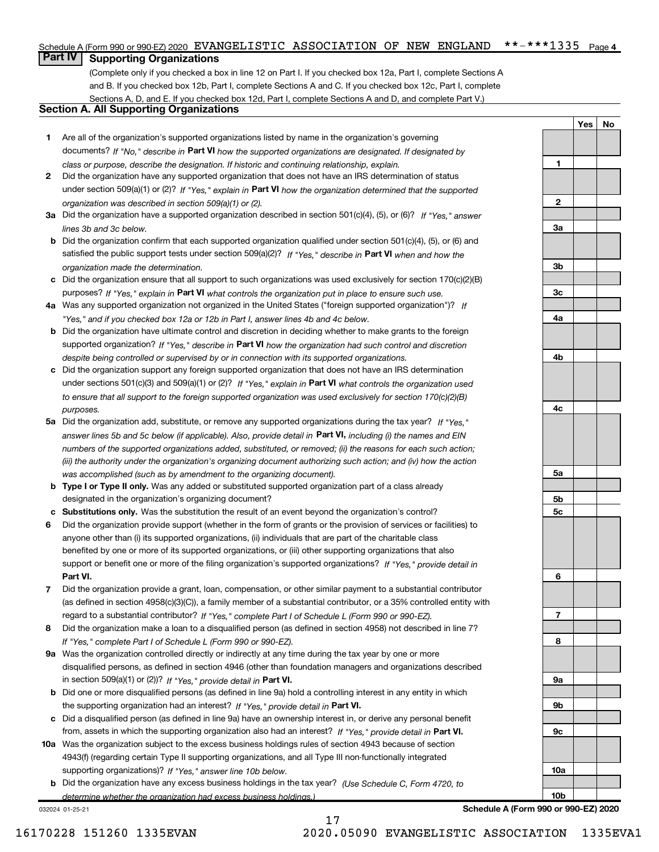### $***$  \*\*\*\*1335 Page 4 Schedule A (Form 990 or 990-EZ) 2020 EVANGELISTIC ASSOCIATION OF NEW ENGLAND \*\*-\*\*\*1335 Page

## **Part IV | Supporting Organizations**

(Complete only if you checked a box in line 12 on Part I. If you checked box 12a, Part I, complete Sections A and B. If you checked box 12b, Part I, complete Sections A and C. If you checked box 12c, Part I, complete Sections A, D, and E. If you checked box 12d, Part I, complete Sections A and D, and complete Part V.)

## Section A. All Supporting Organizations

- 1 Are all of the organization's supported organizations listed by name in the organization's governing documents? If "No," describe in Part VI how the supported organizations are designated. If designated by class or purpose, describe the designation. If historic and continuing relationship, explain.
- 2 Did the organization have any supported organization that does not have an IRS determination of status under section 509(a)(1) or (2)? If "Yes," explain in Part VI how the organization determined that the supported organization was described in section 509(a)(1) or (2).
- 3a Did the organization have a supported organization described in section 501(c)(4), (5), or (6)? If "Yes," answer lines 3b and 3c below.
- b Did the organization confirm that each supported organization qualified under section 501(c)(4), (5), or (6) and satisfied the public support tests under section 509(a)(2)? If "Yes," describe in Part VI when and how the organization made the determination.
- c Did the organization ensure that all support to such organizations was used exclusively for section 170(c)(2)(B) purposes? If "Yes," explain in Part VI what controls the organization put in place to ensure such use.
- 4a Was any supported organization not organized in the United States ("foreign supported organization")? If "Yes," and if you checked box 12a or 12b in Part I, answer lines 4b and 4c below.
- **b** Did the organization have ultimate control and discretion in deciding whether to make grants to the foreign supported organization? If "Yes," describe in Part VI how the organization had such control and discretion despite being controlled or supervised by or in connection with its supported organizations.
- c Did the organization support any foreign supported organization that does not have an IRS determination under sections 501(c)(3) and 509(a)(1) or (2)? If "Yes," explain in Part VI what controls the organization used to ensure that all support to the foreign supported organization was used exclusively for section 170(c)(2)(B) purposes.
- 5a Did the organization add, substitute, or remove any supported organizations during the tax year? If "Yes," answer lines 5b and 5c below (if applicable). Also, provide detail in P**art VI,** including (i) the names and EIN numbers of the supported organizations added, substituted, or removed; (ii) the reasons for each such action; (iii) the authority under the organization's organizing document authorizing such action; and (iv) how the action was accomplished (such as by amendment to the organizing document).
- **b** Type I or Type II only. Was any added or substituted supported organization part of a class already designated in the organization's organizing document?
- c Substitutions only. Was the substitution the result of an event beyond the organization's control?
- 6 Did the organization provide support (whether in the form of grants or the provision of services or facilities) to Part VI. support or benefit one or more of the filing organization's supported organizations? If "Yes," provide detail in anyone other than (i) its supported organizations, (ii) individuals that are part of the charitable class benefited by one or more of its supported organizations, or (iii) other supporting organizations that also
- 7 Did the organization provide a grant, loan, compensation, or other similar payment to a substantial contributor regard to a substantial contributor? If "Yes," complete Part I of Schedule L (Form 990 or 990-EZ). (as defined in section 4958(c)(3)(C)), a family member of a substantial contributor, or a 35% controlled entity with
- 8 Did the organization make a loan to a disqualified person (as defined in section 4958) not described in line 7? If "Yes," complete Part I of Schedule L (Form 990 or 990-EZ).
- **9a** Was the organization controlled directly or indirectly at any time during the tax year by one or more in section 509(a)(1) or (2))? If "Yes," provide detail in Part VI. disqualified persons, as defined in section 4946 (other than foundation managers and organizations described
- b Did one or more disqualified persons (as defined in line 9a) hold a controlling interest in any entity in which the supporting organization had an interest? If "Yes," provide detail in Part VI.
- c Did a disqualified person (as defined in line 9a) have an ownership interest in, or derive any personal benefit from, assets in which the supporting organization also had an interest? If "Yes," provide detail in Part VI.
- 10a Was the organization subject to the excess business holdings rules of section 4943 because of section supporting organizations)? If "Yes," answer line 10b below. 4943(f) (regarding certain Type II supporting organizations, and all Type III non-functionally integrated
- **b** Did the organization have any excess business holdings in the tax year? (Use Schedule C, Form 4720, to determine whether the organization had excess business holdings.)

17

032024 01-25-21

Schedule A (Form 990 or 990-EZ) 2020

Yes | No

1

 $\overline{2}$ 

3a

3b

3c

4a

4b

4c

5a

5b 5c

6

7

8

9a

9b

9c

10a

10b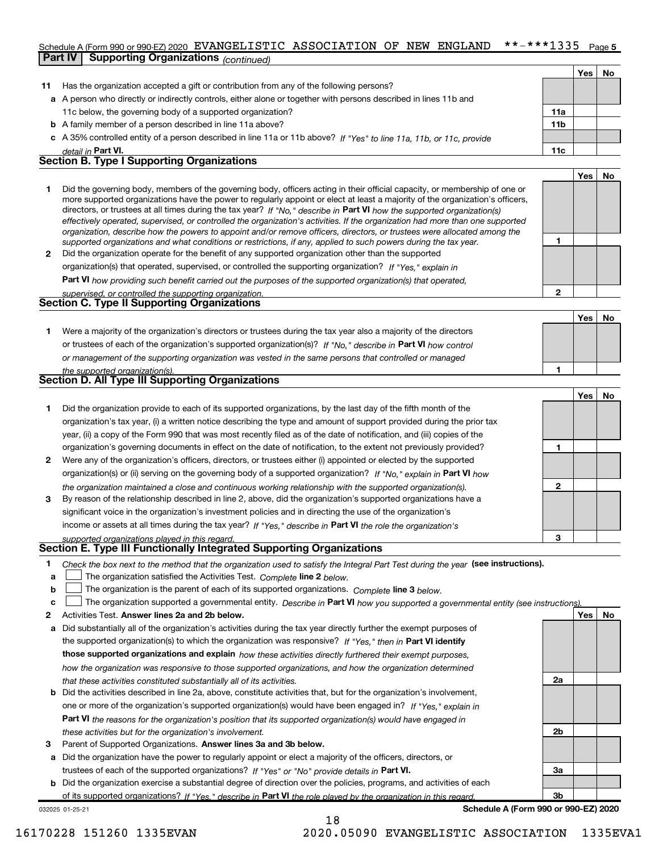### $***$  \*\*\*\*1335 Page 5 Schedule A (Form 990 or 990-EZ) 2020 EVANGELISTIC ASSOCIATION OF NEW ENGLAND \*\*-\*\*\*1335 Page

|    | <b>Part IV</b> | Supporting Organizations (continued)                                                                                       |                 |       |    |
|----|----------------|----------------------------------------------------------------------------------------------------------------------------|-----------------|-------|----|
|    |                |                                                                                                                            |                 | Yes l | No |
| 11 |                | Has the organization accepted a gift or contribution from any of the following persons?                                    |                 |       |    |
|    |                | a A person who directly or indirectly controls, either alone or together with persons described in lines 11b and           |                 |       |    |
|    |                | 11c below, the governing body of a supported organization?                                                                 | 11a             |       |    |
|    |                | <b>b</b> A family member of a person described in line 11a above?                                                          | 11 <sub>b</sub> |       |    |
|    |                | c A 35% controlled entity of a person described in line 11a or 11b above? If "Yes" to line 11a, 11b, or 11c, provide       |                 |       |    |
|    |                | detail in Part VI.                                                                                                         | 11c             |       |    |
|    |                | <b>Section B. Type I Supporting Organizations</b>                                                                          |                 |       |    |
|    |                |                                                                                                                            |                 | Yes   | No |
|    |                | Did the governing body, members of the governing body, officers acting in their official capacity, or membership of one or |                 |       |    |

2 Did the organization operate for the benefit of any supported organization other than the supported directors, or trustees at all times during the tax year? If "No," describe in Part VI how the supported organization(s) effectively operated, supervised, or controlled the organization's activities. If the organization had more than one supported organization, describe how the powers to appoint and/or remove officers, directors, or trustees were allocated among the supported organizations and what conditions or restrictions, if any, applied to such powers during the tax year. more supported organizations have the power to regularly appoint or elect at least a majority of the organization's officers,

organization(s) that operated, supervised, or controlled the supporting organization? If "Yes," explain in

Part VI how providing such benefit carried out the purposes of the supported organization(s) that operated,

|  | supervised, or controlled the supporting organization. |  |
|--|--------------------------------------------------------|--|
|  | <b>Section C. Type II Supporting Organizations</b>     |  |

1 or trustees of each of the organization's supported organization(s)? If "No," describe in Part VI how control or management of the supporting organization was vested in the same persons that controlled or managed the supported organization(s) Were a majority of the organization's directors or trustees during the tax year also a majority of the directors

|  | Section D. All Type III Supporting Organizations |  |
|--|--------------------------------------------------|--|

|              |                                                                                                                        |   | Yes l | No |
|--------------|------------------------------------------------------------------------------------------------------------------------|---|-------|----|
|              | Did the organization provide to each of its supported organizations, by the last day of the fifth month of the         |   |       |    |
|              | organization's tax year, (i) a written notice describing the type and amount of support provided during the prior tax  |   |       |    |
|              | year, (ii) a copy of the Form 990 that was most recently filed as of the date of notification, and (iii) copies of the |   |       |    |
|              | organization's governing documents in effect on the date of notification, to the extent not previously provided?       |   |       |    |
| $\mathbf{2}$ | Were any of the organization's officers, directors, or trustees either (i) appointed or elected by the supported       |   |       |    |
|              | organization(s) or (ii) serving on the governing body of a supported organization? If "No," explain in Part VI how     |   |       |    |
|              | the organization maintained a close and continuous working relationship with the supported organization(s).            | 2 |       |    |
| 3            | By reason of the relationship described in line 2, above, did the organization's supported organizations have a        |   |       |    |
|              | significant voice in the organization's investment policies and in directing the use of the organization's             |   |       |    |
|              | income or assets at all times during the tax year? If "Yes," describe in Part VI the role the organization's           |   |       |    |
|              | supported organizations played in this regard.                                                                         | з |       |    |

## Section E. Type III Functionally Integrated Supporting Organizations

- 1 Check the box next to the method that the organization used to satisfy the Integral Part Test during the year (see instructions).
- a The organization satisfied the Activities Test. Complete line 2 below.
- b The organization is the parent of each of its supported organizations. Complete line 3 below.  $\begin{array}{c} \hline \end{array}$

|  |  | c □ The organization supported a governmental entity. Describe in Part VI how you supported a governmental entity (see instructions). |  |  |  |  |
|--|--|---------------------------------------------------------------------------------------------------------------------------------------|--|--|--|--|
|--|--|---------------------------------------------------------------------------------------------------------------------------------------|--|--|--|--|

18

- 2 Activities Test. Answer lines 2a and 2b below. No record to the control of the control of the control of the control of the control of the control of the control of the control of the control of the control of the contr
- a Did substantially all of the organization's activities during the tax year directly further the exempt purposes of the supported organization(s) to which the organization was responsive? If "Yes," then in Part VI identify those supported organizations and explain how these activities directly furthered their exempt purposes, how the organization was responsive to those supported organizations, and how the organization determined that these activities constituted substantially all of its activities.
- b Did the activities described in line 2a, above, constitute activities that, but for the organization's involvement, Part VI the reasons for the organization's position that its supported organization(s) would have engaged in one or more of the organization's supported organization(s) would have been engaged in? If "Yes," explain in these activities but for the organization's involvement.
- 3 Parent of Supported Organizations. Answer lines 3a and 3b below.

a Did the organization have the power to regularly appoint or elect a majority of the officers, directors, or trustees of each of the supported organizations? If "Yes" or "No" provide details in Part VI.

b Did the organization exercise a substantial degree of direction over the policies, programs, and activities of each of its supported organizations? If "Yes," describe in Part VI the role played by the organization in this regard.

032025 01-25-21

Schedule A (Form 990 or 990-EZ) 2020

 $2a$ 

2b

3a

3b

1

2

1

Yes | No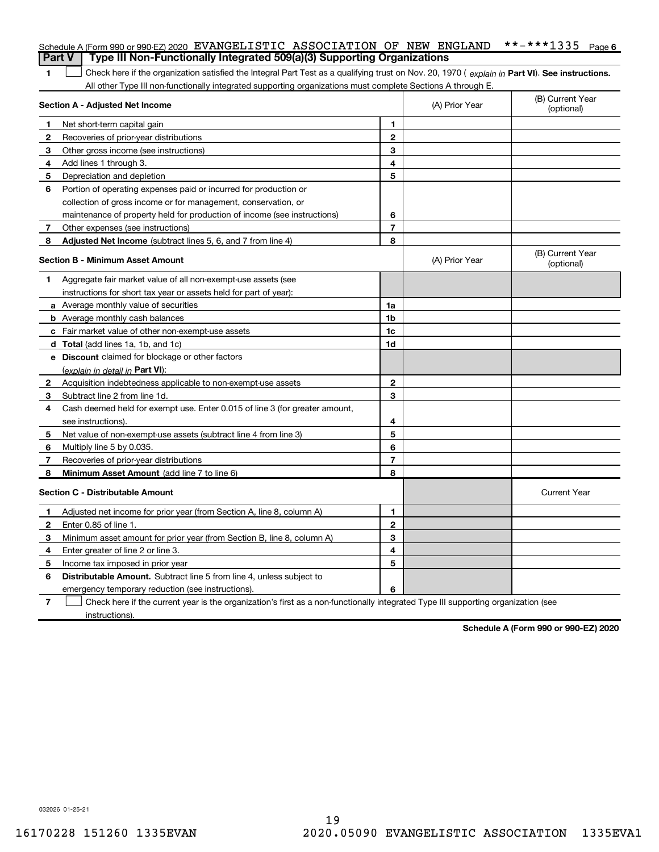|                | Schedule A (Form 990 or 990-EZ) 2020 EVANGELISTIC ASSOCIATION OF NEW ENGLAND                                                                   |                |                | **-***1335<br>Page 6           |
|----------------|------------------------------------------------------------------------------------------------------------------------------------------------|----------------|----------------|--------------------------------|
| <b>Part V</b>  | Type III Non-Functionally Integrated 509(a)(3) Supporting Organizations                                                                        |                |                |                                |
| 1              | Check here if the organization satisfied the Integral Part Test as a qualifying trust on Nov. 20, 1970 (explain in Part VI). See instructions. |                |                |                                |
|                | All other Type III non-functionally integrated supporting organizations must complete Sections A through E.<br>Section A - Adjusted Net Income |                | (A) Prior Year | (B) Current Year<br>(optional) |
|                |                                                                                                                                                | 1              |                |                                |
| 2              | Net short-term capital gain                                                                                                                    | $\overline{2}$ |                |                                |
| З              | Recoveries of prior-year distributions                                                                                                         | З              |                |                                |
|                | Other gross income (see instructions)                                                                                                          | 4              |                |                                |
| 4              | Add lines 1 through 3.                                                                                                                         | 5              |                |                                |
| 5              | Depreciation and depletion                                                                                                                     |                |                |                                |
| 6              | Portion of operating expenses paid or incurred for production or                                                                               |                |                |                                |
|                | collection of gross income or for management, conservation, or                                                                                 |                |                |                                |
|                | maintenance of property held for production of income (see instructions)                                                                       | 6              |                |                                |
| 7              | Other expenses (see instructions)                                                                                                              | 7              |                |                                |
| 8              | Adjusted Net Income (subtract lines 5, 6, and 7 from line 4)                                                                                   | 8              |                |                                |
|                | Section B - Minimum Asset Amount                                                                                                               |                | (A) Prior Year | (B) Current Year<br>(optional) |
| 1              | Aggregate fair market value of all non-exempt-use assets (see                                                                                  |                |                |                                |
|                | instructions for short tax year or assets held for part of year):                                                                              |                |                |                                |
|                | <b>a</b> Average monthly value of securities                                                                                                   | 1a             |                |                                |
|                | <b>b</b> Average monthly cash balances                                                                                                         | 1b             |                |                                |
|                | <b>c</b> Fair market value of other non-exempt-use assets                                                                                      | 1c             |                |                                |
|                | d Total (add lines 1a, 1b, and 1c)                                                                                                             | 1d             |                |                                |
|                | e Discount claimed for blockage or other factors                                                                                               |                |                |                                |
|                | (explain in detail in <b>Part VI</b> ):                                                                                                        |                |                |                                |
| 2              | Acquisition indebtedness applicable to non-exempt-use assets                                                                                   | $\mathbf{2}$   |                |                                |
| З              | Subtract line 2 from line 1d.                                                                                                                  | З              |                |                                |
| 4              | Cash deemed held for exempt use. Enter 0.015 of line 3 (for greater amount,                                                                    |                |                |                                |
|                | see instructions).                                                                                                                             | 4              |                |                                |
| 5              | Net value of non-exempt-use assets (subtract line 4 from line 3)                                                                               | 5              |                |                                |
| 6              | Multiply line 5 by 0.035.                                                                                                                      | 6              |                |                                |
| 7              | Recoveries of prior-year distributions                                                                                                         | 7              |                |                                |
| 8              | Minimum Asset Amount (add line 7 to line 6)                                                                                                    | 8              |                |                                |
|                | Section C - Distributable Amount                                                                                                               |                |                | <b>Current Year</b>            |
|                | Adjusted net income for prior year (from Section A, line 8, column A)                                                                          | 1              |                |                                |
| 2              | Enter 0.85 of line 1.                                                                                                                          | 2              |                |                                |
| З              | Minimum asset amount for prior year (from Section B, line 8, column A)                                                                         | 3              |                |                                |
| 4              | Enter greater of line 2 or line 3.                                                                                                             | 4              |                |                                |
| 5              | Income tax imposed in prior year                                                                                                               | 5              |                |                                |
| 6              | Distributable Amount. Subtract line 5 from line 4, unless subject to                                                                           |                |                |                                |
|                | emergency temporary reduction (see instructions).                                                                                              | 6              |                |                                |
| $\overline{7}$ | Check here if the current year is the organization's first as a non-functionally integrated Type III supporting organization (see              |                |                |                                |

instructions).

Schedule A (Form 990 or 990-EZ) 2020

032026 01-25-21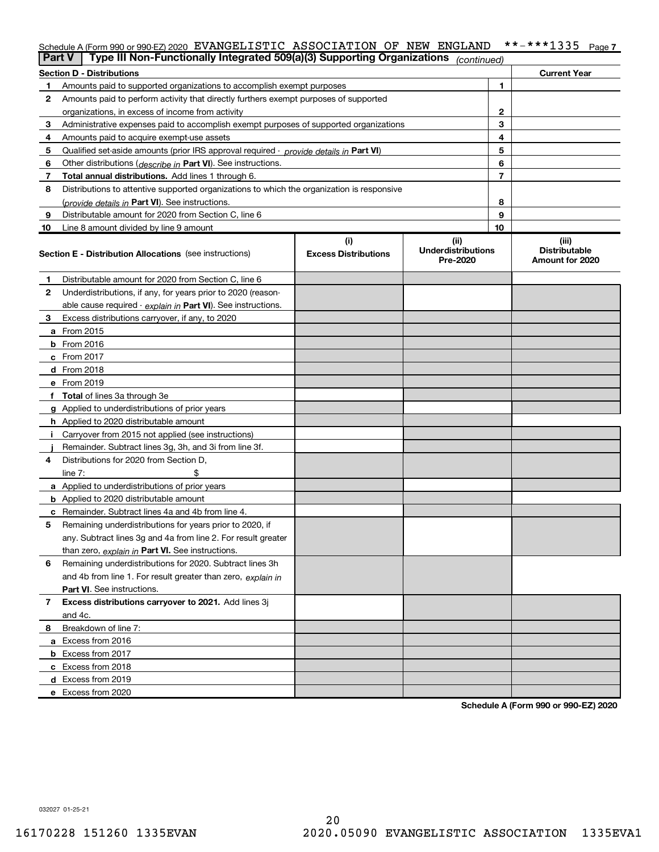## Schedule A (Form 990 or 990-EZ) 2020 EVANGELISTIC ASSOCIATION OF NEW ENGLAND \*\*-\*\*\*1335 Page 7

|              | Type III Non-Functionally Integrated 509(a)(3) Supporting Organizations<br>Part V               |                                    | (continued)                                    |    |                                                  |
|--------------|-------------------------------------------------------------------------------------------------|------------------------------------|------------------------------------------------|----|--------------------------------------------------|
|              | <b>Section D - Distributions</b>                                                                |                                    |                                                |    | <b>Current Year</b>                              |
| 1.           | Amounts paid to supported organizations to accomplish exempt purposes                           |                                    |                                                | 1  |                                                  |
| 2            | Amounts paid to perform activity that directly furthers exempt purposes of supported            |                                    |                                                |    |                                                  |
|              | organizations, in excess of income from activity                                                |                                    |                                                | 2  |                                                  |
| 3            | Administrative expenses paid to accomplish exempt purposes of supported organizations           |                                    |                                                | 3  |                                                  |
| 4            | Amounts paid to acquire exempt-use assets                                                       |                                    |                                                | 4  |                                                  |
| 5            | Qualified set-aside amounts (prior IRS approval required - provide details in Part VI)          |                                    |                                                | 5  |                                                  |
| 6            | Other distributions ( <i>describe in</i> Part VI). See instructions.                            |                                    |                                                | 6  |                                                  |
| 7            | Total annual distributions. Add lines 1 through 6.                                              |                                    |                                                | 7  |                                                  |
| 8            | Distributions to attentive supported organizations to which the organization is responsive      |                                    |                                                |    |                                                  |
|              | (provide details in Part VI). See instructions.                                                 |                                    |                                                | 8  |                                                  |
| 9            | Distributable amount for 2020 from Section C, line 6                                            |                                    |                                                | 9  |                                                  |
| 10           | Line 8 amount divided by line 9 amount                                                          |                                    |                                                | 10 |                                                  |
|              | <b>Section E - Distribution Allocations</b> (see instructions)                                  | (i)<br><b>Excess Distributions</b> | (iii)<br><b>Underdistributions</b><br>Pre-2020 |    | (iii)<br><b>Distributable</b><br>Amount for 2020 |
| 1            | Distributable amount for 2020 from Section C, line 6                                            |                                    |                                                |    |                                                  |
| $\mathbf{2}$ | Underdistributions, if any, for years prior to 2020 (reason-                                    |                                    |                                                |    |                                                  |
|              | able cause required - explain in Part VI). See instructions.                                    |                                    |                                                |    |                                                  |
| 3            | Excess distributions carryover, if any, to 2020                                                 |                                    |                                                |    |                                                  |
|              | a From 2015                                                                                     |                                    |                                                |    |                                                  |
|              | <b>b</b> From 2016                                                                              |                                    |                                                |    |                                                  |
|              | $c$ From 2017                                                                                   |                                    |                                                |    |                                                  |
|              | <b>d</b> From 2018                                                                              |                                    |                                                |    |                                                  |
|              | e From 2019                                                                                     |                                    |                                                |    |                                                  |
|              | f Total of lines 3a through 3e                                                                  |                                    |                                                |    |                                                  |
|              | g Applied to underdistributions of prior years                                                  |                                    |                                                |    |                                                  |
|              | h Applied to 2020 distributable amount                                                          |                                    |                                                |    |                                                  |
| Ī.           | Carryover from 2015 not applied (see instructions)                                              |                                    |                                                |    |                                                  |
|              | Remainder. Subtract lines 3g, 3h, and 3i from line 3f.                                          |                                    |                                                |    |                                                  |
| 4            | Distributions for 2020 from Section D,                                                          |                                    |                                                |    |                                                  |
|              | \$<br>line $7:$                                                                                 |                                    |                                                |    |                                                  |
|              | a Applied to underdistributions of prior years<br><b>b</b> Applied to 2020 distributable amount |                                    |                                                |    |                                                  |
|              | c Remainder. Subtract lines 4a and 4b from line 4.                                              |                                    |                                                |    |                                                  |
| 5            | Remaining underdistributions for years prior to 2020, if                                        |                                    |                                                |    |                                                  |
|              | any. Subtract lines 3g and 4a from line 2. For result greater                                   |                                    |                                                |    |                                                  |
|              | than zero, explain in Part VI. See instructions.                                                |                                    |                                                |    |                                                  |
| 6            | Remaining underdistributions for 2020. Subtract lines 3h                                        |                                    |                                                |    |                                                  |
|              | and 4b from line 1. For result greater than zero, explain in                                    |                                    |                                                |    |                                                  |
|              | Part VI. See instructions.                                                                      |                                    |                                                |    |                                                  |
| 7            | Excess distributions carryover to 2021. Add lines 3j                                            |                                    |                                                |    |                                                  |
|              | and 4c.                                                                                         |                                    |                                                |    |                                                  |
| 8            | Breakdown of line 7:                                                                            |                                    |                                                |    |                                                  |
|              | a Excess from 2016                                                                              |                                    |                                                |    |                                                  |
|              | <b>b</b> Excess from 2017                                                                       |                                    |                                                |    |                                                  |
|              | c Excess from 2018                                                                              |                                    |                                                |    |                                                  |
|              | d Excess from 2019                                                                              |                                    |                                                |    |                                                  |
|              | e Excess from 2020                                                                              |                                    |                                                |    |                                                  |

Schedule A (Form 990 or 990-EZ) 2020

032027 01-25-21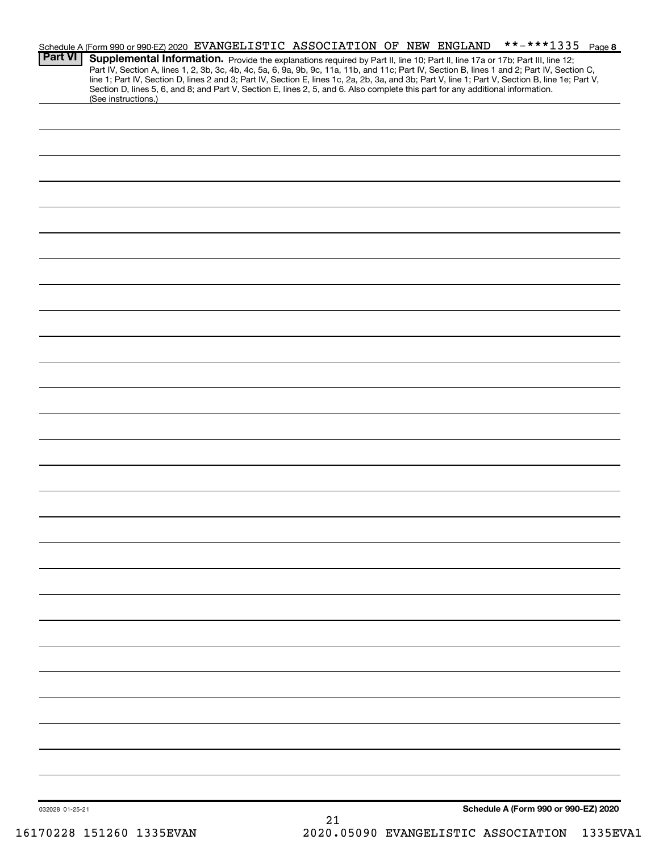| <b>Part VI</b>  | Schedule A (Form 990 or 990-EZ) 2020 EVANGELISTIC ASSOCIATION OF NEW ENGLAND<br>Supplemental Information. Provide the explanations required by Part II, line 10; Part II, line 17a or 17b; Part III, line 12;<br>Part IV, Section A, lines 1, 2, 3b, 3c, 4b, 4c, 5a, 6, 9a, 9b, 9c, 11a, 11b, and 11c; Part IV, Section B, lines 1 and 2; Part IV, Section C,<br>line 1; Part IV, Section D, lines 2 and 3; Part IV, Section E, lines 1c, 2a, 2b, 3a, and 3b; Part V, line 1; Part V, Section B, line 1e; Part V,<br>Section D, lines 5, 6, and 8; and Part V, Section E, lines 2, 5, and 6. Also complete this part for any additional information.<br>(See instructions.) | **-***1335 Page 8                    |
|-----------------|-----------------------------------------------------------------------------------------------------------------------------------------------------------------------------------------------------------------------------------------------------------------------------------------------------------------------------------------------------------------------------------------------------------------------------------------------------------------------------------------------------------------------------------------------------------------------------------------------------------------------------------------------------------------------------|--------------------------------------|
|                 |                                                                                                                                                                                                                                                                                                                                                                                                                                                                                                                                                                                                                                                                             |                                      |
|                 |                                                                                                                                                                                                                                                                                                                                                                                                                                                                                                                                                                                                                                                                             |                                      |
|                 |                                                                                                                                                                                                                                                                                                                                                                                                                                                                                                                                                                                                                                                                             |                                      |
|                 |                                                                                                                                                                                                                                                                                                                                                                                                                                                                                                                                                                                                                                                                             |                                      |
|                 |                                                                                                                                                                                                                                                                                                                                                                                                                                                                                                                                                                                                                                                                             |                                      |
|                 |                                                                                                                                                                                                                                                                                                                                                                                                                                                                                                                                                                                                                                                                             |                                      |
|                 |                                                                                                                                                                                                                                                                                                                                                                                                                                                                                                                                                                                                                                                                             |                                      |
|                 |                                                                                                                                                                                                                                                                                                                                                                                                                                                                                                                                                                                                                                                                             |                                      |
|                 |                                                                                                                                                                                                                                                                                                                                                                                                                                                                                                                                                                                                                                                                             |                                      |
|                 |                                                                                                                                                                                                                                                                                                                                                                                                                                                                                                                                                                                                                                                                             |                                      |
|                 |                                                                                                                                                                                                                                                                                                                                                                                                                                                                                                                                                                                                                                                                             |                                      |
|                 |                                                                                                                                                                                                                                                                                                                                                                                                                                                                                                                                                                                                                                                                             |                                      |
|                 |                                                                                                                                                                                                                                                                                                                                                                                                                                                                                                                                                                                                                                                                             |                                      |
|                 |                                                                                                                                                                                                                                                                                                                                                                                                                                                                                                                                                                                                                                                                             |                                      |
|                 |                                                                                                                                                                                                                                                                                                                                                                                                                                                                                                                                                                                                                                                                             |                                      |
|                 |                                                                                                                                                                                                                                                                                                                                                                                                                                                                                                                                                                                                                                                                             |                                      |
|                 |                                                                                                                                                                                                                                                                                                                                                                                                                                                                                                                                                                                                                                                                             |                                      |
|                 |                                                                                                                                                                                                                                                                                                                                                                                                                                                                                                                                                                                                                                                                             |                                      |
|                 |                                                                                                                                                                                                                                                                                                                                                                                                                                                                                                                                                                                                                                                                             |                                      |
|                 |                                                                                                                                                                                                                                                                                                                                                                                                                                                                                                                                                                                                                                                                             |                                      |
| 032028 01-25-21 | 21                                                                                                                                                                                                                                                                                                                                                                                                                                                                                                                                                                                                                                                                          | Schedule A (Form 990 or 990-EZ) 2020 |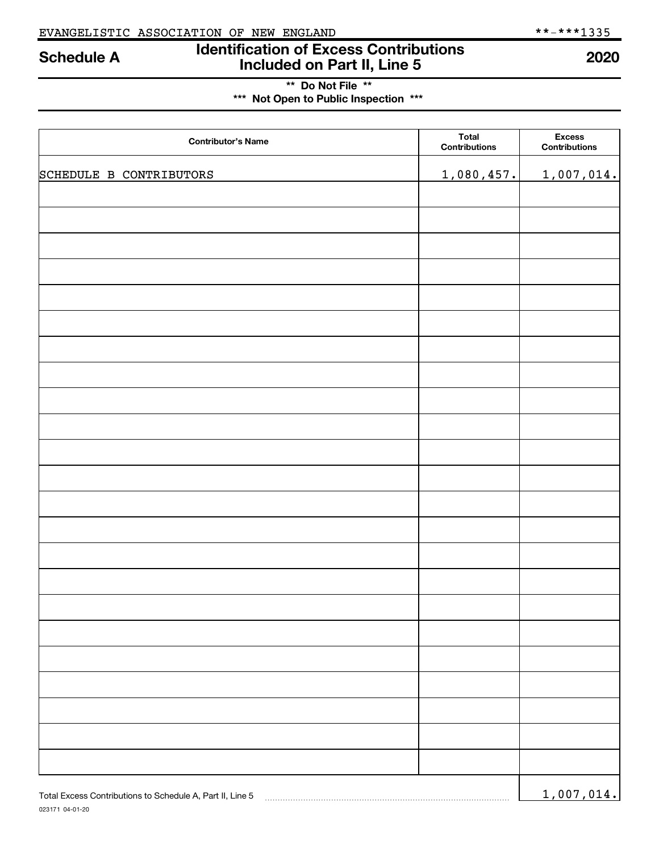## Identification of Excess Contributions Schedule A Bentification of Excess Contributions<br>Included on Part II, Line 5

\*\* Do Not File \*\* \*\*\* Not Open to Public Inspection \*\*\*

023171 04-01-20 Total Excess Contributions to Schedule A, Part II, Line 5

| <b>Contributor's Name</b> | <b>Total</b><br><b>Contributions</b> | <b>Excess</b><br>Contributions |
|---------------------------|--------------------------------------|--------------------------------|
| SCHEDULE B CONTRIBUTORS   | 1,080,457.                           | 1,007,014.                     |
|                           |                                      |                                |
|                           |                                      |                                |
|                           |                                      |                                |
|                           |                                      |                                |
|                           |                                      |                                |
|                           |                                      |                                |
|                           |                                      |                                |
|                           |                                      |                                |
|                           |                                      |                                |
|                           |                                      |                                |
|                           |                                      |                                |
|                           |                                      |                                |
|                           |                                      |                                |
|                           |                                      |                                |
|                           |                                      |                                |
|                           |                                      |                                |
|                           |                                      |                                |
|                           |                                      |                                |
|                           |                                      |                                |

1,007,014.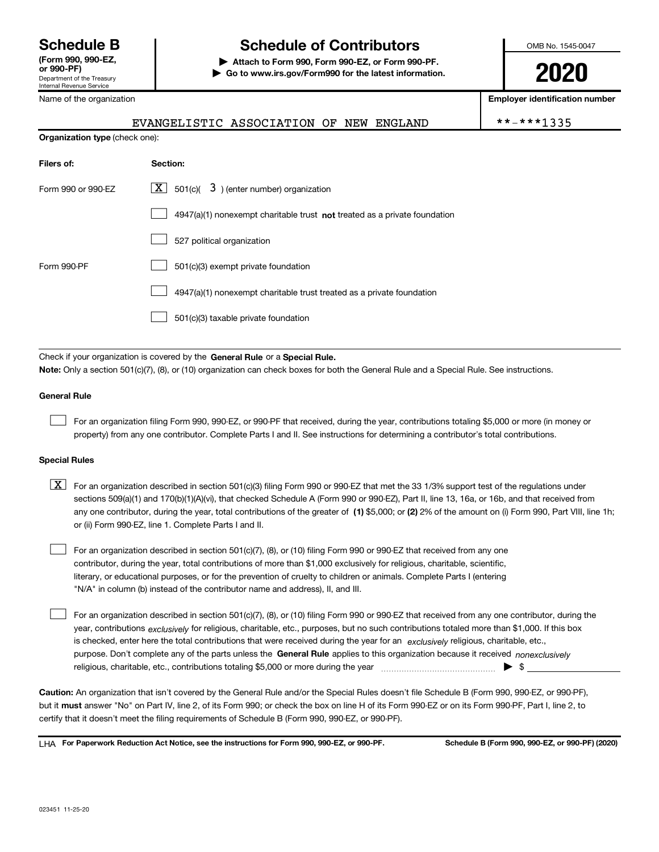Department of the Treasury Internal Revenue Service (Form 990, 990-EZ,

## Schedule B The Schedule of Contributors

Attach to Form 990, Form 990-EZ, or Form 990-PF. | Go to www.irs.gov/Form990 for the latest information.

EVANGELISTIC ASSOCIATION OF NEW ENGLAND  $|$  \*

OMB No. 1545-0047

# 2020

Employer identification number

|  |  |  |  | $* - ***1335$ |
|--|--|--|--|---------------|
|  |  |  |  |               |

| Name of the organization |  |
|--------------------------|--|
|                          |  |

| <b>Organization type (check one):</b> |                                                                           |
|---------------------------------------|---------------------------------------------------------------------------|
| Filers of:                            | Section:                                                                  |
| Form 990 or 990-EZ                    | $X \mid 501(c)$ 3) (enter number) organization                            |
|                                       | 4947(a)(1) nonexempt charitable trust not treated as a private foundation |
|                                       | 527 political organization                                                |
| Form 990-PF                           | 501(c)(3) exempt private foundation                                       |
|                                       | 4947(a)(1) nonexempt charitable trust treated as a private foundation     |
|                                       | 501(c)(3) taxable private foundation                                      |
|                                       |                                                                           |

Check if your organization is covered by the General Rule or a Special Rule. Note: Only a section 501(c)(7), (8), or (10) organization can check boxes for both the General Rule and a Special Rule. See instructions.

### General Rule

 $\begin{array}{c} \hline \end{array}$ 

For an organization filing Form 990, 990-EZ, or 990-PF that received, during the year, contributions totaling \$5,000 or more (in money or property) from any one contributor. Complete Parts I and II. See instructions for determining a contributor's total contributions.

### Special Rules

| $\boxed{\text{X}}$ For an organization described in section 501(c)(3) filing Form 990 or 990-EZ that met the 33 1/3% support test of the regulations under |
|------------------------------------------------------------------------------------------------------------------------------------------------------------|
| sections 509(a)(1) and 170(b)(1)(A)(vi), that checked Schedule A (Form 990 or 990-EZ), Part II, line 13, 16a, or 16b, and that received from               |
| any one contributor, during the year, total contributions of the greater of (1) \$5,000; or (2) 2% of the amount on (i) Form 990, Part VIII, line 1h;      |
| or (ii) Form 990-EZ, line 1. Complete Parts I and II.                                                                                                      |

For an organization described in section 501(c)(7), (8), or (10) filing Form 990 or 990-EZ that received from any one contributor, during the year, total contributions of more than \$1,000 exclusively for religious, charitable, scientific, literary, or educational purposes, or for the prevention of cruelty to children or animals. Complete Parts I (entering "N/A" in column (b) instead of the contributor name and address), II, and III.  $\begin{array}{c} \hline \end{array}$ 

purpose. Don't complete any of the parts unless the General Rule applies to this organization because it received nonexclusively year, contributions *exclusively* for religious, charitable, etc., purposes, but no such contributions totaled more than \$1,000. If this box is checked, enter here the total contributions that were received during the year for an exclusively religious, charitable, etc., For an organization described in section 501(c)(7), (8), or (10) filing Form 990 or 990-EZ that received from any one contributor, during the religious, charitable, etc., contributions totaling \$5,000 or more during the year  $\Box$ — $\Box$   $\Box$  $\begin{array}{c} \hline \end{array}$ 

Caution: An organization that isn't covered by the General Rule and/or the Special Rules doesn't file Schedule B (Form 990, 990-EZ, or 990-PF), but it must answer "No" on Part IV, line 2, of its Form 990; or check the box on line H of its Form 990-EZ or on its Form 990-PF, Part I, line 2, to certify that it doesn't meet the filing requirements of Schedule B (Form 990, 990-EZ, or 990-PF).

LHA For Paperwork Reduction Act Notice, see the instructions for Form 990, 990-EZ, or 990-PF. Schedule B (Form 990, 990-EZ, or 990-PF) (2020)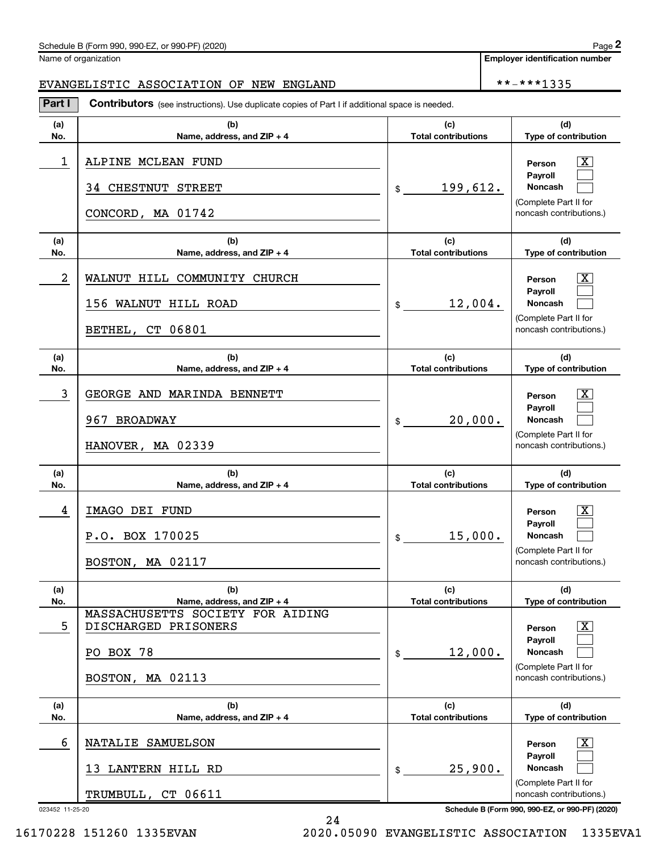### Schedule B (Form 990, 990-EZ, or 990-PF) (2020)

Name of organization

Employer identification number

## EVANGELISTIC ASSOCIATION OF NEW ENGLAND \*\*-\*\*\*1335

| Part I     | Contributors (see instructions). Use duplicate copies of Part I if additional space is needed. |                                   |                                                                                                           |
|------------|------------------------------------------------------------------------------------------------|-----------------------------------|-----------------------------------------------------------------------------------------------------------|
| (a)<br>No. | (b)<br>Name, address, and ZIP + 4                                                              | (c)<br><b>Total contributions</b> | (d)<br>Type of contribution                                                                               |
| 1          | ALPINE MCLEAN FUND<br>34 CHESTNUT STREET<br>CONCORD, MA 01742                                  | 199,612.<br>$$\mathbb{S}$$        | $\overline{\text{X}}$<br>Person<br>Payroll<br>Noncash<br>(Complete Part II for<br>noncash contributions.) |
| (a)<br>No. | (b)<br>Name, address, and ZIP + 4                                                              | (c)<br><b>Total contributions</b> | (d)<br>Type of contribution                                                                               |
| 2          | WALNUT HILL COMMUNITY CHURCH<br>156 WALNUT HILL ROAD<br>BETHEL, CT 06801                       | 12,004.<br>\$                     | $\overline{\text{X}}$<br>Person<br>Payroll<br>Noncash<br>(Complete Part II for<br>noncash contributions.) |
| (a)<br>No. | (b)<br>Name, address, and ZIP + 4                                                              | (c)<br><b>Total contributions</b> | (d)<br>Type of contribution                                                                               |
| 3          | GEORGE AND MARINDA BENNETT<br>967 BROADWAY<br>HANOVER, MA 02339                                | 20,000.<br>\$                     | $\overline{\text{X}}$<br>Person<br>Payroll<br>Noncash<br>(Complete Part II for<br>noncash contributions.) |
| (a)<br>No. | (b)<br>Name, address, and ZIP + 4                                                              | (c)<br><b>Total contributions</b> | (d)<br>Type of contribution                                                                               |
| 4          | IMAGO DEI FUND<br>P.O. BOX 170025<br>BOSTON, MA 02117                                          | 15,000.<br>\$                     | $\overline{\text{X}}$<br>Person<br>Payroll<br>Noncash<br>(Complete Part II for<br>noncash contributions.) |
| (a)<br>No. | (b)<br>Name, address, and ZIP + 4                                                              | (c)<br><b>Total contributions</b> | (d)<br>Type of contribution                                                                               |
| 5          | MASSACHUSETTS SOCIETY FOR AIDING<br>DISCHARGED PRISONERS<br>PO BOX 78<br>BOSTON, MA 02113      | 12,000.<br>\$                     | x<br>Person<br>Payroll<br><b>Noncash</b><br>(Complete Part II for<br>noncash contributions.)              |
| (a)<br>No. | (b)<br>Name, address, and ZIP + 4                                                              | (c)<br><b>Total contributions</b> | (d)<br>Type of contribution                                                                               |
| 6          | NATALIE SAMUELSON<br>13 LANTERN HILL RD<br>TRUMBULL, CT 06611                                  | 25,900.<br>\$                     | $\overline{\text{X}}$<br>Person<br>Payroll<br>Noncash<br>(Complete Part II for<br>noncash contributions.) |

24

023452 11-25-20 Schedule B (Form 990, 990-EZ, or 990-PF) (2020)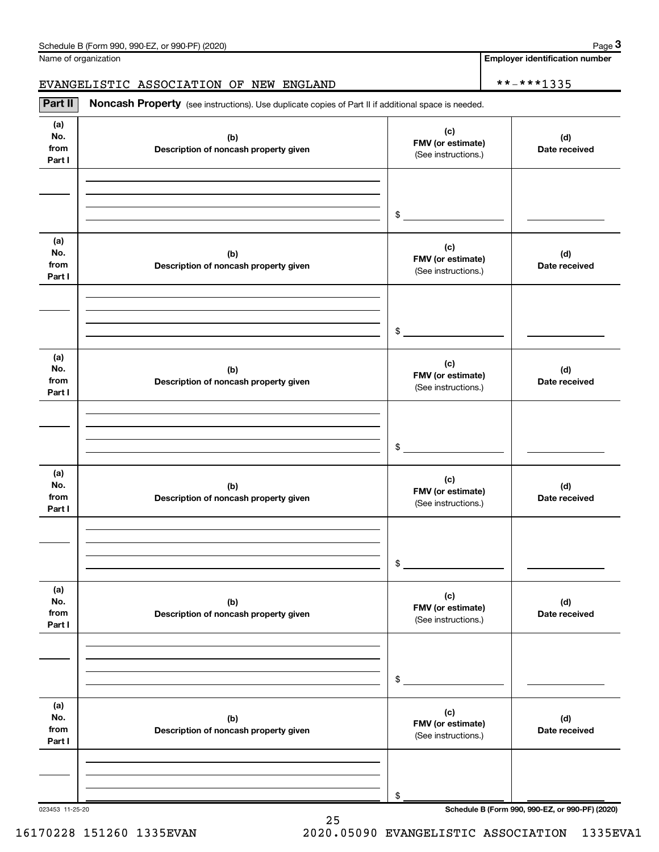Name of organization

Page 3

Employer identification number

## EVANGELISTIC ASSOCIATION OF NEW ENGLAND \*\*-\*\*\*1335

(a) No. from Part I (c)  $F$ MV (or estimate) Description of noncash property given (d) Date received (a) No. from Part I (c)  $F$ MV (or estimate) Description of noncash property given (d) Date received (a) No. from Part I (c)  $F$ MV (or estimate) Description of noncash property given (d) Date received (a) No. from Part I (c)  $F$ MV (or estimate) Description of noncash property given (d) Date received (a) No. from Part I (c)  $F(M)$  (b)  $F(M)$  (or estimate) Description of noncash property given (d) Date received (a) No. from Part I (c)  $F(M)$  (b) FMV (or estimate) Description of noncash property given (d) Date received Part II | Noncash Property (see instructions). Use duplicate copies of Part II if additional space is needed. (See instructions.) \$ (See instructions.) \$ (See instructions.) \$ (See instructions.) \$ (See instructions.) \$ (See instructions.) \$

25

023453 11-25-20 Schedule B (Form 990, 990-EZ, or 990-PF) (2020)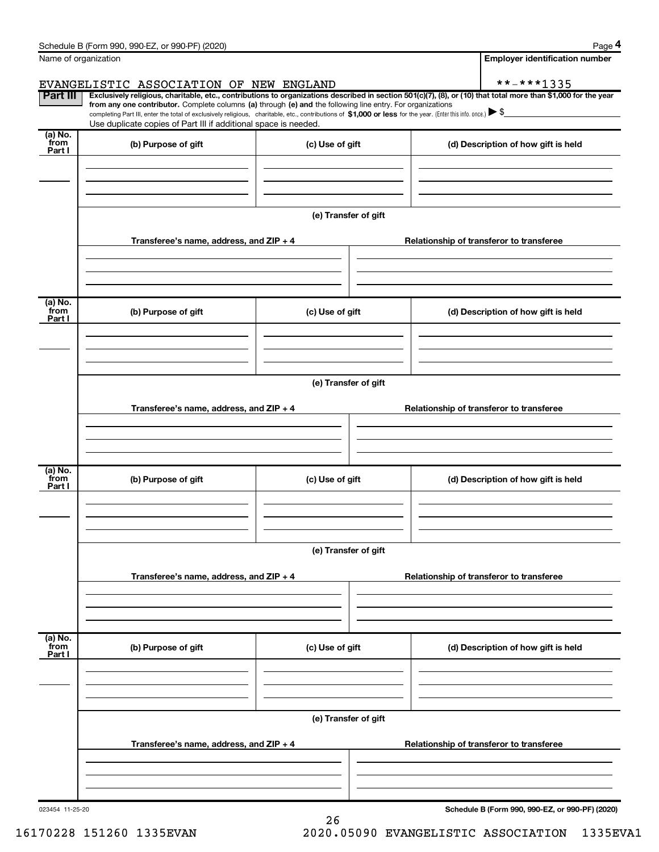|                      | Schedule B (Form 990, 990-EZ, or 990-PF) (2020)                                                                                                                                                                                                      |                      | Page 4                                                                                                                                                         |
|----------------------|------------------------------------------------------------------------------------------------------------------------------------------------------------------------------------------------------------------------------------------------------|----------------------|----------------------------------------------------------------------------------------------------------------------------------------------------------------|
| Name of organization |                                                                                                                                                                                                                                                      |                      | <b>Employer identification number</b>                                                                                                                          |
|                      | EVANGELISTIC ASSOCIATION OF NEW ENGLAND                                                                                                                                                                                                              |                      | **-***1335                                                                                                                                                     |
| <b>Part III</b>      | from any one contributor. Complete columns (a) through (e) and the following line entry. For organizations                                                                                                                                           |                      | Exclusively religious, charitable, etc., contributions to organizations described in section 501(c)(7), (8), or (10) that total more than \$1,000 for the year |
|                      | completing Part III, enter the total of exclusively religious, charitable, etc., contributions of \$1,000 or less for the year. (Enter this info. once.) $\blacktriangleright$ \$<br>Use duplicate copies of Part III if additional space is needed. |                      |                                                                                                                                                                |
| (a) No.              |                                                                                                                                                                                                                                                      |                      |                                                                                                                                                                |
| from<br>Part I       | (b) Purpose of gift                                                                                                                                                                                                                                  | (c) Use of gift      | (d) Description of how gift is held                                                                                                                            |
|                      |                                                                                                                                                                                                                                                      |                      |                                                                                                                                                                |
|                      |                                                                                                                                                                                                                                                      |                      |                                                                                                                                                                |
|                      |                                                                                                                                                                                                                                                      |                      |                                                                                                                                                                |
|                      |                                                                                                                                                                                                                                                      | (e) Transfer of gift |                                                                                                                                                                |
|                      | Transferee's name, address, and ZIP + 4                                                                                                                                                                                                              |                      | Relationship of transferor to transferee                                                                                                                       |
|                      |                                                                                                                                                                                                                                                      |                      |                                                                                                                                                                |
|                      |                                                                                                                                                                                                                                                      |                      |                                                                                                                                                                |
| (a) No.              |                                                                                                                                                                                                                                                      |                      |                                                                                                                                                                |
| from<br>Part I       | (b) Purpose of gift                                                                                                                                                                                                                                  | (c) Use of gift      | (d) Description of how gift is held                                                                                                                            |
|                      |                                                                                                                                                                                                                                                      |                      |                                                                                                                                                                |
|                      |                                                                                                                                                                                                                                                      |                      |                                                                                                                                                                |
|                      |                                                                                                                                                                                                                                                      |                      |                                                                                                                                                                |
|                      |                                                                                                                                                                                                                                                      | (e) Transfer of gift |                                                                                                                                                                |
|                      | Transferee's name, address, and ZIP + 4                                                                                                                                                                                                              |                      | Relationship of transferor to transferee                                                                                                                       |
|                      |                                                                                                                                                                                                                                                      |                      |                                                                                                                                                                |
|                      |                                                                                                                                                                                                                                                      |                      |                                                                                                                                                                |
| (a) No.              |                                                                                                                                                                                                                                                      |                      |                                                                                                                                                                |
| from<br>Part I       | (b) Purpose of gift                                                                                                                                                                                                                                  | (c) Use of gift      | (d) Description of how gift is held                                                                                                                            |
|                      |                                                                                                                                                                                                                                                      |                      |                                                                                                                                                                |
|                      |                                                                                                                                                                                                                                                      |                      |                                                                                                                                                                |
|                      |                                                                                                                                                                                                                                                      |                      |                                                                                                                                                                |
|                      |                                                                                                                                                                                                                                                      | (e) Transfer of gift |                                                                                                                                                                |
|                      | Transferee's name, address, and ZIP + 4                                                                                                                                                                                                              |                      | Relationship of transferor to transferee                                                                                                                       |
|                      |                                                                                                                                                                                                                                                      |                      |                                                                                                                                                                |
|                      |                                                                                                                                                                                                                                                      |                      |                                                                                                                                                                |
| (a) No.              |                                                                                                                                                                                                                                                      |                      |                                                                                                                                                                |
| from<br>Part I       | (b) Purpose of gift                                                                                                                                                                                                                                  | (c) Use of gift      | (d) Description of how gift is held                                                                                                                            |
|                      |                                                                                                                                                                                                                                                      |                      |                                                                                                                                                                |
|                      |                                                                                                                                                                                                                                                      |                      |                                                                                                                                                                |
|                      |                                                                                                                                                                                                                                                      |                      |                                                                                                                                                                |
|                      |                                                                                                                                                                                                                                                      | (e) Transfer of gift |                                                                                                                                                                |
|                      | Transferee's name, address, and ZIP + 4                                                                                                                                                                                                              |                      | Relationship of transferor to transferee                                                                                                                       |
|                      |                                                                                                                                                                                                                                                      |                      |                                                                                                                                                                |
|                      |                                                                                                                                                                                                                                                      |                      |                                                                                                                                                                |
|                      |                                                                                                                                                                                                                                                      |                      |                                                                                                                                                                |

023454 11-25-20

Schedule B (Form 990, 990-EZ, or 990-PF) (2020)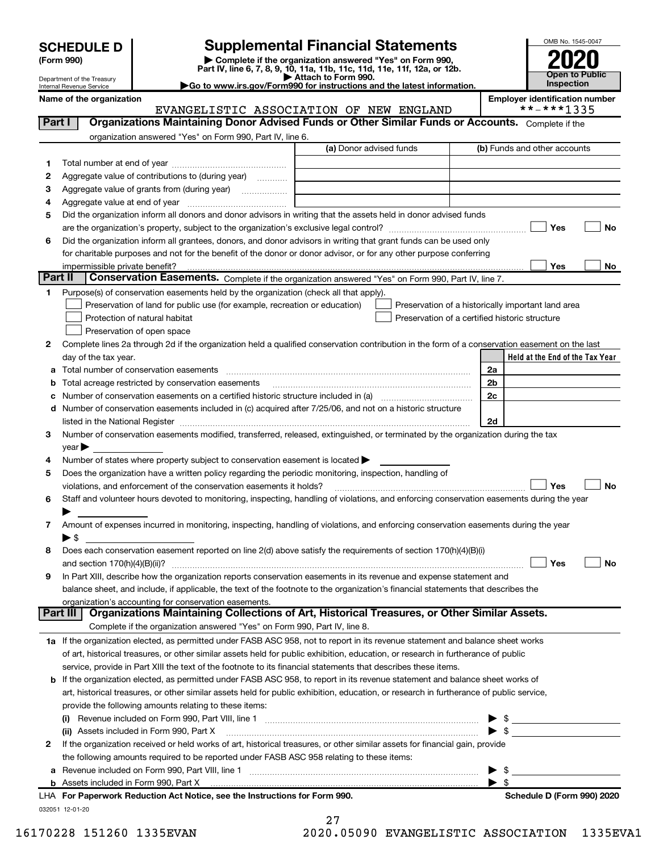| <b>SCHEDULE D</b> |
|-------------------|
|-------------------|

Department of the Treasury Internal Revenue Service

(Form 990) | Complete if the organization answered "Yes" on Form 990, Part IV, line 6, 7, 8, 9, 10, 11a, 11b, 11c, 11d, 11e, 11f, 12a, or 12b. **SCHEDULE D** Supplemental Financial Statements<br>
Form 990) **Supplemental Financial Statements**<br>
Part IV, line 6, 7, 8, 9, 10, 11a, 11b, 11c, 11d, 11e, 11f, 12a, or 12b.

▶ Attach to Form 990.<br>► Go to www.irs.gov/Form990 for instructions and the latest information.



|         | Name of the organization<br>EVANGELISTIC ASSOCIATION OF NEW ENGLAND                                                                            |                         |                          | <b>Employer identification number</b><br>**-***1335 |
|---------|------------------------------------------------------------------------------------------------------------------------------------------------|-------------------------|--------------------------|-----------------------------------------------------|
| Part I  | Organizations Maintaining Donor Advised Funds or Other Similar Funds or Accounts. Complete if the                                              |                         |                          |                                                     |
|         | organization answered "Yes" on Form 990, Part IV, line 6.                                                                                      |                         |                          |                                                     |
|         |                                                                                                                                                | (a) Donor advised funds |                          | (b) Funds and other accounts                        |
| 1       |                                                                                                                                                |                         |                          |                                                     |
| 2       | Aggregate value of contributions to (during year)                                                                                              |                         |                          |                                                     |
| 3       | Aggregate value of grants from (during year)                                                                                                   |                         |                          |                                                     |
| 4       |                                                                                                                                                |                         |                          |                                                     |
| 5       | Did the organization inform all donors and donor advisors in writing that the assets held in donor advised funds                               |                         |                          |                                                     |
|         |                                                                                                                                                |                         |                          | Yes<br>No                                           |
| 6       | Did the organization inform all grantees, donors, and donor advisors in writing that grant funds can be used only                              |                         |                          |                                                     |
|         | for charitable purposes and not for the benefit of the donor or donor advisor, or for any other purpose conferring                             |                         |                          |                                                     |
|         | impermissible private benefit?                                                                                                                 |                         |                          | Yes<br>No                                           |
| Part II | Conservation Easements. Complete if the organization answered "Yes" on Form 990, Part IV, line 7.                                              |                         |                          |                                                     |
| 1.      | Purpose(s) of conservation easements held by the organization (check all that apply).                                                          |                         |                          |                                                     |
|         | Preservation of land for public use (for example, recreation or education)                                                                     |                         |                          | Preservation of a historically important land area  |
|         | Protection of natural habitat                                                                                                                  |                         |                          | Preservation of a certified historic structure      |
|         | Preservation of open space                                                                                                                     |                         |                          |                                                     |
| 2       | Complete lines 2a through 2d if the organization held a qualified conservation contribution in the form of a conservation easement on the last |                         |                          |                                                     |
|         | day of the tax year.                                                                                                                           |                         |                          | Held at the End of the Tax Year                     |
| а       | Total number of conservation easements                                                                                                         |                         | 2a                       |                                                     |
| b       | Total acreage restricted by conservation easements                                                                                             |                         | 2b                       |                                                     |
|         |                                                                                                                                                |                         | 2c                       |                                                     |
| с       | d Number of conservation easements included in (c) acquired after 7/25/06, and not on a historic structure                                     |                         |                          |                                                     |
|         |                                                                                                                                                |                         | 2d                       |                                                     |
| з       | Number of conservation easements modified, transferred, released, extinguished, or terminated by the organization during the tax               |                         |                          |                                                     |
|         | year                                                                                                                                           |                         |                          |                                                     |
| 4       | Number of states where property subject to conservation easement is located >                                                                  |                         |                          |                                                     |
| 5       | Does the organization have a written policy regarding the periodic monitoring, inspection, handling of                                         |                         |                          |                                                     |
|         | violations, and enforcement of the conservation easements it holds?                                                                            |                         |                          | Yes<br><b>No</b>                                    |
| 6       | Staff and volunteer hours devoted to monitoring, inspecting, handling of violations, and enforcing conservation easements during the year      |                         |                          |                                                     |
|         |                                                                                                                                                |                         |                          |                                                     |
| 7       | Amount of expenses incurred in monitoring, inspecting, handling of violations, and enforcing conservation easements during the year            |                         |                          |                                                     |
|         | $\blacktriangleright$ \$                                                                                                                       |                         |                          |                                                     |
| 8       | Does each conservation easement reported on line 2(d) above satisfy the requirements of section 170(h)(4)(B)(i)                                |                         |                          |                                                     |
|         |                                                                                                                                                |                         |                          | Yes<br>No                                           |
| 9       | In Part XIII, describe how the organization reports conservation easements in its revenue and expense statement and                            |                         |                          |                                                     |
|         | balance sheet, and include, if applicable, the text of the footnote to the organization's financial statements that describes the              |                         |                          |                                                     |
|         | organization's accounting for conservation easements.                                                                                          |                         |                          |                                                     |
|         | Organizations Maintaining Collections of Art, Historical Treasures, or Other Similar Assets.<br>Part III                                       |                         |                          |                                                     |
|         | Complete if the organization answered "Yes" on Form 990, Part IV, line 8.                                                                      |                         |                          |                                                     |
|         | 1a If the organization elected, as permitted under FASB ASC 958, not to report in its revenue statement and balance sheet works                |                         |                          |                                                     |
|         | of art, historical treasures, or other similar assets held for public exhibition, education, or research in furtherance of public              |                         |                          |                                                     |
|         | service, provide in Part XIII the text of the footnote to its financial statements that describes these items.                                 |                         |                          |                                                     |
|         | <b>b</b> If the organization elected, as permitted under FASB ASC 958, to report in its revenue statement and balance sheet works of           |                         |                          |                                                     |
|         | art, historical treasures, or other similar assets held for public exhibition, education, or research in furtherance of public service,        |                         |                          |                                                     |
|         | provide the following amounts relating to these items:                                                                                         |                         |                          |                                                     |
|         |                                                                                                                                                |                         |                          | - \$                                                |
|         | (ii) Assets included in Form 990, Part X                                                                                                       |                         | $\blacktriangleright$ \$ |                                                     |
| 2       | If the organization received or held works of art, historical treasures, or other similar assets for financial gain, provide                   |                         |                          |                                                     |
|         | the following amounts required to be reported under FASB ASC 958 relating to these items:                                                      |                         |                          |                                                     |
|         | a Revenue included on Form 990, Part VIII, line 1 [2000] [2000] [2000] [2000] [2000] [2000] [2000] [2000] [2000                                |                         |                          | -\$                                                 |
|         | <b>b</b> Assets included in Form 990, Part X                                                                                                   |                         |                          | -\$                                                 |
|         | LHA For Paperwork Reduction Act Notice, see the Instructions for Form 990.                                                                     |                         |                          | Schedule D (Form 990) 2020                          |
|         | 032051 12-01-20                                                                                                                                |                         |                          |                                                     |

27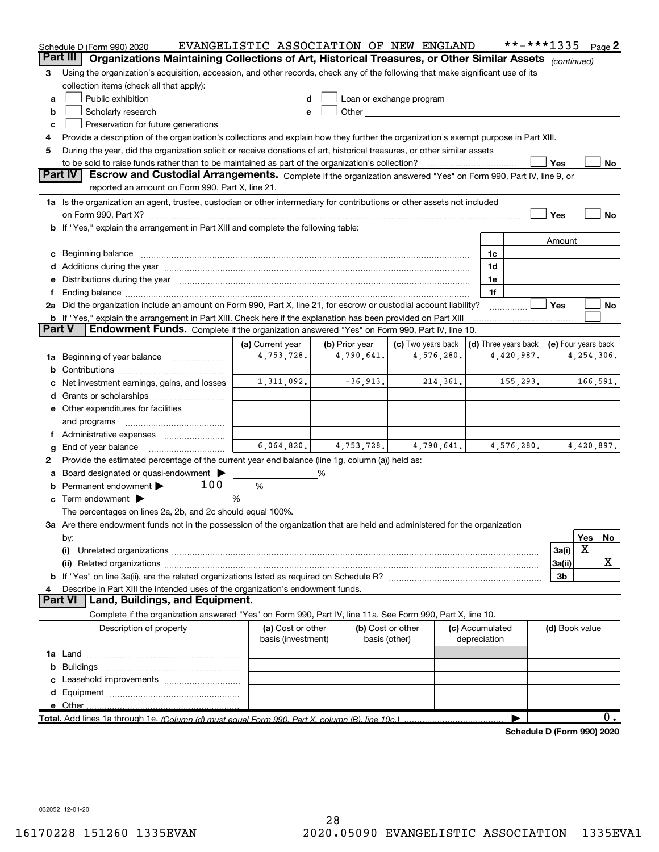|               | Schedule D (Form 990) 2020                                                                                                                                                                                                     | EVANGELISTIC ASSOCIATION OF NEW ENGLAND |                |                                                                                                                                                                                                                               |            |                      | **-***1335                 |                     |     | Page 2     |
|---------------|--------------------------------------------------------------------------------------------------------------------------------------------------------------------------------------------------------------------------------|-----------------------------------------|----------------|-------------------------------------------------------------------------------------------------------------------------------------------------------------------------------------------------------------------------------|------------|----------------------|----------------------------|---------------------|-----|------------|
|               | Organizations Maintaining Collections of Art, Historical Treasures, or Other Similar Assets (continued)<br>Part III                                                                                                            |                                         |                |                                                                                                                                                                                                                               |            |                      |                            |                     |     |            |
| 3             | Using the organization's acquisition, accession, and other records, check any of the following that make significant use of its                                                                                                |                                         |                |                                                                                                                                                                                                                               |            |                      |                            |                     |     |            |
|               | collection items (check all that apply):                                                                                                                                                                                       |                                         |                |                                                                                                                                                                                                                               |            |                      |                            |                     |     |            |
| а             | Public exhibition                                                                                                                                                                                                              |                                         |                | Loan or exchange program                                                                                                                                                                                                      |            |                      |                            |                     |     |            |
| b             | Scholarly research                                                                                                                                                                                                             |                                         |                | Other and the contract of the contract of the contract of the contract of the contract of the contract of the contract of the contract of the contract of the contract of the contract of the contract of the contract of the |            |                      |                            |                     |     |            |
| c             | Preservation for future generations                                                                                                                                                                                            |                                         |                |                                                                                                                                                                                                                               |            |                      |                            |                     |     |            |
| 4             | Provide a description of the organization's collections and explain how they further the organization's exempt purpose in Part XIII.                                                                                           |                                         |                |                                                                                                                                                                                                                               |            |                      |                            |                     |     |            |
| 5             | During the year, did the organization solicit or receive donations of art, historical treasures, or other similar assets                                                                                                       |                                         |                |                                                                                                                                                                                                                               |            |                      |                            |                     |     |            |
|               | to be sold to raise funds rather than to be maintained as part of the organization's collection?                                                                                                                               |                                         |                |                                                                                                                                                                                                                               |            |                      |                            | Yes                 |     | <u>No</u>  |
|               | <b>Part IV</b><br>Escrow and Custodial Arrangements. Complete if the organization answered "Yes" on Form 990, Part IV, line 9, or                                                                                              |                                         |                |                                                                                                                                                                                                                               |            |                      |                            |                     |     |            |
|               | reported an amount on Form 990, Part X, line 21.                                                                                                                                                                               |                                         |                |                                                                                                                                                                                                                               |            |                      |                            |                     |     |            |
|               | 1a Is the organization an agent, trustee, custodian or other intermediary for contributions or other assets not included                                                                                                       |                                         |                |                                                                                                                                                                                                                               |            |                      |                            |                     |     |            |
|               | on Form 990, Part X? [11] matter contracts and contracts and contracts are contracted and contracts are contracted and contract of the set of the set of the set of the set of the set of the set of the set of the set of the |                                         |                |                                                                                                                                                                                                                               |            |                      |                            | Yes                 |     | No         |
|               | b If "Yes," explain the arrangement in Part XIII and complete the following table:                                                                                                                                             |                                         |                |                                                                                                                                                                                                                               |            |                      |                            |                     |     |            |
|               |                                                                                                                                                                                                                                |                                         |                |                                                                                                                                                                                                                               |            |                      |                            | Amount              |     |            |
|               | Beginning balance manufactured and contain an account of the state of the state of the state of the state of the state of the state of the state of the state of the state of the state of the state of the state of the state |                                         |                |                                                                                                                                                                                                                               |            | 1c                   |                            |                     |     |            |
|               | Additions during the year manufactured and an annual contract of the year manufactured and all the year manufactured and all the year manufactured and all the year manufactured and all the year manufactured and all the yea |                                         |                |                                                                                                                                                                                                                               |            | 1d                   |                            |                     |     |            |
|               |                                                                                                                                                                                                                                |                                         |                |                                                                                                                                                                                                                               |            | 1e                   |                            |                     |     |            |
|               | 2a Did the organization include an amount on Form 990, Part X, line 21, for escrow or custodial account liability?                                                                                                             |                                         |                |                                                                                                                                                                                                                               |            | 1f                   |                            | Yes                 |     | No         |
|               | <b>b</b> If "Yes," explain the arrangement in Part XIII. Check here if the explanation has been provided on Part XIII                                                                                                          |                                         |                |                                                                                                                                                                                                                               |            |                      |                            |                     |     |            |
| <b>Part V</b> | Endowment Funds. Complete if the organization answered "Yes" on Form 990, Part IV, line 10.                                                                                                                                    |                                         |                |                                                                                                                                                                                                                               |            |                      |                            |                     |     |            |
|               |                                                                                                                                                                                                                                | (a) Current year                        | (b) Prior year | (c) Two years back                                                                                                                                                                                                            |            | (d) Three years back |                            | (e) Four years back |     |            |
| 1a            | Beginning of year balance                                                                                                                                                                                                      | 4,753,728.                              | 4,790,641.     |                                                                                                                                                                                                                               | 4,576,280. |                      | 4,420,987.                 |                     |     | 4,254,306. |
|               |                                                                                                                                                                                                                                |                                         |                |                                                                                                                                                                                                                               |            |                      |                            |                     |     |            |
|               | Net investment earnings, gains, and losses                                                                                                                                                                                     | 1,311,092.                              | $-36,913.$     |                                                                                                                                                                                                                               | 214,361.   |                      | 155,293.                   |                     |     | 166,591.   |
|               |                                                                                                                                                                                                                                |                                         |                |                                                                                                                                                                                                                               |            |                      |                            |                     |     |            |
|               | e Other expenditures for facilities                                                                                                                                                                                            |                                         |                |                                                                                                                                                                                                                               |            |                      |                            |                     |     |            |
|               | and programs                                                                                                                                                                                                                   |                                         |                |                                                                                                                                                                                                                               |            |                      |                            |                     |     |            |
|               | f Administrative expenses                                                                                                                                                                                                      |                                         |                |                                                                                                                                                                                                                               |            |                      |                            |                     |     |            |
|               | End of year balance                                                                                                                                                                                                            | 6,064,820.                              | 4,753,728.     |                                                                                                                                                                                                                               | 4,790,641. |                      | 4,576,280.                 |                     |     | 4,420,897. |
| 2             | Provide the estimated percentage of the current year end balance (line 1g, column (a)) held as:                                                                                                                                |                                         |                |                                                                                                                                                                                                                               |            |                      |                            |                     |     |            |
|               | Board designated or quasi-endowment                                                                                                                                                                                            |                                         | %              |                                                                                                                                                                                                                               |            |                      |                            |                     |     |            |
|               | 100<br>Permanent endowment > _____                                                                                                                                                                                             | %                                       |                |                                                                                                                                                                                                                               |            |                      |                            |                     |     |            |
|               | <b>c</b> Term endowment $\blacktriangleright$                                                                                                                                                                                  | %                                       |                |                                                                                                                                                                                                                               |            |                      |                            |                     |     |            |
|               | The percentages on lines 2a, 2b, and 2c should equal 100%.                                                                                                                                                                     |                                         |                |                                                                                                                                                                                                                               |            |                      |                            |                     |     |            |
|               | 3a Are there endowment funds not in the possession of the organization that are held and administered for the organization                                                                                                     |                                         |                |                                                                                                                                                                                                                               |            |                      |                            |                     |     |            |
|               | by:                                                                                                                                                                                                                            |                                         |                |                                                                                                                                                                                                                               |            |                      |                            |                     | Yes | No         |
|               | (i)                                                                                                                                                                                                                            |                                         |                |                                                                                                                                                                                                                               |            |                      |                            | 3a(i)               | Χ   |            |
|               |                                                                                                                                                                                                                                |                                         |                |                                                                                                                                                                                                                               |            |                      |                            | 3a(ii)              |     | х          |
|               |                                                                                                                                                                                                                                |                                         |                |                                                                                                                                                                                                                               |            |                      |                            | 3b                  |     |            |
|               | Describe in Part XIII the intended uses of the organization's endowment funds.                                                                                                                                                 |                                         |                |                                                                                                                                                                                                                               |            |                      |                            |                     |     |            |
|               | Land, Buildings, and Equipment.<br><b>Part VI</b>                                                                                                                                                                              |                                         |                |                                                                                                                                                                                                                               |            |                      |                            |                     |     |            |
|               | Complete if the organization answered "Yes" on Form 990, Part IV, line 11a. See Form 990, Part X, line 10.                                                                                                                     |                                         |                |                                                                                                                                                                                                                               |            |                      |                            |                     |     |            |
|               | Description of property                                                                                                                                                                                                        | (a) Cost or other                       |                | (b) Cost or other                                                                                                                                                                                                             |            | (c) Accumulated      |                            | (d) Book value      |     |            |
|               |                                                                                                                                                                                                                                | basis (investment)                      |                | basis (other)                                                                                                                                                                                                                 |            | depreciation         |                            |                     |     |            |
|               |                                                                                                                                                                                                                                |                                         |                |                                                                                                                                                                                                                               |            |                      |                            |                     |     |            |
| b             |                                                                                                                                                                                                                                |                                         |                |                                                                                                                                                                                                                               |            |                      |                            |                     |     |            |
|               | Leasehold improvements                                                                                                                                                                                                         |                                         |                |                                                                                                                                                                                                                               |            |                      |                            |                     |     |            |
| d             |                                                                                                                                                                                                                                |                                         |                |                                                                                                                                                                                                                               |            |                      |                            |                     |     |            |
|               | e Other                                                                                                                                                                                                                        |                                         |                |                                                                                                                                                                                                                               |            |                      |                            |                     |     | 0.         |
|               | Total. Add lines 1a through 1e. (Column (d) must equal Form 990. Part X, column (B), line 10c.)                                                                                                                                |                                         |                |                                                                                                                                                                                                                               |            |                      |                            |                     |     |            |
|               |                                                                                                                                                                                                                                |                                         |                |                                                                                                                                                                                                                               |            |                      | Schedule D (Form 990) 2020 |                     |     |            |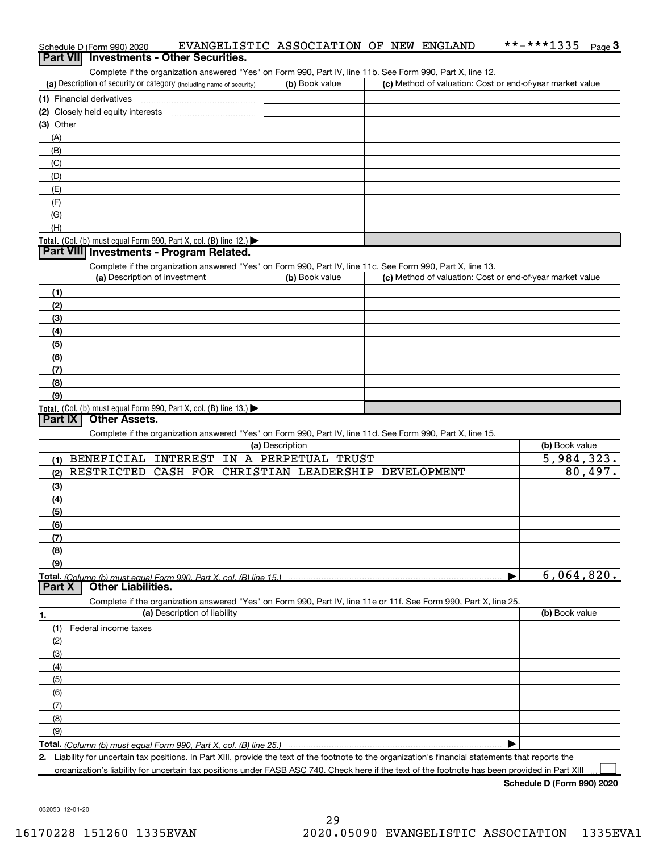|             | Part VII Investments - Other Securities.                                                                                                                                           |                 |                                                           |                       |
|-------------|------------------------------------------------------------------------------------------------------------------------------------------------------------------------------------|-----------------|-----------------------------------------------------------|-----------------------|
|             | Complete if the organization answered "Yes" on Form 990, Part IV, line 11b. See Form 990, Part X, line 12.                                                                         |                 |                                                           |                       |
|             | (a) Description of security or category (including name of security)                                                                                                               | (b) Book value  | (c) Method of valuation: Cost or end-of-year market value |                       |
|             |                                                                                                                                                                                    |                 |                                                           |                       |
| $(3)$ Other |                                                                                                                                                                                    |                 |                                                           |                       |
| (A)         |                                                                                                                                                                                    |                 |                                                           |                       |
| (B)         |                                                                                                                                                                                    |                 |                                                           |                       |
| (C)         |                                                                                                                                                                                    |                 |                                                           |                       |
| (D)         |                                                                                                                                                                                    |                 |                                                           |                       |
| (E)         |                                                                                                                                                                                    |                 |                                                           |                       |
| (F)         |                                                                                                                                                                                    |                 |                                                           |                       |
| (G)         |                                                                                                                                                                                    |                 |                                                           |                       |
| (H)         |                                                                                                                                                                                    |                 |                                                           |                       |
|             | Total. (Col. (b) must equal Form 990, Part X, col. (B) line 12.)                                                                                                                   |                 |                                                           |                       |
|             | Part VIII Investments - Program Related.                                                                                                                                           |                 |                                                           |                       |
|             | Complete if the organization answered "Yes" on Form 990, Part IV, line 11c. See Form 990, Part X, line 13.                                                                         |                 |                                                           |                       |
|             | (a) Description of investment                                                                                                                                                      | (b) Book value  | (c) Method of valuation: Cost or end-of-year market value |                       |
| (1)         |                                                                                                                                                                                    |                 |                                                           |                       |
| (2)         |                                                                                                                                                                                    |                 |                                                           |                       |
| (3)         |                                                                                                                                                                                    |                 |                                                           |                       |
| (4)         |                                                                                                                                                                                    |                 |                                                           |                       |
| (5)         |                                                                                                                                                                                    |                 |                                                           |                       |
| (6)         |                                                                                                                                                                                    |                 |                                                           |                       |
| (7)         |                                                                                                                                                                                    |                 |                                                           |                       |
| (8)<br>(9)  |                                                                                                                                                                                    |                 |                                                           |                       |
|             | Total. (Col. (b) must equal Form 990, Part X, col. (B) line 13.)                                                                                                                   |                 |                                                           |                       |
| Part IX     | <b>Other Assets.</b><br>Complete if the organization answered "Yes" on Form 990, Part IV, line 11d. See Form 990, Part X, line 15.<br>(1) BENEFICIAL INTEREST IN A PERPETUAL TRUST | (a) Description |                                                           | (b) Book value        |
|             | RESTRICTED CASH FOR CHRISTIAN LEADERSHIP DEVELOPMENT                                                                                                                               |                 |                                                           | 5,984,323.<br>80,497. |
| (2)<br>(3)  |                                                                                                                                                                                    |                 |                                                           |                       |
| (4)         |                                                                                                                                                                                    |                 |                                                           |                       |
| (5)         |                                                                                                                                                                                    |                 |                                                           |                       |
| (6)         |                                                                                                                                                                                    |                 |                                                           |                       |
| (7)         |                                                                                                                                                                                    |                 |                                                           |                       |
| (8)         |                                                                                                                                                                                    |                 |                                                           |                       |
| (9)         |                                                                                                                                                                                    |                 |                                                           |                       |
| Part X      | <b>Other Liabilities.</b>                                                                                                                                                          |                 |                                                           | 6,064,820.            |
|             | Complete if the organization answered "Yes" on Form 990, Part IV, line 11e or 11f. See Form 990, Part X, line 25.                                                                  |                 |                                                           |                       |
| 1.          | (a) Description of liability                                                                                                                                                       |                 |                                                           | (b) Book value        |
| (1)         | Federal income taxes                                                                                                                                                               |                 |                                                           |                       |
| (2)         |                                                                                                                                                                                    |                 |                                                           |                       |
| (3)         |                                                                                                                                                                                    |                 |                                                           |                       |
| (4)         |                                                                                                                                                                                    |                 |                                                           |                       |
| (5)<br>(6)  |                                                                                                                                                                                    |                 |                                                           |                       |
| (7)         |                                                                                                                                                                                    |                 |                                                           |                       |
| (8)         |                                                                                                                                                                                    |                 |                                                           |                       |
| (9)         |                                                                                                                                                                                    |                 |                                                           |                       |
|             |                                                                                                                                                                                    |                 |                                                           |                       |
|             | 2. Liability for uncertain tax positions. In Part XIII, provide the text of the footnote to the organization's financial statements that reports the                               |                 |                                                           |                       |
|             | organization's liability for uncertain tax positions under FASB ASC 740. Check here if the text of the footnote has been provided in Part XIII                                     |                 |                                                           |                       |

Schedule D (Form 990) 2020 EVANGELISTIC ASSOCIATION OF NEW ENGLAND \*\*-\*\*\*1335 Page

Schedule D (Form 990) 2020

3 \*\*-\*\*\*1335

032053 12-01-20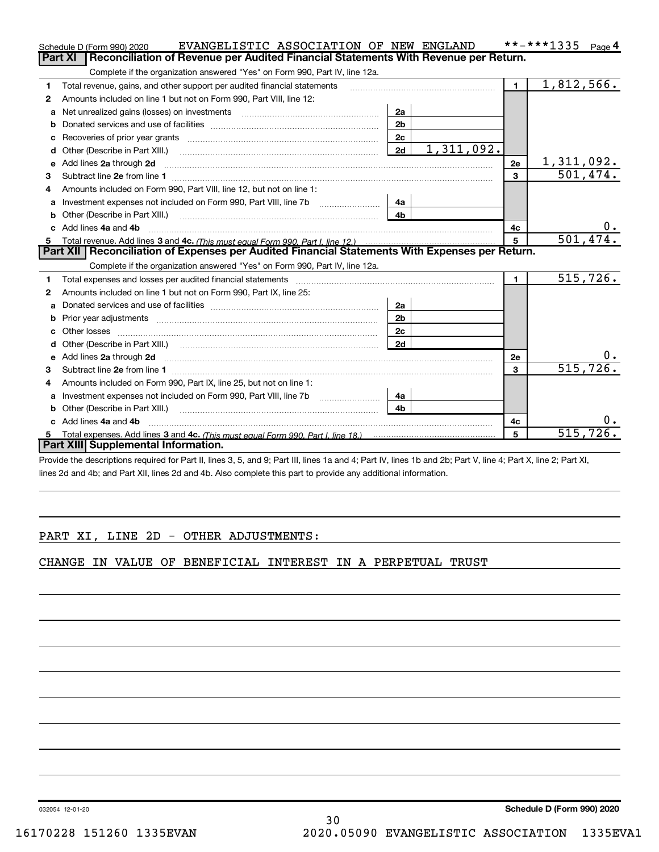|    | EVANGELISTIC ASSOCIATION OF NEW ENGLAND<br>Schedule D (Form 990) 2020                                                                                                                                                               |                |            |                | **-***1335<br>Page 4 |
|----|-------------------------------------------------------------------------------------------------------------------------------------------------------------------------------------------------------------------------------------|----------------|------------|----------------|----------------------|
|    | Reconciliation of Revenue per Audited Financial Statements With Revenue per Return.<br>Part XI                                                                                                                                      |                |            |                |                      |
|    | Complete if the organization answered "Yes" on Form 990, Part IV, line 12a.                                                                                                                                                         |                |            |                |                      |
| 1  | Total revenue, gains, and other support per audited financial statements                                                                                                                                                            |                |            | $\mathbf{1}$   | 1,812,566.           |
| 2  | Amounts included on line 1 but not on Form 990, Part VIII, line 12:                                                                                                                                                                 |                |            |                |                      |
| a  |                                                                                                                                                                                                                                     | 2a             |            |                |                      |
|    |                                                                                                                                                                                                                                     | 2 <sub>b</sub> |            |                |                      |
|    |                                                                                                                                                                                                                                     | 2c             |            |                |                      |
| d  | Other (Describe in Part XIII.) <b>Construction Contract Construction</b> Chern Construction Chern Chern Chern Chern Chern Chern Chern Chern Chern Chern Chern Chern Chern Chern Chern Chern Chern Chern Chern Chern Chern Chern Che | 2d             | 1,311,092. |                |                      |
| е  | Add lines 2a through 2d                                                                                                                                                                                                             |                |            | 2e             | <u>1,311,092.</u>    |
| 3  |                                                                                                                                                                                                                                     |                |            | $\overline{3}$ | 501,474.             |
| 4  | Amounts included on Form 990, Part VIII, line 12, but not on line 1:                                                                                                                                                                |                |            |                |                      |
| a  |                                                                                                                                                                                                                                     | 4a             |            |                |                      |
| b  |                                                                                                                                                                                                                                     | 4 <sub>b</sub> |            |                |                      |
| c. | Add lines 4a and 4b                                                                                                                                                                                                                 |                |            | 4с             | 0.                   |
|    |                                                                                                                                                                                                                                     |                |            | 5              | 501, 474.            |
|    | Total revenue. Add lines 3 and 4c. (This must equal Form 990, Part I. line 12.)                                                                                                                                                     |                |            |                |                      |
|    | Part XII   Reconciliation of Expenses per Audited Financial Statements With Expenses per Return.                                                                                                                                    |                |            |                |                      |
|    | Complete if the organization answered "Yes" on Form 990, Part IV, line 12a.                                                                                                                                                         |                |            |                |                      |
| 1  |                                                                                                                                                                                                                                     |                |            | $\blacksquare$ | 515,726.             |
| 2  | Amounts included on line 1 but not on Form 990, Part IX, line 25:                                                                                                                                                                   |                |            |                |                      |
| a  |                                                                                                                                                                                                                                     | 2a             |            |                |                      |
| b  |                                                                                                                                                                                                                                     | 2 <sub>b</sub> |            |                |                      |
| с  |                                                                                                                                                                                                                                     | 2c             |            |                |                      |
| d  |                                                                                                                                                                                                                                     | 2d             |            |                |                      |
| е  | Add lines 2a through 2d <b>contained a contained a contained a contained a</b> contained a contained a contact the set                                                                                                              |                |            | 2e             | 0.                   |
| 3  |                                                                                                                                                                                                                                     |                |            | 3              | 515, 726.            |
| 4  | Amounts included on Form 990, Part IX, line 25, but not on line 1:                                                                                                                                                                  |                |            |                |                      |
| a  |                                                                                                                                                                                                                                     | 4a             |            |                |                      |
| b  | Other (Describe in Part XIII.)                                                                                                                                                                                                      | 4 <sub>b</sub> |            |                |                      |
| C. | Add lines 4a and 4b                                                                                                                                                                                                                 |                |            | 4c             | $0 \cdot$            |
|    | Part XIII Supplemental Information.                                                                                                                                                                                                 |                |            | 5              | 515,726.             |

Provide the descriptions required for Part II, lines 3, 5, and 9; Part III, lines 1a and 4; Part IV, lines 1b and 2b; Part V, line 4; Part X, line 2; Part XI, lines 2d and 4b; and Part XII, lines 2d and 4b. Also complete this part to provide any additional information.

## PART XI, LINE 2D - OTHER ADJUSTMENTS:

CHANGE IN VALUE OF BENEFICIAL INTEREST IN A PERPETUAL TRUST

032054 12-01-20